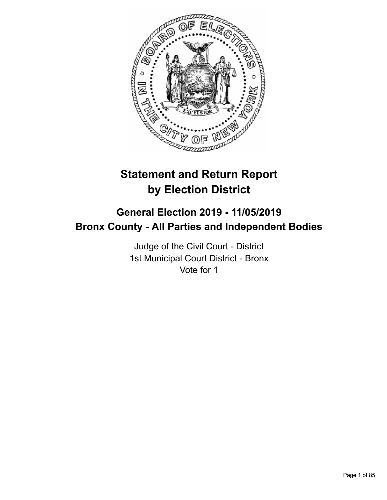

# **Statement and Return Report by Election District**

# **General Election 2019 - 11/05/2019 Bronx County - All Parties and Independent Bodies**

Judge of the Civil Court - District 1st Municipal Court District - Bronx Vote for 1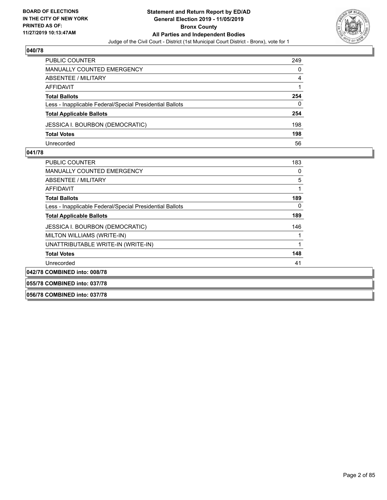

| PUBLIC COUNTER                                           | 249 |
|----------------------------------------------------------|-----|
| MANUALLY COUNTED EMERGENCY                               | 0   |
| ABSENTEE / MILITARY                                      | 4   |
| AFFIDAVIT                                                |     |
| <b>Total Ballots</b>                                     | 254 |
| Less - Inapplicable Federal/Special Presidential Ballots | 0   |
| <b>Total Applicable Ballots</b>                          | 254 |
| <b>JESSICA I. BOURBON (DEMOCRATIC)</b>                   | 198 |
| <b>Total Votes</b>                                       | 198 |
| Unrecorded                                               | 56  |

#### **041/78**

| <b>PUBLIC COUNTER</b>                                    | 183 |
|----------------------------------------------------------|-----|
| MANUALLY COUNTED EMERGENCY                               | 0   |
| ABSENTEE / MILITARY                                      | 5   |
| AFFIDAVIT                                                | 1   |
| <b>Total Ballots</b>                                     | 189 |
| Less - Inapplicable Federal/Special Presidential Ballots | 0   |
| <b>Total Applicable Ballots</b>                          | 189 |
| JESSICA I. BOURBON (DEMOCRATIC)                          | 146 |
| MILTON WILLIAMS (WRITE-IN)                               | 1   |
| UNATTRIBUTABLE WRITE-IN (WRITE-IN)                       | 1   |
| <b>Total Votes</b>                                       | 148 |
| Unrecorded                                               | 41  |
| 042/78 COMBINED into: 008/78                             |     |
| 055/78 COMBINED into: 037/78                             |     |

# **056/78 COMBINED into: 037/78**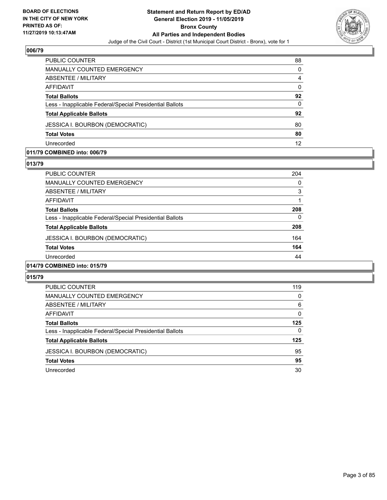

| <b>PUBLIC COUNTER</b>                                    | 88       |
|----------------------------------------------------------|----------|
| MANUALLY COUNTED EMERGENCY                               | $\Omega$ |
| <b>ABSENTEE / MILITARY</b>                               | 4        |
| AFFIDAVIT                                                | $\Omega$ |
| <b>Total Ballots</b>                                     | 92       |
| Less - Inapplicable Federal/Special Presidential Ballots | $\Omega$ |
| <b>Total Applicable Ballots</b>                          | 92       |
| <b>JESSICA I. BOURBON (DEMOCRATIC)</b>                   | 80       |
| <b>Total Votes</b>                                       | 80       |
| Unrecorded                                               | 12       |

#### **011/79 COMBINED into: 006/79**

#### **013/79**

| PUBLIC COUNTER                                           | 204 |
|----------------------------------------------------------|-----|
| <b>MANUALLY COUNTED EMERGENCY</b>                        | 0   |
| ABSENTEE / MILITARY                                      | 3   |
| AFFIDAVIT                                                |     |
| <b>Total Ballots</b>                                     | 208 |
| Less - Inapplicable Federal/Special Presidential Ballots | 0   |
| <b>Total Applicable Ballots</b>                          | 208 |
| <b>JESSICA I. BOURBON (DEMOCRATIC)</b>                   | 164 |
| <b>Total Votes</b>                                       | 164 |
| Unrecorded                                               | 44  |
| 014/79 COMBINED into: 015/79                             |     |

| PUBLIC COUNTER                                           | 119      |
|----------------------------------------------------------|----------|
| MANUALLY COUNTED EMERGENCY                               | 0        |
| ABSENTEE / MILITARY                                      | 6        |
| AFFIDAVIT                                                | 0        |
| <b>Total Ballots</b>                                     | 125      |
| Less - Inapplicable Federal/Special Presidential Ballots | $\Omega$ |
| <b>Total Applicable Ballots</b>                          | 125      |
| <b>JESSICA I. BOURBON (DEMOCRATIC)</b>                   | 95       |
| <b>Total Votes</b>                                       | 95       |
| Unrecorded                                               | 30       |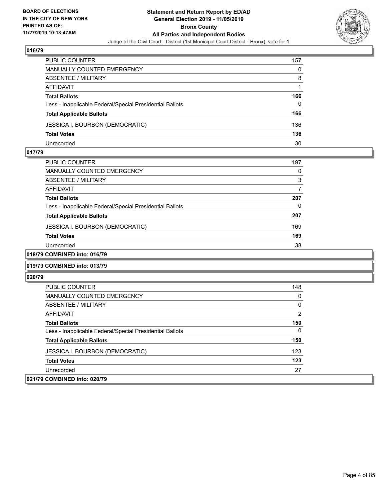

| <b>PUBLIC COUNTER</b>                                    | 157 |
|----------------------------------------------------------|-----|
| MANUALLY COUNTED EMERGENCY                               | 0   |
| <b>ABSENTEE / MILITARY</b>                               | 8   |
| AFFIDAVIT                                                |     |
| <b>Total Ballots</b>                                     | 166 |
| Less - Inapplicable Federal/Special Presidential Ballots | 0   |
| <b>Total Applicable Ballots</b>                          | 166 |
| <b>JESSICA I. BOURBON (DEMOCRATIC)</b>                   | 136 |
| <b>Total Votes</b>                                       | 136 |
| Unrecorded                                               | 30  |

#### **017/79**

| <b>PUBLIC COUNTER</b>                                    | 197 |
|----------------------------------------------------------|-----|
| <b>MANUALLY COUNTED EMERGENCY</b>                        | 0   |
| ABSENTEE / MILITARY                                      | 3   |
| AFFIDAVIT                                                |     |
| <b>Total Ballots</b>                                     | 207 |
| Less - Inapplicable Federal/Special Presidential Ballots | 0   |
| <b>Total Applicable Ballots</b>                          | 207 |
| <b>JESSICA I. BOURBON (DEMOCRATIC)</b>                   | 169 |
| <b>Total Votes</b>                                       | 169 |
| Unrecorded                                               | 38  |
| A                                                        |     |

### **018/79 COMBINED into: 016/79**

#### **019/79 COMBINED into: 013/79**

| <b>PUBLIC COUNTER</b>                                    | 148            |
|----------------------------------------------------------|----------------|
| <b>MANUALLY COUNTED EMERGENCY</b>                        | 0              |
| ABSENTEE / MILITARY                                      | $\mathbf{0}$   |
| <b>AFFIDAVIT</b>                                         | $\overline{2}$ |
| <b>Total Ballots</b>                                     | 150            |
| Less - Inapplicable Federal/Special Presidential Ballots | $\mathbf{0}$   |
| <b>Total Applicable Ballots</b>                          | 150            |
| JESSICA I. BOURBON (DEMOCRATIC)                          | 123            |
| <b>Total Votes</b>                                       | 123            |
| Unrecorded                                               | 27             |
| 021/79 COMBINED into: 020/79                             |                |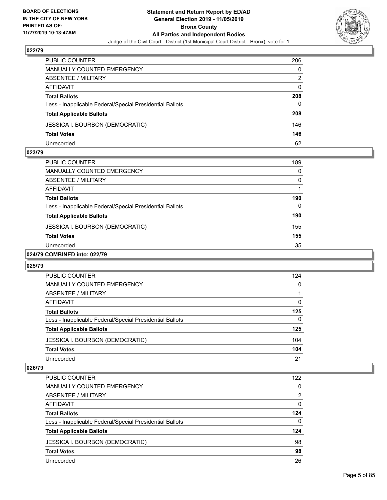

| PUBLIC COUNTER                                           | 206      |
|----------------------------------------------------------|----------|
| <b>MANUALLY COUNTED EMERGENCY</b>                        | 0        |
| ABSENTEE / MILITARY                                      | 2        |
| AFFIDAVIT                                                | $\Omega$ |
| <b>Total Ballots</b>                                     | 208      |
| Less - Inapplicable Federal/Special Presidential Ballots | 0        |
| <b>Total Applicable Ballots</b>                          | 208      |
| <b>JESSICA I. BOURBON (DEMOCRATIC)</b>                   | 146      |
| <b>Total Votes</b>                                       | 146      |
| Unrecorded                                               | 62       |

#### **023/79**

| <b>PUBLIC COUNTER</b>                                                                                                                                                                                                                                                                                                                                                                                                  | 189 |
|------------------------------------------------------------------------------------------------------------------------------------------------------------------------------------------------------------------------------------------------------------------------------------------------------------------------------------------------------------------------------------------------------------------------|-----|
|                                                                                                                                                                                                                                                                                                                                                                                                                        |     |
| <b>MANUALLY COUNTED EMERGENCY</b>                                                                                                                                                                                                                                                                                                                                                                                      | 0   |
| ABSENTEE / MILITARY                                                                                                                                                                                                                                                                                                                                                                                                    | 0   |
| AFFIDAVIT                                                                                                                                                                                                                                                                                                                                                                                                              |     |
| <b>Total Ballots</b>                                                                                                                                                                                                                                                                                                                                                                                                   | 190 |
| Less - Inapplicable Federal/Special Presidential Ballots                                                                                                                                                                                                                                                                                                                                                               | 0   |
| <b>Total Applicable Ballots</b>                                                                                                                                                                                                                                                                                                                                                                                        | 190 |
| <b>JESSICA I. BOURBON (DEMOCRATIC)</b>                                                                                                                                                                                                                                                                                                                                                                                 | 155 |
| <b>Total Votes</b>                                                                                                                                                                                                                                                                                                                                                                                                     | 155 |
| Unrecorded                                                                                                                                                                                                                                                                                                                                                                                                             | 35  |
| $\mathbf{A} \mathbf{A} \mathbf{B} \mathbf{B} \mathbf{B} \mathbf{B} \mathbf{B} \mathbf{A} \mathbf{A} \mathbf{A} \mathbf{A} \mathbf{A} \mathbf{A} \mathbf{A} \mathbf{A} \mathbf{A} \mathbf{A} \mathbf{A} \mathbf{A} \mathbf{A} \mathbf{A} \mathbf{A} \mathbf{A} \mathbf{A} \mathbf{A} \mathbf{A} \mathbf{A} \mathbf{A} \mathbf{A} \mathbf{A} \mathbf{A} \mathbf{A} \mathbf{A} \mathbf{A} \mathbf{A} \mathbf{A} \mathbf{$ |     |

#### **024/79 COMBINED into: 022/79**

#### **025/79**

| <b>PUBLIC COUNTER</b>                                    | 124      |
|----------------------------------------------------------|----------|
| MANUALLY COUNTED EMERGENCY                               | $\Omega$ |
| ABSENTEE / MILITARY                                      |          |
| AFFIDAVIT                                                | $\Omega$ |
| <b>Total Ballots</b>                                     | 125      |
| Less - Inapplicable Federal/Special Presidential Ballots | $\Omega$ |
| <b>Total Applicable Ballots</b>                          | 125      |
| <b>JESSICA I. BOURBON (DEMOCRATIC)</b>                   | 104      |
| <b>Total Votes</b>                                       | 104      |
| Unrecorded                                               | 21       |

| <b>PUBLIC COUNTER</b>                                    | 122      |
|----------------------------------------------------------|----------|
| <b>MANUALLY COUNTED EMERGENCY</b>                        | $\Omega$ |
| ABSENTEE / MILITARY                                      | 2        |
| AFFIDAVIT                                                | $\Omega$ |
| <b>Total Ballots</b>                                     | 124      |
| Less - Inapplicable Federal/Special Presidential Ballots | $\Omega$ |
| <b>Total Applicable Ballots</b>                          | 124      |
| <b>JESSICA I. BOURBON (DEMOCRATIC)</b>                   | 98       |
| <b>Total Votes</b>                                       | 98       |
| Unrecorded                                               | 26       |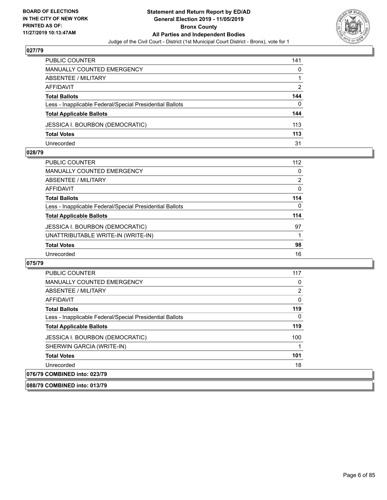

| PUBLIC COUNTER                                           | 141 |
|----------------------------------------------------------|-----|
| <b>MANUALLY COUNTED EMERGENCY</b>                        | 0   |
| <b>ABSENTEE / MILITARY</b>                               |     |
| AFFIDAVIT                                                | 2   |
| <b>Total Ballots</b>                                     | 144 |
| Less - Inapplicable Federal/Special Presidential Ballots | 0   |
| <b>Total Applicable Ballots</b>                          | 144 |
| <b>JESSICA I. BOURBON (DEMOCRATIC)</b>                   | 113 |
| <b>Total Votes</b>                                       | 113 |
| Unrecorded                                               | 31  |

#### **028/79**

| <b>PUBLIC COUNTER</b>                                    | 112 |
|----------------------------------------------------------|-----|
| <b>MANUALLY COUNTED EMERGENCY</b>                        | 0   |
| ABSENTEE / MILITARY                                      | 2   |
| <b>AFFIDAVIT</b>                                         | 0   |
| <b>Total Ballots</b>                                     | 114 |
| Less - Inapplicable Federal/Special Presidential Ballots | 0   |
| <b>Total Applicable Ballots</b>                          | 114 |
| <b>JESSICA I. BOURBON (DEMOCRATIC)</b>                   | 97  |
| UNATTRIBUTABLE WRITE-IN (WRITE-IN)                       |     |
| <b>Total Votes</b>                                       | 98  |
| Unrecorded                                               | 16  |
|                                                          |     |

| <b>PUBLIC COUNTER</b>                                    | 117 |
|----------------------------------------------------------|-----|
| <b>MANUALLY COUNTED EMERGENCY</b>                        | 0   |
| ABSENTEE / MILITARY                                      | 2   |
| AFFIDAVIT                                                | 0   |
| <b>Total Ballots</b>                                     | 119 |
| Less - Inapplicable Federal/Special Presidential Ballots | 0   |
| <b>Total Applicable Ballots</b>                          | 119 |
| <b>JESSICA I. BOURBON (DEMOCRATIC)</b>                   | 100 |
| SHERWIN GARCIA (WRITE-IN)                                |     |
| <b>Total Votes</b>                                       | 101 |
| Unrecorded                                               | 18  |
| 076/79 COMBINED into: 023/79                             |     |
| 088/79 COMBINED into: 013/79                             |     |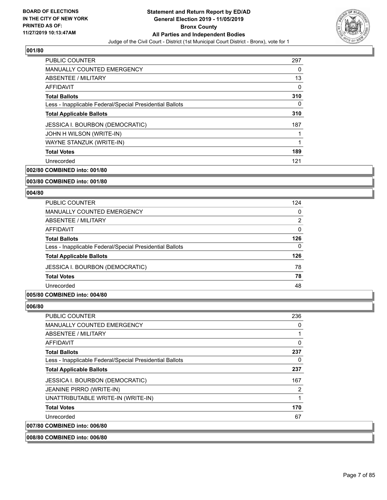

| <b>PUBLIC COUNTER</b>                                    | 297 |
|----------------------------------------------------------|-----|
| <b>MANUALLY COUNTED EMERGENCY</b>                        | 0   |
| ABSENTEE / MILITARY                                      | 13  |
| <b>AFFIDAVIT</b>                                         | 0   |
| <b>Total Ballots</b>                                     | 310 |
| Less - Inapplicable Federal/Special Presidential Ballots | 0   |
| <b>Total Applicable Ballots</b>                          | 310 |
| <b>JESSICA I. BOURBON (DEMOCRATIC)</b>                   | 187 |
| JOHN H WILSON (WRITE-IN)                                 |     |
| WAYNE STANZUK (WRITE-IN)                                 | 1   |
| <b>Total Votes</b>                                       | 189 |
| Unrecorded                                               | 121 |

**002/80 COMBINED into: 001/80**

#### **003/80 COMBINED into: 001/80**

#### **004/80**

| <b>PUBLIC COUNTER</b>                                    | 124      |
|----------------------------------------------------------|----------|
| MANUALLY COUNTED EMERGENCY                               | $\Omega$ |
| ABSENTEE / MILITARY                                      | 2        |
| AFFIDAVIT                                                | $\Omega$ |
| <b>Total Ballots</b>                                     | 126      |
| Less - Inapplicable Federal/Special Presidential Ballots | $\Omega$ |
| <b>Total Applicable Ballots</b>                          | 126      |
| <b>JESSICA I. BOURBON (DEMOCRATIC)</b>                   | 78       |
| <b>Total Votes</b>                                       | 78       |
| Unrecorded                                               | 48       |

#### **005/80 COMBINED into: 004/80**

#### **006/80**

| <b>PUBLIC COUNTER</b>                                    | 236 |
|----------------------------------------------------------|-----|
| <b>MANUALLY COUNTED EMERGENCY</b>                        | 0   |
| ABSENTEE / MILITARY                                      |     |
| AFFIDAVIT                                                | 0   |
| <b>Total Ballots</b>                                     | 237 |
| Less - Inapplicable Federal/Special Presidential Ballots | 0   |
| <b>Total Applicable Ballots</b>                          | 237 |
| <b>JESSICA I. BOURBON (DEMOCRATIC)</b>                   | 167 |
| <b>JEANINE PIRRO (WRITE-IN)</b>                          | 2   |
| UNATTRIBUTABLE WRITE-IN (WRITE-IN)                       | 1   |
| <b>Total Votes</b>                                       | 170 |
| Unrecorded                                               | 67  |
| 007/80 COMBINED into: 006/80                             |     |

**008/80 COMBINED into: 006/80**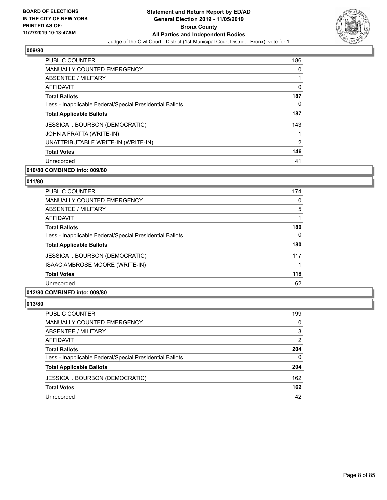

| <b>PUBLIC COUNTER</b>                                    | 186 |
|----------------------------------------------------------|-----|
| <b>MANUALLY COUNTED EMERGENCY</b>                        | 0   |
| ABSENTEE / MILITARY                                      |     |
| <b>AFFIDAVIT</b>                                         | 0   |
| <b>Total Ballots</b>                                     | 187 |
| Less - Inapplicable Federal/Special Presidential Ballots | 0   |
| <b>Total Applicable Ballots</b>                          | 187 |
| <b>JESSICA I. BOURBON (DEMOCRATIC)</b>                   | 143 |
| JOHN A FRATTA (WRITE-IN)                                 |     |
| UNATTRIBUTABLE WRITE-IN (WRITE-IN)                       | 2   |
| <b>Total Votes</b>                                       | 146 |
| Unrecorded                                               | 41  |

### **010/80 COMBINED into: 009/80**

### **011/80**

| <b>PUBLIC COUNTER</b>                                    | 174 |
|----------------------------------------------------------|-----|
| <b>MANUALLY COUNTED EMERGENCY</b>                        | 0   |
| ABSENTEE / MILITARY                                      | 5   |
| AFFIDAVIT                                                |     |
| <b>Total Ballots</b>                                     | 180 |
| Less - Inapplicable Federal/Special Presidential Ballots | 0   |
| <b>Total Applicable Ballots</b>                          | 180 |
| JESSICA I. BOURBON (DEMOCRATIC)                          | 117 |
| ISAAC AMBROSE MOORE (WRITE-IN)                           |     |
| <b>Total Votes</b>                                       | 118 |
| Unrecorded                                               | 62  |
|                                                          |     |

# **012/80 COMBINED into: 009/80**

| PUBLIC COUNTER                                           | 199          |
|----------------------------------------------------------|--------------|
| MANUALLY COUNTED EMERGENCY                               | $\Omega$     |
| <b>ABSENTEE / MILITARY</b>                               | 3            |
| AFFIDAVIT                                                | 2            |
| <b>Total Ballots</b>                                     | 204          |
| Less - Inapplicable Federal/Special Presidential Ballots | $\mathbf{0}$ |
| <b>Total Applicable Ballots</b>                          | 204          |
| <b>JESSICA I. BOURBON (DEMOCRATIC)</b>                   | 162          |
| <b>Total Votes</b>                                       | 162          |
| Unrecorded                                               | 42           |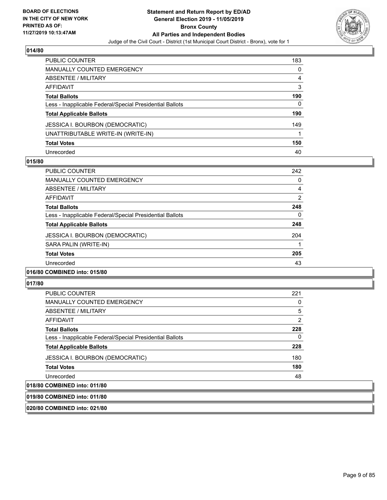

| <b>PUBLIC COUNTER</b>                                    | 183 |
|----------------------------------------------------------|-----|
| <b>MANUALLY COUNTED EMERGENCY</b>                        | 0   |
| <b>ABSENTEE / MILITARY</b>                               | 4   |
| <b>AFFIDAVIT</b>                                         | 3   |
| <b>Total Ballots</b>                                     | 190 |
| Less - Inapplicable Federal/Special Presidential Ballots | 0   |
| <b>Total Applicable Ballots</b>                          | 190 |
| <b>JESSICA I. BOURBON (DEMOCRATIC)</b>                   | 149 |
| UNATTRIBUTABLE WRITE-IN (WRITE-IN)                       |     |
| <b>Total Votes</b>                                       | 150 |
| Unrecorded                                               | 40  |

#### **015/80**

| <b>PUBLIC COUNTER</b>                                    | 242 |
|----------------------------------------------------------|-----|
| <b>MANUALLY COUNTED EMERGENCY</b>                        | 0   |
| ABSENTEE / MILITARY                                      | 4   |
| <b>AFFIDAVIT</b>                                         | 2   |
| <b>Total Ballots</b>                                     | 248 |
| Less - Inapplicable Federal/Special Presidential Ballots | 0   |
| <b>Total Applicable Ballots</b>                          | 248 |
| <b>JESSICA I. BOURBON (DEMOCRATIC)</b>                   | 204 |
| SARA PALIN (WRITE-IN)                                    |     |
| <b>Total Votes</b>                                       | 205 |
| Unrecorded                                               | 43  |
|                                                          |     |

#### **016/80 COMBINED into: 015/80**

#### **017/80**

| <b>PUBLIC COUNTER</b>                                    | 221      |
|----------------------------------------------------------|----------|
| <b>MANUALLY COUNTED EMERGENCY</b>                        | 0        |
| ABSENTEE / MILITARY                                      | 5        |
| AFFIDAVIT                                                | 2        |
| <b>Total Ballots</b>                                     | 228      |
| Less - Inapplicable Federal/Special Presidential Ballots | $\Omega$ |
| <b>Total Applicable Ballots</b>                          | 228      |
| <b>JESSICA I. BOURBON (DEMOCRATIC)</b>                   | 180      |
| <b>Total Votes</b>                                       | 180      |
| Unrecorded                                               | 48       |
| 018/80 COMBINED into: 011/80                             |          |

#### **019/80 COMBINED into: 011/80**

**020/80 COMBINED into: 021/80**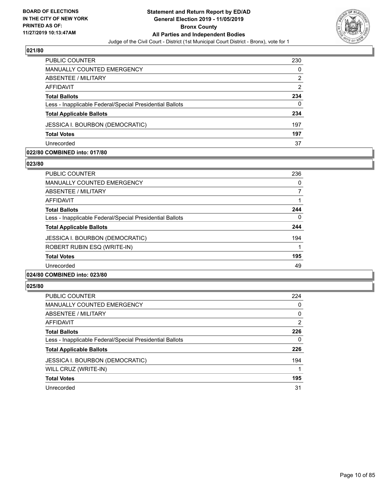

| <b>PUBLIC COUNTER</b>                                    | 230            |
|----------------------------------------------------------|----------------|
| <b>MANUALLY COUNTED EMERGENCY</b>                        | 0              |
| ABSENTEE / MILITARY                                      | 2              |
| AFFIDAVIT                                                | $\overline{2}$ |
| <b>Total Ballots</b>                                     | 234            |
| Less - Inapplicable Federal/Special Presidential Ballots | 0              |
| <b>Total Applicable Ballots</b>                          | 234            |
| <b>JESSICA I. BOURBON (DEMOCRATIC)</b>                   | 197            |
| <b>Total Votes</b>                                       | 197            |
| Unrecorded                                               | 37             |

#### **022/80 COMBINED into: 017/80**

#### **023/80**

| <b>PUBLIC COUNTER</b>                                    | 236 |
|----------------------------------------------------------|-----|
| <b>MANUALLY COUNTED EMERGENCY</b>                        | 0   |
| ABSENTEE / MILITARY                                      | 7   |
| AFFIDAVIT                                                |     |
| <b>Total Ballots</b>                                     | 244 |
| Less - Inapplicable Federal/Special Presidential Ballots | 0   |
| <b>Total Applicable Ballots</b>                          | 244 |
| <b>JESSICA I. BOURBON (DEMOCRATIC)</b>                   | 194 |
| ROBERT RUBIN ESQ (WRITE-IN)                              |     |
| <b>Total Votes</b>                                       | 195 |
| Unrecorded                                               | 49  |
| 024/80 COMBINED into: 023/80                             |     |

| <b>PUBLIC COUNTER</b>                                    | 224            |
|----------------------------------------------------------|----------------|
| <b>MANUALLY COUNTED EMERGENCY</b>                        | 0              |
| ABSENTEE / MILITARY                                      | 0              |
| AFFIDAVIT                                                | $\overline{2}$ |
| <b>Total Ballots</b>                                     | 226            |
| Less - Inapplicable Federal/Special Presidential Ballots | 0              |
| <b>Total Applicable Ballots</b>                          | 226            |
| <b>JESSICA I. BOURBON (DEMOCRATIC)</b>                   | 194            |
| WILL CRUZ (WRITE-IN)                                     |                |
| <b>Total Votes</b>                                       | 195            |
| Unrecorded                                               | 31             |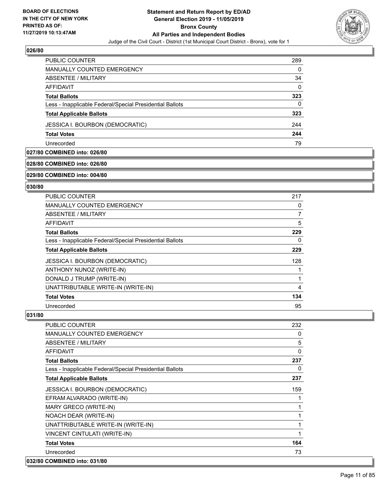

| <b>PUBLIC COUNTER</b>                                    | 289      |
|----------------------------------------------------------|----------|
| <b>MANUALLY COUNTED EMERGENCY</b>                        | 0        |
| ABSENTEE / MILITARY                                      | 34       |
| AFFIDAVIT                                                | $\Omega$ |
| <b>Total Ballots</b>                                     | 323      |
| Less - Inapplicable Federal/Special Presidential Ballots | $\Omega$ |
| <b>Total Applicable Ballots</b>                          | 323      |
| <b>JESSICA I. BOURBON (DEMOCRATIC)</b>                   | 244      |
| <b>Total Votes</b>                                       | 244      |
| Unrecorded                                               | 79       |

#### **027/80 COMBINED into: 026/80**

#### **028/80 COMBINED into: 026/80**

#### **029/80 COMBINED into: 004/80**

#### **030/80**

| <b>PUBLIC COUNTER</b>                                    | 217 |
|----------------------------------------------------------|-----|
| MANUALLY COUNTED EMERGENCY                               | 0   |
| ABSENTEE / MILITARY                                      | 7   |
| <b>AFFIDAVIT</b>                                         | 5   |
| <b>Total Ballots</b>                                     | 229 |
| Less - Inapplicable Federal/Special Presidential Ballots | 0   |
| <b>Total Applicable Ballots</b>                          | 229 |
| <b>JESSICA I. BOURBON (DEMOCRATIC)</b>                   | 128 |
| ANTHONY NUNOZ (WRITE-IN)                                 |     |
| DONALD J TRUMP (WRITE-IN)                                |     |
| UNATTRIBUTABLE WRITE-IN (WRITE-IN)                       | 4   |
| <b>Total Votes</b>                                       | 134 |
| Unrecorded                                               | 95  |

| <b>PUBLIC COUNTER</b>                                    | 232         |
|----------------------------------------------------------|-------------|
| <b>MANUALLY COUNTED EMERGENCY</b>                        | 0           |
| ABSENTEE / MILITARY                                      | 5           |
| <b>AFFIDAVIT</b>                                         | $\mathbf 0$ |
| <b>Total Ballots</b>                                     | 237         |
| Less - Inapplicable Federal/Special Presidential Ballots | 0           |
| <b>Total Applicable Ballots</b>                          | 237         |
| <b>JESSICA I. BOURBON (DEMOCRATIC)</b>                   | 159         |
| EFRAM ALVARADO (WRITE-IN)                                |             |
| MARY GRECO (WRITE-IN)                                    | 1           |
| NOACH DEAR (WRITE-IN)                                    |             |
| UNATTRIBUTABLE WRITE-IN (WRITE-IN)                       | 1           |
| VINCENT CINTULATI (WRITE-IN)                             | 1           |
| <b>Total Votes</b>                                       | 164         |
| Unrecorded                                               | 73          |
| 032/80 COMBINED into: 031/80                             |             |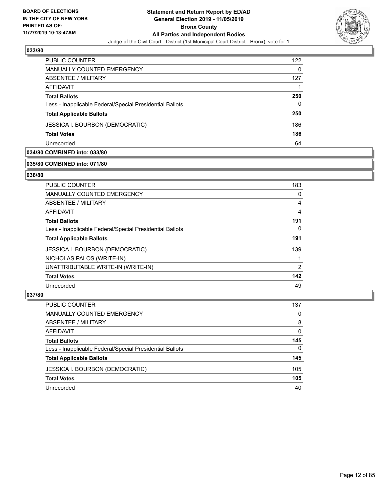

| PUBLIC COUNTER                                           | 122 |
|----------------------------------------------------------|-----|
| <b>MANUALLY COUNTED EMERGENCY</b>                        | 0   |
| ABSENTEE / MILITARY                                      | 127 |
| AFFIDAVIT                                                |     |
| <b>Total Ballots</b>                                     | 250 |
| Less - Inapplicable Federal/Special Presidential Ballots | 0   |
| <b>Total Applicable Ballots</b>                          | 250 |
| <b>JESSICA I. BOURBON (DEMOCRATIC)</b>                   | 186 |
| <b>Total Votes</b>                                       | 186 |
| Unrecorded                                               | 64  |

# **034/80 COMBINED into: 033/80**

#### **035/80 COMBINED into: 071/80**

#### **036/80**

| <b>PUBLIC COUNTER</b>                                    | 183            |
|----------------------------------------------------------|----------------|
| MANUALLY COUNTED EMERGENCY                               | 0              |
| ABSENTEE / MILITARY                                      | 4              |
| AFFIDAVIT                                                | 4              |
| <b>Total Ballots</b>                                     | 191            |
| Less - Inapplicable Federal/Special Presidential Ballots | 0              |
| <b>Total Applicable Ballots</b>                          | 191            |
| <b>JESSICA I. BOURBON (DEMOCRATIC)</b>                   | 139            |
| NICHOLAS PALOS (WRITE-IN)                                |                |
| UNATTRIBUTABLE WRITE-IN (WRITE-IN)                       | $\overline{2}$ |
| <b>Total Votes</b>                                       | 142            |
| Unrecorded                                               | 49             |

| PUBLIC COUNTER                                           | 137      |
|----------------------------------------------------------|----------|
| <b>MANUALLY COUNTED EMERGENCY</b>                        | 0        |
| ABSENTEE / MILITARY                                      | 8        |
| AFFIDAVIT                                                | $\Omega$ |
| <b>Total Ballots</b>                                     | 145      |
| Less - Inapplicable Federal/Special Presidential Ballots | $\Omega$ |
| <b>Total Applicable Ballots</b>                          | 145      |
| <b>JESSICA I. BOURBON (DEMOCRATIC)</b>                   | 105      |
| <b>Total Votes</b>                                       | 105      |
| Unrecorded                                               | 40       |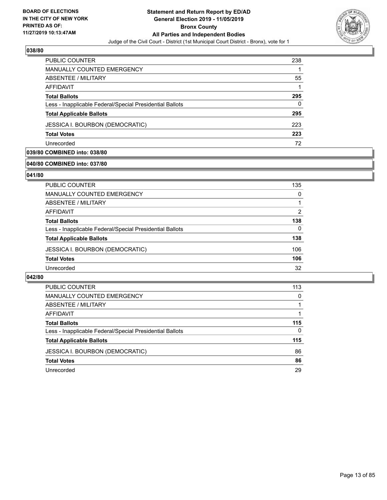

| <b>PUBLIC COUNTER</b>                                    | 238 |
|----------------------------------------------------------|-----|
| <b>MANUALLY COUNTED EMERGENCY</b>                        |     |
| ABSENTEE / MILITARY                                      | 55  |
| AFFIDAVIT                                                |     |
| <b>Total Ballots</b>                                     | 295 |
| Less - Inapplicable Federal/Special Presidential Ballots | 0   |
| <b>Total Applicable Ballots</b>                          | 295 |
| <b>JESSICA I. BOURBON (DEMOCRATIC)</b>                   | 223 |
| <b>Total Votes</b>                                       | 223 |
| Unrecorded                                               | 72  |

# **039/80 COMBINED into: 038/80**

#### **040/80 COMBINED into: 037/80**

#### **041/80**

| PUBLIC COUNTER                                           | 135      |
|----------------------------------------------------------|----------|
| <b>MANUALLY COUNTED EMERGENCY</b>                        | $\Omega$ |
| <b>ABSENTEE / MILITARY</b>                               |          |
| <b>AFFIDAVIT</b>                                         | 2        |
| <b>Total Ballots</b>                                     | 138      |
| Less - Inapplicable Federal/Special Presidential Ballots | 0        |
| <b>Total Applicable Ballots</b>                          | 138      |
| <b>JESSICA I. BOURBON (DEMOCRATIC)</b>                   | 106      |
| <b>Total Votes</b>                                       | 106      |
| Unrecorded                                               | 32       |
|                                                          |          |

| <b>PUBLIC COUNTER</b>                                    | 113 |
|----------------------------------------------------------|-----|
| <b>MANUALLY COUNTED EMERGENCY</b>                        | 0   |
| ABSENTEE / MILITARY                                      |     |
| AFFIDAVIT                                                |     |
| <b>Total Ballots</b>                                     | 115 |
| Less - Inapplicable Federal/Special Presidential Ballots | 0   |
| <b>Total Applicable Ballots</b>                          | 115 |
| <b>JESSICA I. BOURBON (DEMOCRATIC)</b>                   | 86  |
| <b>Total Votes</b>                                       | 86  |
| Unrecorded                                               | 29  |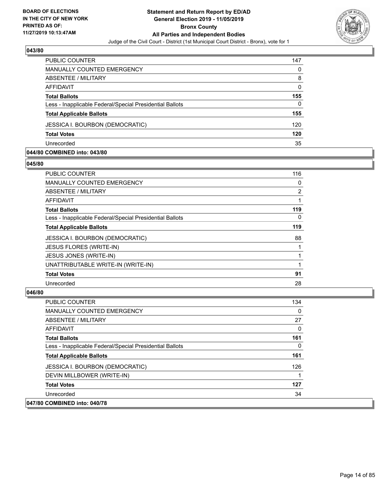

| <b>PUBLIC COUNTER</b>                                    | 147      |
|----------------------------------------------------------|----------|
| MANUALLY COUNTED EMERGENCY                               | 0        |
| ABSENTEE / MILITARY                                      | 8        |
| AFFIDAVIT                                                | $\Omega$ |
| <b>Total Ballots</b>                                     | 155      |
| Less - Inapplicable Federal/Special Presidential Ballots | 0        |
| <b>Total Applicable Ballots</b>                          | 155      |
| <b>JESSICA I. BOURBON (DEMOCRATIC)</b>                   | 120      |
| <b>Total Votes</b>                                       | 120      |
| Unrecorded                                               | 35       |

#### **044/80 COMBINED into: 043/80**

#### **045/80**

| <b>PUBLIC COUNTER</b>                                    | 116 |
|----------------------------------------------------------|-----|
| <b>MANUALLY COUNTED EMERGENCY</b>                        | 0   |
| ABSENTEE / MILITARY                                      | 2   |
| AFFIDAVIT                                                | 1   |
| <b>Total Ballots</b>                                     | 119 |
| Less - Inapplicable Federal/Special Presidential Ballots | 0   |
| <b>Total Applicable Ballots</b>                          | 119 |
| <b>JESSICA I. BOURBON (DEMOCRATIC)</b>                   | 88  |
| <b>JESUS FLORES (WRITE-IN)</b>                           |     |
| JESUS JONES (WRITE-IN)                                   |     |
| UNATTRIBUTABLE WRITE-IN (WRITE-IN)                       |     |
| <b>Total Votes</b>                                       | 91  |
| Unrecorded                                               | 28  |

| <b>PUBLIC COUNTER</b>                                    | 134 |
|----------------------------------------------------------|-----|
| <b>MANUALLY COUNTED EMERGENCY</b>                        | 0   |
| ABSENTEE / MILITARY                                      | 27  |
| AFFIDAVIT                                                | 0   |
| <b>Total Ballots</b>                                     | 161 |
| Less - Inapplicable Federal/Special Presidential Ballots | 0   |
| <b>Total Applicable Ballots</b>                          | 161 |
| <b>JESSICA I. BOURBON (DEMOCRATIC)</b>                   | 126 |
| DEVIN MILLBOWER (WRITE-IN)                               |     |
| <b>Total Votes</b>                                       | 127 |
| Unrecorded                                               | 34  |
| 047/80 COMBINED into: 040/78                             |     |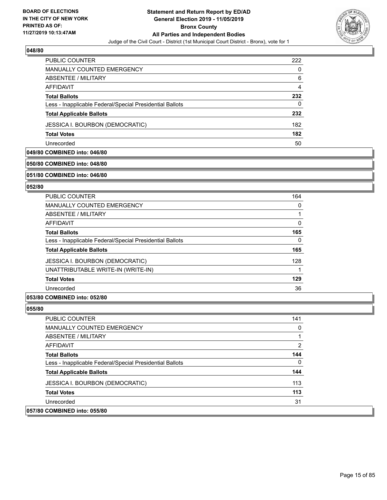

| <b>PUBLIC COUNTER</b>                                    | 222 |
|----------------------------------------------------------|-----|
| MANUALLY COUNTED EMERGENCY                               | 0   |
| ABSENTEE / MILITARY                                      | 6   |
| AFFIDAVIT                                                | 4   |
| <b>Total Ballots</b>                                     | 232 |
| Less - Inapplicable Federal/Special Presidential Ballots | 0   |
| <b>Total Applicable Ballots</b>                          | 232 |
| <b>JESSICA I. BOURBON (DEMOCRATIC)</b>                   | 182 |
| <b>Total Votes</b>                                       | 182 |
| Unrecorded                                               | 50  |

#### **049/80 COMBINED into: 046/80**

#### **050/80 COMBINED into: 048/80**

#### **051/80 COMBINED into: 046/80**

#### **052/80**

| <b>PUBLIC COUNTER</b>                                    | 164      |
|----------------------------------------------------------|----------|
| <b>MANUALLY COUNTED EMERGENCY</b>                        | $\Omega$ |
| ABSENTEE / MILITARY                                      |          |
| AFFIDAVIT                                                | 0        |
| <b>Total Ballots</b>                                     | 165      |
| Less - Inapplicable Federal/Special Presidential Ballots | 0        |
| <b>Total Applicable Ballots</b>                          | 165      |
| <b>JESSICA I. BOURBON (DEMOCRATIC)</b>                   | 128      |
| UNATTRIBUTABLE WRITE-IN (WRITE-IN)                       |          |
| <b>Total Votes</b>                                       | 129      |
| Unrecorded                                               | 36       |
|                                                          |          |

#### **053/80 COMBINED into: 052/80**

| <b>PUBLIC COUNTER</b>                                    | 141 |
|----------------------------------------------------------|-----|
| MANUALLY COUNTED EMERGENCY                               | 0   |
| ABSENTEE / MILITARY                                      |     |
| AFFIDAVIT                                                | 2   |
| <b>Total Ballots</b>                                     | 144 |
| Less - Inapplicable Federal/Special Presidential Ballots | 0   |
| <b>Total Applicable Ballots</b>                          | 144 |
| JESSICA I. BOURBON (DEMOCRATIC)                          | 113 |
| <b>Total Votes</b>                                       | 113 |
| Unrecorded                                               | 31  |
| 057/80 COMBINED into: 055/80                             |     |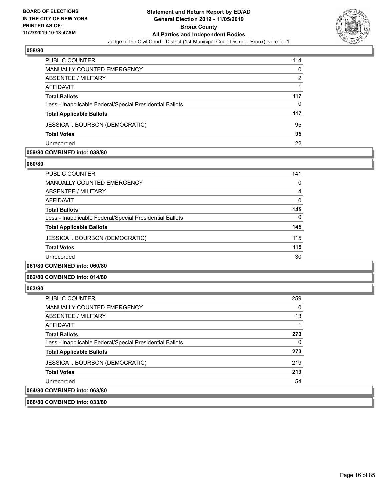

| PUBLIC COUNTER                                           | 114      |
|----------------------------------------------------------|----------|
| MANUALLY COUNTED EMERGENCY                               | $\Omega$ |
| ABSENTEE / MILITARY                                      | 2        |
| AFFIDAVIT                                                |          |
| <b>Total Ballots</b>                                     | 117      |
| Less - Inapplicable Federal/Special Presidential Ballots | 0        |
| <b>Total Applicable Ballots</b>                          | 117      |
| <b>JESSICA I. BOURBON (DEMOCRATIC)</b>                   | 95       |
| <b>Total Votes</b>                                       | 95       |
| Unrecorded                                               | 22       |

#### **059/80 COMBINED into: 038/80**

#### **060/80**

| <b>PUBLIC COUNTER</b>                                    | 141      |
|----------------------------------------------------------|----------|
| <b>MANUALLY COUNTED EMERGENCY</b>                        | 0        |
| ABSENTEE / MILITARY                                      | 4        |
| AFFIDAVIT                                                | $\Omega$ |
| <b>Total Ballots</b>                                     | 145      |
| Less - Inapplicable Federal/Special Presidential Ballots | 0        |
| <b>Total Applicable Ballots</b>                          | 145      |
| JESSICA I. BOURBON (DEMOCRATIC)                          | 115      |
| <b>Total Votes</b>                                       | 115      |
| Unrecorded                                               | 30       |
| 061/80 COMBINED into: 060/80                             |          |

#### **062/80 COMBINED into: 014/80**

#### **063/80**

| PUBLIC COUNTER                                           | 259 |
|----------------------------------------------------------|-----|
| MANUALLY COUNTED EMERGENCY                               | 0   |
| ABSENTEE / MILITARY                                      | 13  |
| AFFIDAVIT                                                |     |
| <b>Total Ballots</b>                                     | 273 |
| Less - Inapplicable Federal/Special Presidential Ballots | 0   |
| <b>Total Applicable Ballots</b>                          | 273 |
| JESSICA I. BOURBON (DEMOCRATIC)                          | 219 |
| <b>Total Votes</b>                                       | 219 |
| Unrecorded                                               | 54  |
| 064/80 COMBINED into: 063/80                             |     |

**066/80 COMBINED into: 033/80**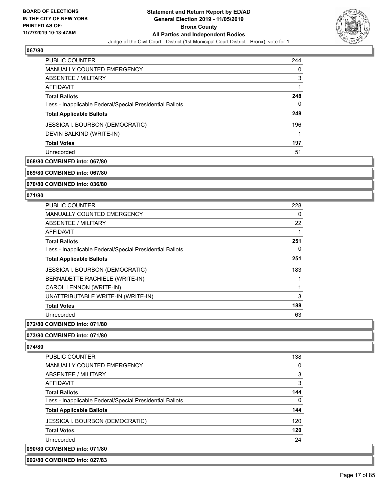

| <b>PUBLIC COUNTER</b>                                    | 244 |
|----------------------------------------------------------|-----|
| MANUALLY COUNTED EMERGENCY                               | 0   |
| ABSENTEE / MILITARY                                      | 3   |
| AFFIDAVIT                                                |     |
| <b>Total Ballots</b>                                     | 248 |
| Less - Inapplicable Federal/Special Presidential Ballots | 0   |
| <b>Total Applicable Ballots</b>                          | 248 |
| <b>JESSICA I. BOURBON (DEMOCRATIC)</b>                   | 196 |
| DEVIN BALKIND (WRITE-IN)                                 |     |
| <b>Total Votes</b>                                       | 197 |
| Unrecorded                                               | 51  |

# **068/80 COMBINED into: 067/80**

**069/80 COMBINED into: 067/80**

#### **070/80 COMBINED into: 036/80**

#### **071/80**

| <b>PUBLIC COUNTER</b>                                    | 228 |
|----------------------------------------------------------|-----|
| <b>MANUALLY COUNTED EMERGENCY</b>                        | 0   |
| ABSENTEE / MILITARY                                      | 22  |
| AFFIDAVIT                                                | 1   |
| <b>Total Ballots</b>                                     | 251 |
| Less - Inapplicable Federal/Special Presidential Ballots | 0   |
| <b>Total Applicable Ballots</b>                          | 251 |
| <b>JESSICA I. BOURBON (DEMOCRATIC)</b>                   | 183 |
| BERNADETTE RACHIELE (WRITE-IN)                           |     |
| CAROL LENNON (WRITE-IN)                                  | 1   |
| UNATTRIBUTABLE WRITE-IN (WRITE-IN)                       | 3   |
| <b>Total Votes</b>                                       | 188 |
| Unrecorded                                               | 63  |

#### **072/80 COMBINED into: 071/80**

#### **073/80 COMBINED into: 071/80**

#### **074/80**

| 090/80 COMBINED into: 071/80                             |          |
|----------------------------------------------------------|----------|
| Unrecorded                                               | 24       |
| <b>Total Votes</b>                                       | 120      |
| JESSICA I. BOURBON (DEMOCRATIC)                          | 120      |
| <b>Total Applicable Ballots</b>                          | 144      |
| Less - Inapplicable Federal/Special Presidential Ballots | $\Omega$ |
| <b>Total Ballots</b>                                     | 144      |
| AFFIDAVIT                                                | 3        |
| ABSENTEE / MILITARY                                      | 3        |
| <b>MANUALLY COUNTED EMERGENCY</b>                        | 0        |
| <b>PUBLIC COUNTER</b>                                    | 138      |

#### **092/80 COMBINED into: 027/83**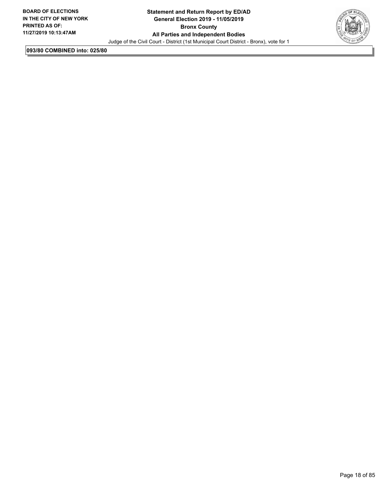

**093/80 COMBINED into: 025/80**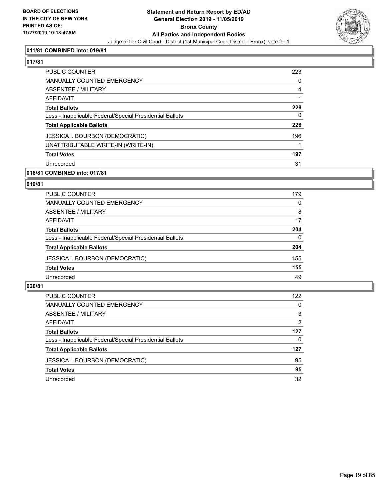

#### **011/81 COMBINED into: 019/81**

# **017/81**

| <b>PUBLIC COUNTER</b>                                    | 223 |
|----------------------------------------------------------|-----|
| <b>MANUALLY COUNTED EMERGENCY</b>                        | 0   |
| ABSENTEE / MILITARY                                      | 4   |
| AFFIDAVIT                                                |     |
| <b>Total Ballots</b>                                     | 228 |
| Less - Inapplicable Federal/Special Presidential Ballots | 0   |
| <b>Total Applicable Ballots</b>                          | 228 |
| <b>JESSICA I. BOURBON (DEMOCRATIC)</b>                   | 196 |
| UNATTRIBUTABLE WRITE-IN (WRITE-IN)                       |     |
| <b>Total Votes</b>                                       | 197 |
| Unrecorded                                               | 31  |
|                                                          |     |

#### **018/81 COMBINED into: 017/81**

#### **019/81**

| PUBLIC COUNTER                                           | 179      |
|----------------------------------------------------------|----------|
| MANUALLY COUNTED EMERGENCY                               | 0        |
| ABSENTEE / MILITARY                                      | 8        |
| AFFIDAVIT                                                | 17       |
| <b>Total Ballots</b>                                     | 204      |
| Less - Inapplicable Federal/Special Presidential Ballots | $\Omega$ |
| <b>Total Applicable Ballots</b>                          | 204      |
| <b>JESSICA I. BOURBON (DEMOCRATIC)</b>                   | 155      |
| <b>Total Votes</b>                                       | 155      |
| Unrecorded                                               | 49       |

| PUBLIC COUNTER                                           | 122      |
|----------------------------------------------------------|----------|
| MANUALLY COUNTED EMERGENCY                               | 0        |
| ABSENTEE / MILITARY                                      | 3        |
| AFFIDAVIT                                                | 2        |
| <b>Total Ballots</b>                                     | 127      |
| Less - Inapplicable Federal/Special Presidential Ballots | $\Omega$ |
| <b>Total Applicable Ballots</b>                          | 127      |
| <b>JESSICA I. BOURBON (DEMOCRATIC)</b>                   | 95       |
| <b>Total Votes</b>                                       | 95       |
| Unrecorded                                               | 32       |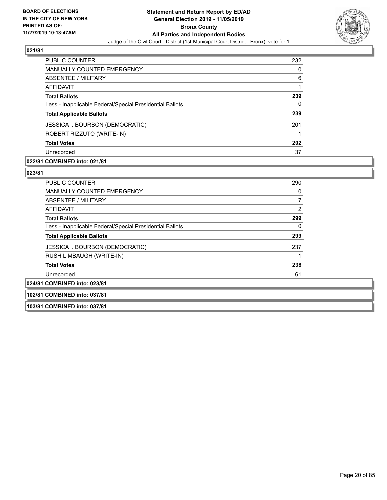

| <b>PUBLIC COUNTER</b>                                    | 232 |
|----------------------------------------------------------|-----|
| <b>MANUALLY COUNTED EMERGENCY</b>                        | 0   |
| ABSENTEE / MILITARY                                      | 6   |
| AFFIDAVIT                                                |     |
| <b>Total Ballots</b>                                     | 239 |
| Less - Inapplicable Federal/Special Presidential Ballots | 0   |
| <b>Total Applicable Ballots</b>                          | 239 |
| <b>JESSICA I. BOURBON (DEMOCRATIC)</b>                   | 201 |
| ROBERT RIZZUTO (WRITE-IN)                                |     |
| <b>Total Votes</b>                                       | 202 |
| Unrecorded                                               | 37  |

#### **022/81 COMBINED into: 021/81**

#### **023/81**

| <b>PUBLIC COUNTER</b>                                    | 290 |
|----------------------------------------------------------|-----|
| <b>MANUALLY COUNTED EMERGENCY</b>                        | 0   |
| ABSENTEE / MILITARY                                      |     |
| AFFIDAVIT                                                | 2   |
| <b>Total Ballots</b>                                     | 299 |
| Less - Inapplicable Federal/Special Presidential Ballots | 0   |
| <b>Total Applicable Ballots</b>                          | 299 |
| <b>JESSICA I. BOURBON (DEMOCRATIC)</b>                   | 237 |
| RUSH LIMBAUGH (WRITE-IN)                                 |     |
| <b>Total Votes</b>                                       | 238 |
| Unrecorded                                               | 61  |
| 024/81 COMBINED into: 023/81                             |     |

#### **102/81 COMBINED into: 037/81**

**103/81 COMBINED into: 037/81**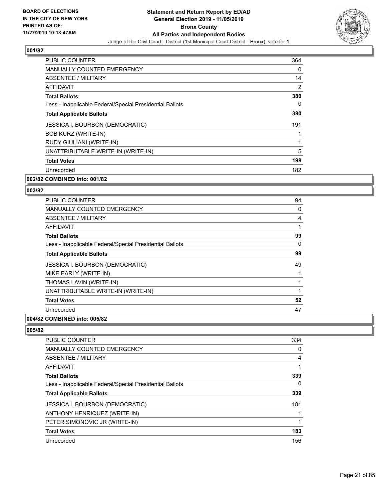

| <b>PUBLIC COUNTER</b>                                    | 364      |
|----------------------------------------------------------|----------|
| <b>MANUALLY COUNTED EMERGENCY</b>                        | $\Omega$ |
| ABSENTEE / MILITARY                                      | 14       |
| AFFIDAVIT                                                | 2        |
| <b>Total Ballots</b>                                     | 380      |
| Less - Inapplicable Federal/Special Presidential Ballots | $\Omega$ |
| <b>Total Applicable Ballots</b>                          | 380      |
| JESSICA I. BOURBON (DEMOCRATIC)                          | 191      |
| <b>BOB KURZ (WRITE-IN)</b>                               |          |
| RUDY GIULIANI (WRITE-IN)                                 |          |
| UNATTRIBUTABLE WRITE-IN (WRITE-IN)                       | 5        |
| <b>Total Votes</b>                                       | 198      |
| Unrecorded                                               | 182      |
| 002/82 COMBINED into: 001/82                             |          |

#### **003/82**

| <b>PUBLIC COUNTER</b>                                    | 94 |
|----------------------------------------------------------|----|
| MANUALLY COUNTED EMERGENCY                               | 0  |
| ABSENTEE / MILITARY                                      | 4  |
| AFFIDAVIT                                                | 1  |
| <b>Total Ballots</b>                                     | 99 |
| Less - Inapplicable Federal/Special Presidential Ballots | 0  |
| <b>Total Applicable Ballots</b>                          | 99 |
| JESSICA I. BOURBON (DEMOCRATIC)                          | 49 |
| MIKE EARLY (WRITE-IN)                                    | 1  |
| THOMAS LAVIN (WRITE-IN)                                  | 1  |
| UNATTRIBUTABLE WRITE-IN (WRITE-IN)                       | 1  |
| <b>Total Votes</b>                                       | 52 |
| Unrecorded                                               | 47 |
|                                                          |    |

#### **004/82 COMBINED into: 005/82**

| <b>PUBLIC COUNTER</b>                                    | 334 |
|----------------------------------------------------------|-----|
| <b>MANUALLY COUNTED EMERGENCY</b>                        | 0   |
| ABSENTEE / MILITARY                                      | 4   |
| AFFIDAVIT                                                |     |
| <b>Total Ballots</b>                                     | 339 |
| Less - Inapplicable Federal/Special Presidential Ballots | 0   |
| <b>Total Applicable Ballots</b>                          | 339 |
| <b>JESSICA I. BOURBON (DEMOCRATIC)</b>                   | 181 |
| ANTHONY HENRIQUEZ (WRITE-IN)                             |     |
| PETER SIMONOVIC JR (WRITE-IN)                            |     |
| <b>Total Votes</b>                                       | 183 |
| Unrecorded                                               | 156 |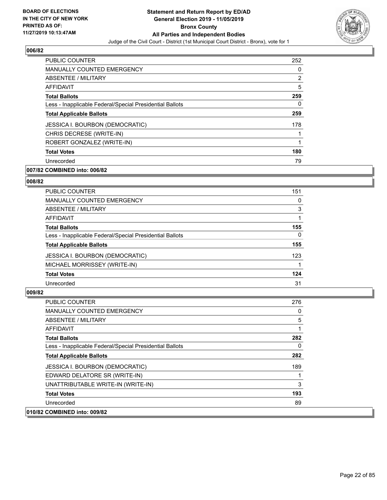

| <b>PUBLIC COUNTER</b>                                    | 252            |
|----------------------------------------------------------|----------------|
| <b>MANUALLY COUNTED EMERGENCY</b>                        | 0              |
| ABSENTEE / MILITARY                                      | $\overline{2}$ |
| <b>AFFIDAVIT</b>                                         | 5              |
| <b>Total Ballots</b>                                     | 259            |
| Less - Inapplicable Federal/Special Presidential Ballots | 0              |
| <b>Total Applicable Ballots</b>                          | 259            |
| <b>JESSICA I. BOURBON (DEMOCRATIC)</b>                   | 178            |
| CHRIS DECRESE (WRITE-IN)                                 |                |
| ROBERT GONZALEZ (WRITE-IN)                               |                |
| <b>Total Votes</b>                                       | 180            |
| Unrecorded                                               | 79             |

#### **007/82 COMBINED into: 006/82**

#### **008/82**

| <b>PUBLIC COUNTER</b>                                    | 151      |
|----------------------------------------------------------|----------|
| <b>MANUALLY COUNTED EMERGENCY</b>                        | 0        |
| ABSENTEE / MILITARY                                      | 3        |
| AFFIDAVIT                                                |          |
| <b>Total Ballots</b>                                     | 155      |
| Less - Inapplicable Federal/Special Presidential Ballots | $\Omega$ |
| <b>Total Applicable Ballots</b>                          | 155      |
| <b>JESSICA I. BOURBON (DEMOCRATIC)</b>                   | 123      |
| MICHAEL MORRISSEY (WRITE-IN)                             |          |
| <b>Total Votes</b>                                       | 124      |
| Unrecorded                                               | 31       |

| <b>PUBLIC COUNTER</b>                                    | 276 |
|----------------------------------------------------------|-----|
| MANUALLY COUNTED EMERGENCY                               | 0   |
| ABSENTEE / MILITARY                                      | 5   |
| AFFIDAVIT                                                |     |
| <b>Total Ballots</b>                                     | 282 |
| Less - Inapplicable Federal/Special Presidential Ballots | 0   |
| <b>Total Applicable Ballots</b>                          | 282 |
| <b>JESSICA I. BOURBON (DEMOCRATIC)</b>                   | 189 |
| EDWARD DELATORE SR (WRITE-IN)                            |     |
| UNATTRIBUTABLE WRITE-IN (WRITE-IN)                       | 3   |
| <b>Total Votes</b>                                       | 193 |
| Unrecorded                                               | 89  |
| 010/82 COMBINED into: 009/82                             |     |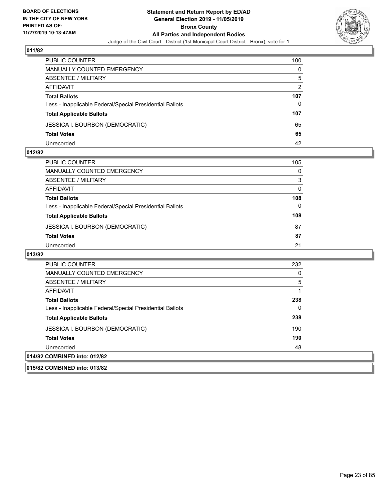

| <b>PUBLIC COUNTER</b>                                    | 100           |
|----------------------------------------------------------|---------------|
| MANUALLY COUNTED EMERGENCY                               | $\Omega$      |
| <b>ABSENTEE / MILITARY</b>                               | 5             |
| AFFIDAVIT                                                | $\mathcal{P}$ |
| <b>Total Ballots</b>                                     | 107           |
| Less - Inapplicable Federal/Special Presidential Ballots | 0             |
| <b>Total Applicable Ballots</b>                          | 107           |
| <b>JESSICA I. BOURBON (DEMOCRATIC)</b>                   | 65            |
| <b>Total Votes</b>                                       | 65            |
| Unrecorded                                               | 42            |

#### **012/82**

| PUBLIC COUNTER                                           | 105 |
|----------------------------------------------------------|-----|
| <b>MANUALLY COUNTED EMERGENCY</b>                        | 0   |
| ABSENTEE / MILITARY                                      | 3   |
| AFFIDAVIT                                                | 0   |
| <b>Total Ballots</b>                                     | 108 |
| Less - Inapplicable Federal/Special Presidential Ballots | 0   |
| <b>Total Applicable Ballots</b>                          | 108 |
| <b>JESSICA I. BOURBON (DEMOCRATIC)</b>                   | 87  |
| <b>Total Votes</b>                                       | 87  |
| Unrecorded                                               | 21  |

| PUBLIC COUNTER                                           | 232      |
|----------------------------------------------------------|----------|
| <b>MANUALLY COUNTED EMERGENCY</b>                        | 0        |
| ABSENTEE / MILITARY                                      | 5        |
| AFFIDAVIT                                                |          |
| <b>Total Ballots</b>                                     | 238      |
| Less - Inapplicable Federal/Special Presidential Ballots | $\Omega$ |
| <b>Total Applicable Ballots</b>                          | 238      |
| JESSICA I. BOURBON (DEMOCRATIC)                          | 190      |
| <b>Total Votes</b>                                       | 190      |
| Unrecorded                                               | 48       |
| 014/82 COMBINED into: 012/82                             |          |
| 015/82 COMBINED into: 013/82                             |          |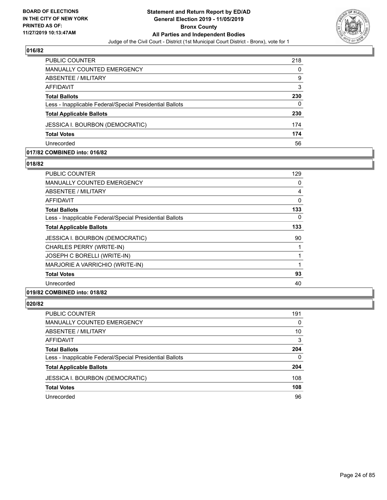

| PUBLIC COUNTER                                           | 218 |
|----------------------------------------------------------|-----|
| MANUALLY COUNTED EMERGENCY                               | 0   |
| ABSENTEE / MILITARY                                      | 9   |
| AFFIDAVIT                                                | 3   |
| <b>Total Ballots</b>                                     | 230 |
| Less - Inapplicable Federal/Special Presidential Ballots | 0   |
| <b>Total Applicable Ballots</b>                          | 230 |
| <b>JESSICA I. BOURBON (DEMOCRATIC)</b>                   | 174 |
| <b>Total Votes</b>                                       | 174 |
| Unrecorded                                               | 56  |

#### **017/82 COMBINED into: 016/82**

#### **018/82**

| <b>PUBLIC COUNTER</b>                                    | 129      |
|----------------------------------------------------------|----------|
| <b>MANUALLY COUNTED EMERGENCY</b>                        | 0        |
| <b>ABSENTEE / MILITARY</b>                               | 4        |
| AFFIDAVIT                                                | 0        |
| <b>Total Ballots</b>                                     | 133      |
| Less - Inapplicable Federal/Special Presidential Ballots | $\Omega$ |
| <b>Total Applicable Ballots</b>                          | 133      |
| <b>JESSICA I. BOURBON (DEMOCRATIC)</b>                   | 90       |
| CHARLES PERRY (WRITE-IN)                                 |          |
| JOSEPH C BORELLI (WRITE-IN)                              |          |
| MARJORIE A VARRICHIO (WRITE-IN)                          | 1        |
| <b>Total Votes</b>                                       | 93       |
| Unrecorded                                               | 40       |
| 019/82 COMBINED into: 018/82                             |          |

| PUBLIC COUNTER                                           | 191      |
|----------------------------------------------------------|----------|
| MANUALLY COUNTED EMERGENCY                               | $\Omega$ |
| ABSENTEE / MILITARY                                      | 10       |
| AFFIDAVIT                                                | 3        |
| <b>Total Ballots</b>                                     | 204      |
| Less - Inapplicable Federal/Special Presidential Ballots | $\Omega$ |
| <b>Total Applicable Ballots</b>                          | 204      |
| <b>JESSICA I. BOURBON (DEMOCRATIC)</b>                   | 108      |
| <b>Total Votes</b>                                       | 108      |
| Unrecorded                                               | 96       |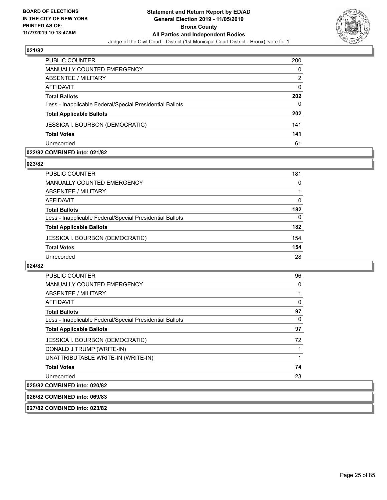

| PUBLIC COUNTER                                           | 200      |
|----------------------------------------------------------|----------|
| <b>MANUALLY COUNTED EMERGENCY</b>                        | 0        |
| ABSENTEE / MILITARY                                      | 2        |
| AFFIDAVIT                                                | $\Omega$ |
| <b>Total Ballots</b>                                     | 202      |
| Less - Inapplicable Federal/Special Presidential Ballots | 0        |
| <b>Total Applicable Ballots</b>                          | 202      |
| <b>JESSICA I. BOURBON (DEMOCRATIC)</b>                   | 141      |
| <b>Total Votes</b>                                       | 141      |
| Unrecorded                                               | 61       |

#### **022/82 COMBINED into: 021/82**

#### **023/82**

| <b>PUBLIC COUNTER</b>                                    | 181 |
|----------------------------------------------------------|-----|
| MANUALLY COUNTED EMERGENCY                               | 0   |
| ABSENTEE / MILITARY                                      |     |
| AFFIDAVIT                                                | 0   |
| <b>Total Ballots</b>                                     | 182 |
| Less - Inapplicable Federal/Special Presidential Ballots | 0   |
| <b>Total Applicable Ballots</b>                          | 182 |
| <b>JESSICA I. BOURBON (DEMOCRATIC)</b>                   | 154 |
| <b>Total Votes</b>                                       | 154 |
| Unrecorded                                               | 28  |

#### **024/82**

| <b>PUBLIC COUNTER</b>                                               | 96 |
|---------------------------------------------------------------------|----|
| <b>MANUALLY COUNTED EMERGENCY</b>                                   | 0  |
| ABSENTEE / MILITARY                                                 |    |
| <b>AFFIDAVIT</b>                                                    | 0  |
| <b>Total Ballots</b>                                                | 97 |
| Less - Inapplicable Federal/Special Presidential Ballots            | 0  |
| <b>Total Applicable Ballots</b>                                     | 97 |
| <b>JESSICA I. BOURBON (DEMOCRATIC)</b>                              | 72 |
| DONALD J TRUMP (WRITE-IN)                                           |    |
| UNATTRIBUTABLE WRITE-IN (WRITE-IN)                                  |    |
| <b>Total Votes</b>                                                  | 74 |
| Unrecorded                                                          | 23 |
| $A$ $A$ $B$ $B$ $B$ $B$ $A$ $A$ $A$ $A$ $A$ $A$ $A$ $A$ $A$ $A$ $A$ |    |

# **025/82 COMBINED into: 020/82**

**026/82 COMBINED into: 069/83**

**027/82 COMBINED into: 023/82**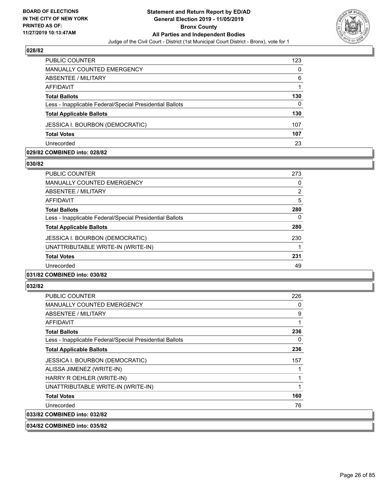

| <b>PUBLIC COUNTER</b>                                    | 123 |
|----------------------------------------------------------|-----|
| MANUALLY COUNTED EMERGENCY                               | 0   |
| ABSENTEE / MILITARY                                      | 6   |
| AFFIDAVIT                                                |     |
| <b>Total Ballots</b>                                     | 130 |
| Less - Inapplicable Federal/Special Presidential Ballots | 0   |
| <b>Total Applicable Ballots</b>                          | 130 |
| <b>JESSICA I. BOURBON (DEMOCRATIC)</b>                   | 107 |
| <b>Total Votes</b>                                       | 107 |
| Unrecorded                                               | 23  |

#### **029/82 COMBINED into: 028/82**

#### **030/82**

| PUBLIC COUNTER                                           | 273            |
|----------------------------------------------------------|----------------|
| <b>MANUALLY COUNTED EMERGENCY</b>                        | 0              |
| ABSENTEE / MILITARY                                      | $\overline{2}$ |
| AFFIDAVIT                                                | 5              |
| <b>Total Ballots</b>                                     | 280            |
| Less - Inapplicable Federal/Special Presidential Ballots | 0              |
| <b>Total Applicable Ballots</b>                          | 280            |
| <b>JESSICA I. BOURBON (DEMOCRATIC)</b>                   | 230            |
| UNATTRIBUTABLE WRITE-IN (WRITE-IN)                       | 1              |
| <b>Total Votes</b>                                       | 231            |
| Unrecorded                                               | 49             |
|                                                          |                |

# **031/82 COMBINED into: 030/82**

#### **032/82**

| <b>PUBLIC COUNTER</b>                                    | 226 |
|----------------------------------------------------------|-----|
| <b>MANUALLY COUNTED EMERGENCY</b>                        | 0   |
| ABSENTEE / MILITARY                                      | 9   |
| AFFIDAVIT                                                | 1   |
| <b>Total Ballots</b>                                     | 236 |
| Less - Inapplicable Federal/Special Presidential Ballots | 0   |
| <b>Total Applicable Ballots</b>                          | 236 |
| JESSICA I. BOURBON (DEMOCRATIC)                          | 157 |
| ALISSA JIMENEZ (WRITE-IN)                                |     |
| HARRY R OEHLER (WRITE-IN)                                | 1   |
| UNATTRIBUTABLE WRITE-IN (WRITE-IN)                       | 1   |
| <b>Total Votes</b>                                       | 160 |
| Unrecorded                                               | 76  |
| 033/82 COMBINED into: 032/82                             |     |

**034/82 COMBINED into: 035/82**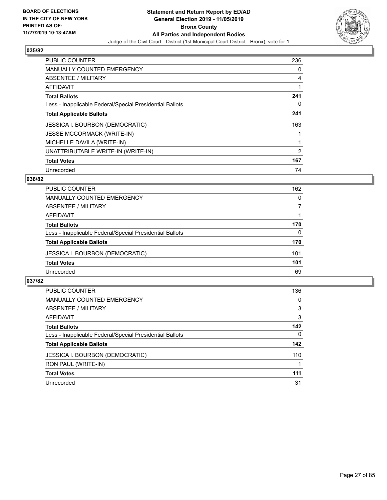

| PUBLIC COUNTER                                           | 236 |
|----------------------------------------------------------|-----|
| <b>MANUALLY COUNTED EMERGENCY</b>                        | 0   |
| ABSENTEE / MILITARY                                      | 4   |
| AFFIDAVIT                                                |     |
| <b>Total Ballots</b>                                     | 241 |
| Less - Inapplicable Federal/Special Presidential Ballots | 0   |
| <b>Total Applicable Ballots</b>                          | 241 |
| <b>JESSICA I. BOURBON (DEMOCRATIC)</b>                   | 163 |
| <b>JESSE MCCORMACK (WRITE-IN)</b>                        |     |
| MICHELLE DAVILA (WRITE-IN)                               |     |
| UNATTRIBUTABLE WRITE-IN (WRITE-IN)                       | 2   |
| <b>Total Votes</b>                                       | 167 |
| Unrecorded                                               | 74  |

#### **036/82**

| <b>PUBLIC COUNTER</b>                                    | 162      |
|----------------------------------------------------------|----------|
| MANUALLY COUNTED EMERGENCY                               | 0        |
| ABSENTEE / MILITARY                                      | 7        |
| AFFIDAVIT                                                |          |
| <b>Total Ballots</b>                                     | 170      |
| Less - Inapplicable Federal/Special Presidential Ballots | $\Omega$ |
| <b>Total Applicable Ballots</b>                          | 170      |
| <b>JESSICA I. BOURBON (DEMOCRATIC)</b>                   | 101      |
| <b>Total Votes</b>                                       | 101      |
| Unrecorded                                               | 69       |

| <b>PUBLIC COUNTER</b>                                    | 136      |
|----------------------------------------------------------|----------|
| <b>MANUALLY COUNTED EMERGENCY</b>                        | 0        |
| ABSENTEE / MILITARY                                      | 3        |
| AFFIDAVIT                                                | 3        |
| <b>Total Ballots</b>                                     | 142      |
| Less - Inapplicable Federal/Special Presidential Ballots | $\Omega$ |
| <b>Total Applicable Ballots</b>                          | 142      |
| <b>JESSICA I. BOURBON (DEMOCRATIC)</b>                   | 110      |
| RON PAUL (WRITE-IN)                                      |          |
| <b>Total Votes</b>                                       | 111      |
| Unrecorded                                               | 31       |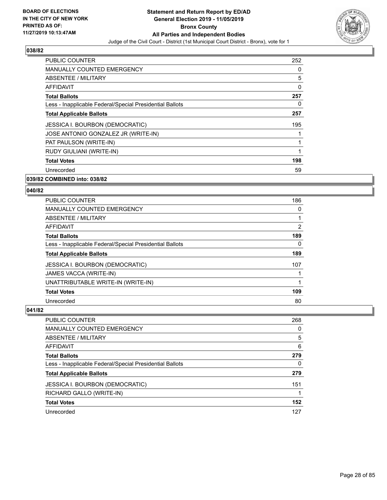

| <b>PUBLIC COUNTER</b>                                    | 252 |
|----------------------------------------------------------|-----|
| <b>MANUALLY COUNTED EMERGENCY</b>                        | 0   |
| ABSENTEE / MILITARY                                      | 5   |
| AFFIDAVIT                                                | 0   |
| <b>Total Ballots</b>                                     | 257 |
| Less - Inapplicable Federal/Special Presidential Ballots | 0   |
| <b>Total Applicable Ballots</b>                          | 257 |
| <b>JESSICA I. BOURBON (DEMOCRATIC)</b>                   | 195 |
| JOSE ANTONIO GONZALEZ JR (WRITE-IN)                      |     |
| PAT PAULSON (WRITE-IN)                                   |     |
| RUDY GIULIANI (WRITE-IN)                                 |     |
| <b>Total Votes</b>                                       | 198 |
| Unrecorded                                               | 59  |
|                                                          |     |

# **039/82 COMBINED into: 038/82**

#### **040/82**

| <b>PUBLIC COUNTER</b>                                    | 186            |
|----------------------------------------------------------|----------------|
| <b>MANUALLY COUNTED EMERGENCY</b>                        | 0              |
| ABSENTEE / MILITARY                                      |                |
| AFFIDAVIT                                                | $\overline{2}$ |
| <b>Total Ballots</b>                                     | 189            |
| Less - Inapplicable Federal/Special Presidential Ballots | $\Omega$       |
| <b>Total Applicable Ballots</b>                          | 189            |
| <b>JESSICA I. BOURBON (DEMOCRATIC)</b>                   | 107            |
| JAMES VACCA (WRITE-IN)                                   |                |
| UNATTRIBUTABLE WRITE-IN (WRITE-IN)                       |                |
| <b>Total Votes</b>                                       | 109            |
| Unrecorded                                               | 80             |

| <b>PUBLIC COUNTER</b>                                    | 268      |
|----------------------------------------------------------|----------|
| MANUALLY COUNTED EMERGENCY                               | 0        |
| ABSENTEE / MILITARY                                      | 5        |
| AFFIDAVIT                                                | 6        |
| <b>Total Ballots</b>                                     | 279      |
| Less - Inapplicable Federal/Special Presidential Ballots | $\Omega$ |
| <b>Total Applicable Ballots</b>                          | 279      |
| <b>JESSICA I. BOURBON (DEMOCRATIC)</b>                   | 151      |
| RICHARD GALLO (WRITE-IN)                                 |          |
| <b>Total Votes</b>                                       | 152      |
| Unrecorded                                               | 127      |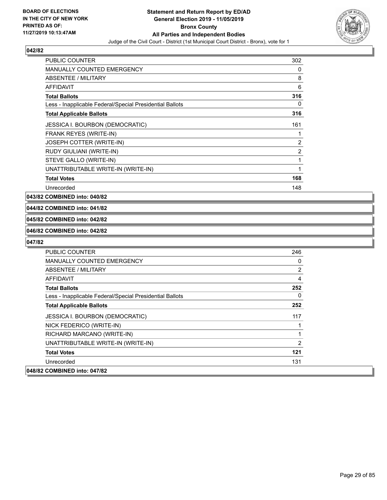

| <b>PUBLIC COUNTER</b>                                    | 302 |
|----------------------------------------------------------|-----|
| <b>MANUALLY COUNTED EMERGENCY</b>                        | 0   |
| ABSENTEE / MILITARY                                      | 8   |
| <b>AFFIDAVIT</b>                                         | 6   |
| <b>Total Ballots</b>                                     | 316 |
| Less - Inapplicable Federal/Special Presidential Ballots | 0   |
| <b>Total Applicable Ballots</b>                          | 316 |
| JESSICA I. BOURBON (DEMOCRATIC)                          | 161 |
| FRANK REYES (WRITE-IN)                                   | 1   |
| JOSEPH COTTER (WRITE-IN)                                 | 2   |
| RUDY GIULIANI (WRITE-IN)                                 | 2   |
| STEVE GALLO (WRITE-IN)                                   | 1   |
| UNATTRIBUTABLE WRITE-IN (WRITE-IN)                       | 1   |
| <b>Total Votes</b>                                       | 168 |
| Unrecorded                                               | 148 |

**043/82 COMBINED into: 040/82**

### **044/82 COMBINED into: 041/82**

#### **045/82 COMBINED into: 042/82**

#### **046/82 COMBINED into: 042/82**

| <b>PUBLIC COUNTER</b>                                    | 246      |
|----------------------------------------------------------|----------|
| <b>MANUALLY COUNTED EMERGENCY</b>                        | 0        |
| ABSENTEE / MILITARY                                      | 2        |
| <b>AFFIDAVIT</b>                                         | 4        |
| <b>Total Ballots</b>                                     | 252      |
| Less - Inapplicable Federal/Special Presidential Ballots | $\Omega$ |
| <b>Total Applicable Ballots</b>                          | 252      |
| <b>JESSICA I. BOURBON (DEMOCRATIC)</b>                   | 117      |
| NICK FEDERICO (WRITE-IN)                                 | 1        |
| RICHARD MARCANO (WRITE-IN)                               | 1        |
| UNATTRIBUTABLE WRITE-IN (WRITE-IN)                       | 2        |
| <b>Total Votes</b>                                       | 121      |
| Unrecorded                                               | 131      |
| 048/82 COMBINED into: 047/82                             |          |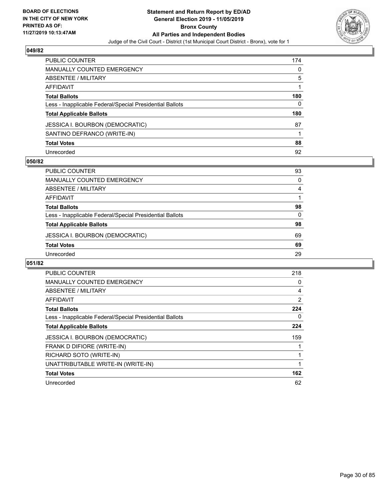

| PUBLIC COUNTER                                           | 174 |
|----------------------------------------------------------|-----|
| <b>MANUALLY COUNTED EMERGENCY</b>                        | 0   |
| <b>ABSENTEE / MILITARY</b>                               | 5   |
| AFFIDAVIT                                                |     |
| <b>Total Ballots</b>                                     | 180 |
| Less - Inapplicable Federal/Special Presidential Ballots | 0   |
| <b>Total Applicable Ballots</b>                          | 180 |
| <b>JESSICA I. BOURBON (DEMOCRATIC)</b>                   | 87  |
| SANTINO DEFRANCO (WRITE-IN)                              |     |
| <b>Total Votes</b>                                       | 88  |
| Unrecorded                                               | 92  |

#### **050/82**

| <b>PUBLIC COUNTER</b>                                    | 93 |
|----------------------------------------------------------|----|
| <b>MANUALLY COUNTED EMERGENCY</b>                        | 0  |
| ABSENTEE / MILITARY                                      | 4  |
| AFFIDAVIT                                                |    |
| <b>Total Ballots</b>                                     | 98 |
| Less - Inapplicable Federal/Special Presidential Ballots | 0  |
| <b>Total Applicable Ballots</b>                          | 98 |
| JESSICA I. BOURBON (DEMOCRATIC)                          | 69 |
| <b>Total Votes</b>                                       | 69 |
| Unrecorded                                               | 29 |
|                                                          |    |

| PUBLIC COUNTER                                           | 218 |
|----------------------------------------------------------|-----|
| <b>MANUALLY COUNTED EMERGENCY</b>                        | 0   |
| ABSENTEE / MILITARY                                      | 4   |
| AFFIDAVIT                                                | 2   |
| <b>Total Ballots</b>                                     | 224 |
| Less - Inapplicable Federal/Special Presidential Ballots | 0   |
| <b>Total Applicable Ballots</b>                          | 224 |
| <b>JESSICA I. BOURBON (DEMOCRATIC)</b>                   | 159 |
| FRANK D DIFIORE (WRITE-IN)                               |     |
| RICHARD SOTO (WRITE-IN)                                  |     |
| UNATTRIBUTABLE WRITE-IN (WRITE-IN)                       |     |
| <b>Total Votes</b>                                       | 162 |
| Unrecorded                                               | 62  |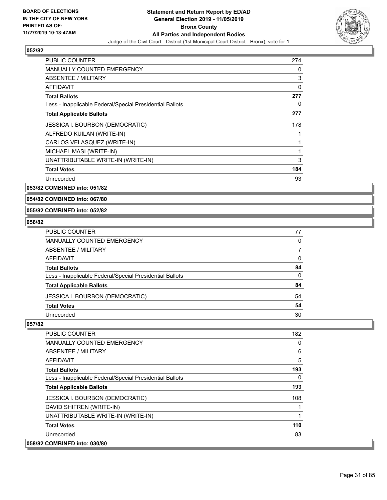

| <b>PUBLIC COUNTER</b>                                    | 274 |
|----------------------------------------------------------|-----|
| <b>MANUALLY COUNTED EMERGENCY</b>                        | 0   |
| <b>ABSENTEE / MILITARY</b>                               | 3   |
| <b>AFFIDAVIT</b>                                         | 0   |
| <b>Total Ballots</b>                                     | 277 |
| Less - Inapplicable Federal/Special Presidential Ballots | 0   |
| <b>Total Applicable Ballots</b>                          | 277 |
| <b>JESSICA I. BOURBON (DEMOCRATIC)</b>                   | 178 |
| ALFREDO KUILAN (WRITE-IN)                                |     |
| CARLOS VELASQUEZ (WRITE-IN)                              | 1   |
| MICHAEL MASI (WRITE-IN)                                  | 1   |
| UNATTRIBUTABLE WRITE-IN (WRITE-IN)                       | 3   |
| <b>Total Votes</b>                                       | 184 |
| Unrecorded                                               | 93  |

**053/82 COMBINED into: 051/82**

**054/82 COMBINED into: 067/80**

#### **055/82 COMBINED into: 052/82**

#### **056/82**

| PUBLIC COUNTER                                           | 77 |
|----------------------------------------------------------|----|
| <b>MANUALLY COUNTED EMERGENCY</b>                        | 0  |
| ABSENTEE / MILITARY                                      |    |
| AFFIDAVIT                                                | 0  |
| <b>Total Ballots</b>                                     | 84 |
| Less - Inapplicable Federal/Special Presidential Ballots | 0  |
| <b>Total Applicable Ballots</b>                          | 84 |
| <b>JESSICA I. BOURBON (DEMOCRATIC)</b>                   | 54 |
| <b>Total Votes</b>                                       | 54 |
| Unrecorded                                               | 30 |

| <b>PUBLIC COUNTER</b>                                    | 182      |
|----------------------------------------------------------|----------|
| <b>MANUALLY COUNTED EMERGENCY</b>                        | 0        |
| ABSENTEE / MILITARY                                      | 6        |
| AFFIDAVIT                                                | 5        |
| <b>Total Ballots</b>                                     | 193      |
| Less - Inapplicable Federal/Special Presidential Ballots | $\Omega$ |
| <b>Total Applicable Ballots</b>                          | 193      |
| <b>JESSICA I. BOURBON (DEMOCRATIC)</b>                   | 108      |
| DAVID SHIFREN (WRITE-IN)                                 |          |
| UNATTRIBUTABLE WRITE-IN (WRITE-IN)                       |          |
| <b>Total Votes</b>                                       | 110      |
| Unrecorded                                               | 83       |
| 058/82 COMBINED into: 030/80                             |          |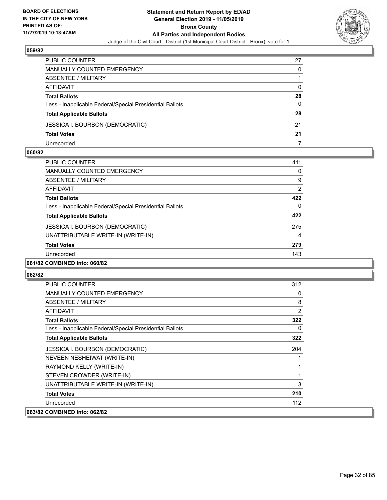

| PUBLIC COUNTER                                           | 27 |
|----------------------------------------------------------|----|
| <b>MANUALLY COUNTED EMERGENCY</b>                        | 0  |
| ABSENTEE / MILITARY                                      |    |
| AFFIDAVIT                                                | 0  |
| <b>Total Ballots</b>                                     | 28 |
| Less - Inapplicable Federal/Special Presidential Ballots | 0  |
| <b>Total Applicable Ballots</b>                          | 28 |
| JESSICA I. BOURBON (DEMOCRATIC)                          | 21 |
| <b>Total Votes</b>                                       | 21 |
| Unrecorded                                               |    |

#### **060/82**

| <b>PUBLIC COUNTER</b>                                    | 411            |
|----------------------------------------------------------|----------------|
| <b>MANUALLY COUNTED EMERGENCY</b>                        | 0              |
| <b>ABSENTEE / MILITARY</b>                               | 9              |
| AFFIDAVIT                                                | $\overline{2}$ |
| <b>Total Ballots</b>                                     | 422            |
| Less - Inapplicable Federal/Special Presidential Ballots | 0              |
| <b>Total Applicable Ballots</b>                          | 422            |
| <b>JESSICA I. BOURBON (DEMOCRATIC)</b>                   | 275            |
| UNATTRIBUTABLE WRITE-IN (WRITE-IN)                       | 4              |
| <b>Total Votes</b>                                       | 279            |
| Unrecorded                                               | 143            |
| 061/82 COMBINED into: 060/82                             |                |

| PUBLIC COUNTER                                           | 312            |
|----------------------------------------------------------|----------------|
| <b>MANUALLY COUNTED EMERGENCY</b>                        | 0              |
| ABSENTEE / MILITARY                                      | 8              |
| <b>AFFIDAVIT</b>                                         | $\overline{2}$ |
| <b>Total Ballots</b>                                     | 322            |
| Less - Inapplicable Federal/Special Presidential Ballots | 0              |
| <b>Total Applicable Ballots</b>                          | 322            |
| <b>JESSICA I. BOURBON (DEMOCRATIC)</b>                   | 204            |
| NEVEEN NESHEIWAT (WRITE-IN)                              |                |
| RAYMOND KELLY (WRITE-IN)                                 | 1              |
| STEVEN CROWDER (WRITE-IN)                                | 1              |
| UNATTRIBUTABLE WRITE-IN (WRITE-IN)                       | 3              |
| <b>Total Votes</b>                                       | 210            |
| Unrecorded                                               | 112            |
| 063/82 COMBINED into: 062/82                             |                |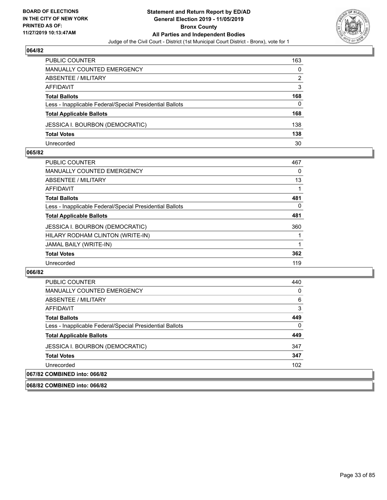

| PUBLIC COUNTER                                           | 163 |
|----------------------------------------------------------|-----|
| MANUALLY COUNTED EMERGENCY                               | 0   |
| ABSENTEE / MILITARY                                      | 2   |
| AFFIDAVIT                                                | 3   |
| <b>Total Ballots</b>                                     | 168 |
| Less - Inapplicable Federal/Special Presidential Ballots | 0   |
| <b>Total Applicable Ballots</b>                          | 168 |
| <b>JESSICA I. BOURBON (DEMOCRATIC)</b>                   | 138 |
| <b>Total Votes</b>                                       | 138 |
| Unrecorded                                               | 30  |

#### **065/82**

| <b>PUBLIC COUNTER</b>                                    | 467 |
|----------------------------------------------------------|-----|
| MANUALLY COUNTED EMERGENCY                               | 0   |
| ABSENTEE / MILITARY                                      | 13  |
| AFFIDAVIT                                                |     |
| <b>Total Ballots</b>                                     | 481 |
| Less - Inapplicable Federal/Special Presidential Ballots | 0   |
| <b>Total Applicable Ballots</b>                          | 481 |
| <b>JESSICA I. BOURBON (DEMOCRATIC)</b>                   | 360 |
| HILARY RODHAM CLINTON (WRITE-IN)                         |     |
| JAMAL BAILY (WRITE-IN)                                   |     |
| <b>Total Votes</b>                                       | 362 |
| Unrecorded                                               | 119 |
|                                                          |     |

| <b>PUBLIC COUNTER</b>                                    | 440 |
|----------------------------------------------------------|-----|
| <b>MANUALLY COUNTED EMERGENCY</b>                        | 0   |
| ABSENTEE / MILITARY                                      | 6   |
| AFFIDAVIT                                                | 3   |
| <b>Total Ballots</b>                                     | 449 |
| Less - Inapplicable Federal/Special Presidential Ballots | 0   |
| <b>Total Applicable Ballots</b>                          | 449 |
| <b>JESSICA I. BOURBON (DEMOCRATIC)</b>                   | 347 |
| <b>Total Votes</b>                                       | 347 |
| Unrecorded                                               | 102 |
| 067/82 COMBINED into: 066/82                             |     |
| 068/82 COMBINED into: 066/82                             |     |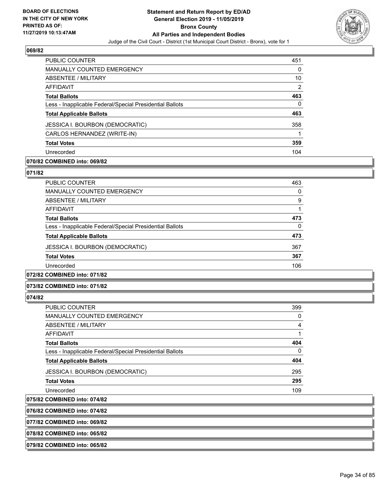

| <b>PUBLIC COUNTER</b>                                    | 451 |
|----------------------------------------------------------|-----|
| <b>MANUALLY COUNTED EMERGENCY</b>                        | 0   |
| ABSENTEE / MILITARY                                      | 10  |
| AFFIDAVIT                                                | 2   |
| <b>Total Ballots</b>                                     | 463 |
| Less - Inapplicable Federal/Special Presidential Ballots | 0   |
| <b>Total Applicable Ballots</b>                          | 463 |
| <b>JESSICA I. BOURBON (DEMOCRATIC)</b>                   | 358 |
| CARLOS HERNANDEZ (WRITE-IN)                              |     |
| <b>Total Votes</b>                                       | 359 |
| Unrecorded                                               | 104 |

#### **070/82 COMBINED into: 069/82**

#### **071/82**

| <b>PUBLIC COUNTER</b>                                    | 463 |
|----------------------------------------------------------|-----|
| <b>MANUALLY COUNTED EMERGENCY</b>                        | 0   |
| ABSENTEE / MILITARY                                      | 9   |
| AFFIDAVIT                                                |     |
| <b>Total Ballots</b>                                     | 473 |
| Less - Inapplicable Federal/Special Presidential Ballots | 0   |
| <b>Total Applicable Ballots</b>                          | 473 |
| <b>JESSICA I. BOURBON (DEMOCRATIC)</b>                   | 367 |
| <b>Total Votes</b>                                       | 367 |
| Unrecorded                                               | 106 |
|                                                          |     |

# **072/82 COMBINED into: 071/82**

#### **073/82 COMBINED into: 071/82**

#### **074/82**

| PUBLIC COUNTER                                           | 399      |
|----------------------------------------------------------|----------|
| <b>MANUALLY COUNTED EMERGENCY</b>                        | $\Omega$ |
| ABSENTEE / MILITARY                                      | 4        |
| AFFIDAVIT                                                |          |
| <b>Total Ballots</b>                                     | 404      |
| Less - Inapplicable Federal/Special Presidential Ballots | $\Omega$ |
| <b>Total Applicable Ballots</b>                          | 404      |
| <b>JESSICA I. BOURBON (DEMOCRATIC)</b>                   | 295      |
| <b>Total Votes</b>                                       | 295      |
| Unrecorded                                               | 109      |
|                                                          |          |

#### **075/82 COMBINED into: 074/82**

**076/82 COMBINED into: 074/82**

#### **077/82 COMBINED into: 069/82**

**078/82 COMBINED into: 065/82**

#### **079/82 COMBINED into: 065/82**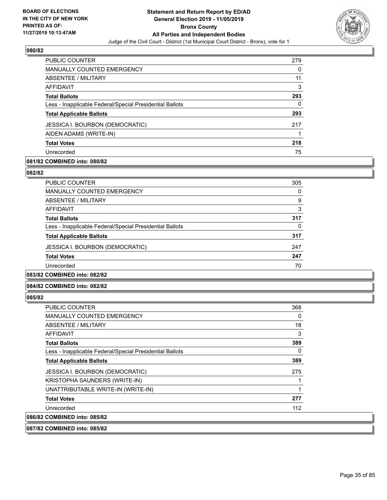

| <b>PUBLIC COUNTER</b>                                    | 279 |
|----------------------------------------------------------|-----|
| <b>MANUALLY COUNTED EMERGENCY</b>                        | 0   |
| ABSENTEE / MILITARY                                      | 11  |
| AFFIDAVIT                                                | 3   |
| <b>Total Ballots</b>                                     | 293 |
| Less - Inapplicable Federal/Special Presidential Ballots | 0   |
| <b>Total Applicable Ballots</b>                          | 293 |
| <b>JESSICA I. BOURBON (DEMOCRATIC)</b>                   | 217 |
| AIDEN ADAMS (WRITE-IN)                                   |     |
| <b>Total Votes</b>                                       | 218 |
| Unrecorded                                               | 75  |

#### **081/82 COMBINED into: 080/82**

#### **082/82**

| <b>PUBLIC COUNTER</b>                                    | 305 |
|----------------------------------------------------------|-----|
| <b>MANUALLY COUNTED EMERGENCY</b>                        | 0   |
| ABSENTEE / MILITARY                                      | 9   |
| AFFIDAVIT                                                | 3   |
| <b>Total Ballots</b>                                     | 317 |
| Less - Inapplicable Federal/Special Presidential Ballots | 0   |
| <b>Total Applicable Ballots</b>                          | 317 |
| <b>JESSICA I. BOURBON (DEMOCRATIC)</b>                   | 247 |
| <b>Total Votes</b>                                       | 247 |
| Unrecorded                                               | 70  |
|                                                          |     |

# **083/82 COMBINED into: 082/82**

#### **084/82 COMBINED into: 082/82**

#### **085/82**

| <b>PUBLIC COUNTER</b>                                    | 368 |
|----------------------------------------------------------|-----|
| <b>MANUALLY COUNTED EMERGENCY</b>                        | 0   |
| ABSENTEE / MILITARY                                      | 18  |
| <b>AFFIDAVIT</b>                                         | 3   |
| <b>Total Ballots</b>                                     | 389 |
| Less - Inapplicable Federal/Special Presidential Ballots | 0   |
| <b>Total Applicable Ballots</b>                          | 389 |
| <b>JESSICA I. BOURBON (DEMOCRATIC)</b>                   | 275 |
| KRISTOPHA SAUNDERS (WRITE-IN)                            |     |
| UNATTRIBUTABLE WRITE-IN (WRITE-IN)                       | 1   |
| <b>Total Votes</b>                                       | 277 |
| Unrecorded                                               | 112 |
| 086/82 COMBINED into: 085/82                             |     |

**087/82 COMBINED into: 085/82**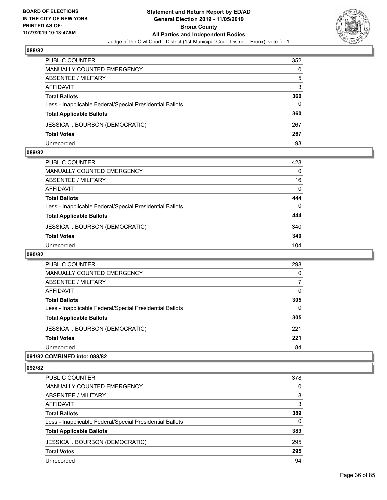

| PUBLIC COUNTER                                           | 352 |
|----------------------------------------------------------|-----|
| <b>MANUALLY COUNTED EMERGENCY</b>                        | 0   |
| <b>ABSENTEE / MILITARY</b>                               | 5   |
| AFFIDAVIT                                                | 3   |
| <b>Total Ballots</b>                                     | 360 |
| Less - Inapplicable Federal/Special Presidential Ballots | 0   |
| <b>Total Applicable Ballots</b>                          | 360 |
| <b>JESSICA I. BOURBON (DEMOCRATIC)</b>                   | 267 |
| <b>Total Votes</b>                                       | 267 |
| Unrecorded                                               | 93  |

#### **089/82**

| PUBLIC COUNTER                                           | 428      |
|----------------------------------------------------------|----------|
| <b>MANUALLY COUNTED EMERGENCY</b>                        | 0        |
| ABSENTEE / MILITARY                                      | 16       |
| AFFIDAVIT                                                | $\Omega$ |
| <b>Total Ballots</b>                                     | 444      |
| Less - Inapplicable Federal/Special Presidential Ballots | $\Omega$ |
| <b>Total Applicable Ballots</b>                          | 444      |
| <b>JESSICA I. BOURBON (DEMOCRATIC)</b>                   | 340      |
| <b>Total Votes</b>                                       | 340      |
| Unrecorded                                               | 104      |
|                                                          |          |

#### **090/82**

| <b>PUBLIC COUNTER</b>                                    | 298      |
|----------------------------------------------------------|----------|
| <b>MANUALLY COUNTED EMERGENCY</b>                        | $\Omega$ |
| ABSENTEE / MILITARY                                      |          |
| AFFIDAVIT                                                | 0        |
| <b>Total Ballots</b>                                     | 305      |
| Less - Inapplicable Federal/Special Presidential Ballots | $\Omega$ |
| <b>Total Applicable Ballots</b>                          | 305      |
| <b>JESSICA I. BOURBON (DEMOCRATIC)</b>                   | 221      |
| <b>Total Votes</b>                                       | 221      |
| Unrecorded                                               | 84       |
|                                                          |          |

#### **091/82 COMBINED into: 088/82**

| PUBLIC COUNTER                                           | 378      |
|----------------------------------------------------------|----------|
| <b>MANUALLY COUNTED EMERGENCY</b>                        | $\Omega$ |
| <b>ABSENTEE / MILITARY</b>                               | 8        |
| AFFIDAVIT                                                | 3        |
| <b>Total Ballots</b>                                     | 389      |
| Less - Inapplicable Federal/Special Presidential Ballots | $\Omega$ |
| <b>Total Applicable Ballots</b>                          | 389      |
| <b>JESSICA I. BOURBON (DEMOCRATIC)</b>                   | 295      |
| <b>Total Votes</b>                                       | 295      |
| Unrecorded                                               | 94       |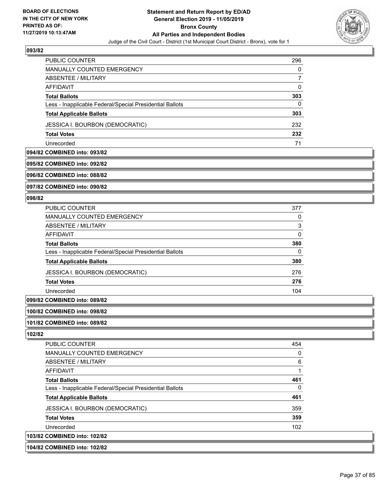

| <b>PUBLIC COUNTER</b>                                    | 296 |
|----------------------------------------------------------|-----|
| <b>MANUALLY COUNTED EMERGENCY</b>                        | 0   |
| ABSENTEE / MILITARY                                      |     |
| AFFIDAVIT                                                | 0   |
| <b>Total Ballots</b>                                     | 303 |
| Less - Inapplicable Federal/Special Presidential Ballots | 0   |
| <b>Total Applicable Ballots</b>                          | 303 |
| JESSICA I. BOURBON (DEMOCRATIC)                          | 232 |
| <b>Total Votes</b>                                       | 232 |
| Unrecorded                                               | 71  |

### **094/82 COMBINED into: 093/82**

# **095/82 COMBINED into: 092/82**

**096/82 COMBINED into: 088/82**

**097/82 COMBINED into: 090/82**

#### **098/82**

| <b>PUBLIC COUNTER</b>                                    | 377 |
|----------------------------------------------------------|-----|
| <b>MANUALLY COUNTED EMERGENCY</b>                        | 0   |
| <b>ABSENTEE / MILITARY</b>                               | 3   |
| <b>AFFIDAVIT</b>                                         | 0   |
| <b>Total Ballots</b>                                     | 380 |
| Less - Inapplicable Federal/Special Presidential Ballots | 0   |
| <b>Total Applicable Ballots</b>                          | 380 |
| <b>JESSICA I. BOURBON (DEMOCRATIC)</b>                   | 276 |
| <b>Total Votes</b>                                       | 276 |
| Unrecorded                                               | 104 |
|                                                          |     |

# **099/82 COMBINED into: 089/82**

**100/82 COMBINED into: 098/82**

#### **101/82 COMBINED into: 089/82**

| <b>PUBLIC COUNTER</b>                                    | 454 |
|----------------------------------------------------------|-----|
| MANUALLY COUNTED EMERGENCY                               | 0   |
| ABSENTEE / MILITARY                                      | 6   |
| AFFIDAVIT                                                |     |
| <b>Total Ballots</b>                                     | 461 |
| Less - Inapplicable Federal/Special Presidential Ballots | 0   |
| <b>Total Applicable Ballots</b>                          | 461 |
| <b>JESSICA I. BOURBON (DEMOCRATIC)</b>                   | 359 |
| <b>Total Votes</b>                                       | 359 |
| Unrecorded                                               | 102 |
| 103/82 COMBINED into: 102/82                             |     |
| 104/82 COMBINED into: 102/82                             |     |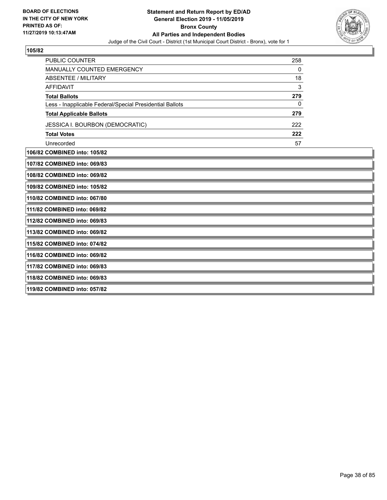

| 106/82 COMBINED into: 105/82                             |     |
|----------------------------------------------------------|-----|
| Unrecorded                                               | 57  |
| <b>Total Votes</b>                                       | 222 |
| JESSICA I. BOURBON (DEMOCRATIC)                          | 222 |
| <b>Total Applicable Ballots</b>                          | 279 |
| Less - Inapplicable Federal/Special Presidential Ballots | 0   |
| <b>Total Ballots</b>                                     | 279 |
| AFFIDAVIT                                                | 3   |
| ABSENTEE / MILITARY                                      | 18  |
| <b>MANUALLY COUNTED EMERGENCY</b>                        | 0   |
| <b>PUBLIC COUNTER</b>                                    | 258 |

 $108/8$ **109/82 COMBINED into: 105/82**

**110/82 COMBINED into: 067/80**

**111/82 COMBINED into: 069/82**

**112/82 COMBINED into: 069/83**

**113/82 COMBINED into: 069/82**

**115/82 COMBINED into: 074/82**

**116/82 COMBINED into: 069/82**

**117/82 COMBINED into: 069/83**

**118/82 COMBINED into: 069/83**

**119/82 COMBINED into: 057/82**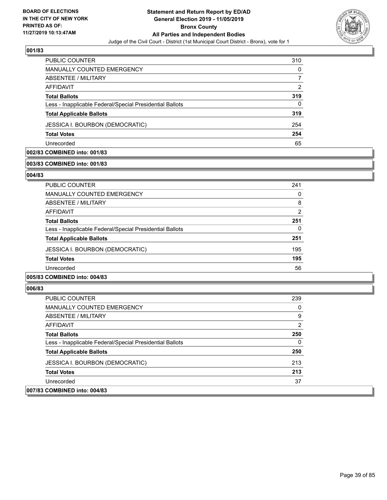

| <b>PUBLIC COUNTER</b>                                    | 310 |
|----------------------------------------------------------|-----|
| <b>MANUALLY COUNTED EMERGENCY</b>                        | 0   |
| ABSENTEE / MILITARY                                      |     |
| AFFIDAVIT                                                | 2   |
| <b>Total Ballots</b>                                     | 319 |
| Less - Inapplicable Federal/Special Presidential Ballots | 0   |
| <b>Total Applicable Ballots</b>                          | 319 |
| <b>JESSICA I. BOURBON (DEMOCRATIC)</b>                   | 254 |
| <b>Total Votes</b>                                       | 254 |
| Unrecorded                                               | 65  |

# **002/83 COMBINED into: 001/83**

#### **003/83 COMBINED into: 001/83**

#### **004/83**

| <b>PUBLIC COUNTER</b>                                    | 241           |
|----------------------------------------------------------|---------------|
| <b>MANUALLY COUNTED EMERGENCY</b>                        | 0             |
| ABSENTEE / MILITARY                                      | 8             |
| AFFIDAVIT                                                | $\mathcal{P}$ |
| <b>Total Ballots</b>                                     | 251           |
| Less - Inapplicable Federal/Special Presidential Ballots | 0             |
| <b>Total Applicable Ballots</b>                          | 251           |
| <b>JESSICA I. BOURBON (DEMOCRATIC)</b>                   | 195           |
| <b>Total Votes</b>                                       | 195           |
| Unrecorded                                               | 56            |
|                                                          |               |

# **005/83 COMBINED into: 004/83**

| PUBLIC COUNTER                                           | 239 |
|----------------------------------------------------------|-----|
| <b>MANUALLY COUNTED EMERGENCY</b>                        | 0   |
| ABSENTEE / MILITARY                                      | 9   |
| AFFIDAVIT                                                | 2   |
| <b>Total Ballots</b>                                     | 250 |
| Less - Inapplicable Federal/Special Presidential Ballots | 0   |
| <b>Total Applicable Ballots</b>                          | 250 |
| <b>JESSICA I. BOURBON (DEMOCRATIC)</b>                   | 213 |
| <b>Total Votes</b>                                       | 213 |
| Unrecorded                                               | 37  |
| 007/83 COMBINED into: 004/83                             |     |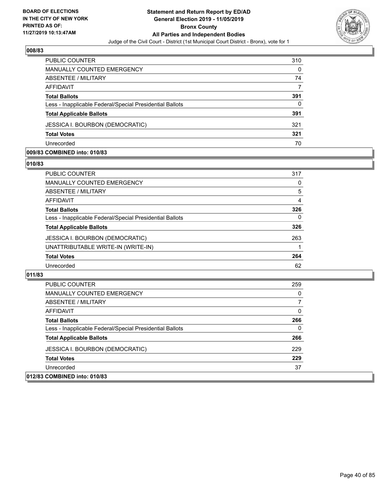

| PUBLIC COUNTER                                           | 310      |
|----------------------------------------------------------|----------|
| MANUALLY COUNTED EMERGENCY                               | $\Omega$ |
| ABSENTEE / MILITARY                                      | 74       |
| AFFIDAVIT                                                | 7        |
| <b>Total Ballots</b>                                     | 391      |
| Less - Inapplicable Federal/Special Presidential Ballots | 0        |
| <b>Total Applicable Ballots</b>                          | 391      |
| <b>JESSICA I. BOURBON (DEMOCRATIC)</b>                   | 321      |
| <b>Total Votes</b>                                       | 321      |
| Unrecorded                                               | 70       |

#### **009/83 COMBINED into: 010/83**

#### **010/83**

| <b>PUBLIC COUNTER</b>                                    | 317 |
|----------------------------------------------------------|-----|
| <b>MANUALLY COUNTED EMERGENCY</b>                        | 0   |
| <b>ABSENTEE / MILITARY</b>                               | 5   |
| <b>AFFIDAVIT</b>                                         | 4   |
| <b>Total Ballots</b>                                     | 326 |
| Less - Inapplicable Federal/Special Presidential Ballots | 0   |
| <b>Total Applicable Ballots</b>                          | 326 |
| <b>JESSICA I. BOURBON (DEMOCRATIC)</b>                   | 263 |
| UNATTRIBUTABLE WRITE-IN (WRITE-IN)                       |     |
| <b>Total Votes</b>                                       | 264 |
| Unrecorded                                               | 62  |

| <b>PUBLIC COUNTER</b>                                    | 259          |
|----------------------------------------------------------|--------------|
| <b>MANUALLY COUNTED EMERGENCY</b>                        | 0            |
| ABSENTEE / MILITARY                                      |              |
| AFFIDAVIT                                                | $\Omega$     |
| <b>Total Ballots</b>                                     | 266          |
| Less - Inapplicable Federal/Special Presidential Ballots | $\mathbf{0}$ |
| <b>Total Applicable Ballots</b>                          | 266          |
| <b>JESSICA I. BOURBON (DEMOCRATIC)</b>                   | 229          |
| <b>Total Votes</b>                                       | 229          |
| Unrecorded                                               | 37           |
| 012/83 COMBINED into: 010/83                             |              |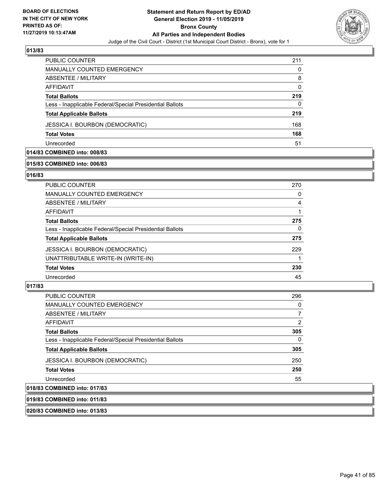

| <b>PUBLIC COUNTER</b>                                    | 211 |
|----------------------------------------------------------|-----|
| <b>MANUALLY COUNTED EMERGENCY</b>                        | 0   |
| ABSENTEE / MILITARY                                      | 8   |
| AFFIDAVIT                                                | 0   |
| <b>Total Ballots</b>                                     | 219 |
| Less - Inapplicable Federal/Special Presidential Ballots | 0   |
| <b>Total Applicable Ballots</b>                          | 219 |
| <b>JESSICA I. BOURBON (DEMOCRATIC)</b>                   | 168 |
| <b>Total Votes</b>                                       | 168 |
| Unrecorded                                               | 51  |

# **014/83 COMBINED into: 008/83**

### **015/83 COMBINED into: 006/83**

#### **016/83**

| PUBLIC COUNTER                                           | 270 |
|----------------------------------------------------------|-----|
| <b>MANUALLY COUNTED EMERGENCY</b>                        | 0   |
| ABSENTEE / MILITARY                                      | 4   |
| <b>AFFIDAVIT</b>                                         |     |
| <b>Total Ballots</b>                                     | 275 |
| Less - Inapplicable Federal/Special Presidential Ballots | 0   |
| <b>Total Applicable Ballots</b>                          | 275 |
| JESSICA I. BOURBON (DEMOCRATIC)                          | 229 |
| UNATTRIBUTABLE WRITE-IN (WRITE-IN)                       |     |
| <b>Total Votes</b>                                       | 230 |
| Unrecorded                                               | 45  |
|                                                          |     |

# **017/83**

| <b>PUBLIC COUNTER</b>                                    | 296          |
|----------------------------------------------------------|--------------|
| <b>MANUALLY COUNTED EMERGENCY</b>                        | 0            |
| ABSENTEE / MILITARY                                      |              |
| AFFIDAVIT                                                | 2            |
| <b>Total Ballots</b>                                     | 305          |
| Less - Inapplicable Federal/Special Presidential Ballots | $\mathbf{0}$ |
| <b>Total Applicable Ballots</b>                          | 305          |
| <b>JESSICA I. BOURBON (DEMOCRATIC)</b>                   | 250          |
| <b>Total Votes</b>                                       | 250          |
| Unrecorded                                               | 55           |
| 018/83 COMBINED into: 017/83                             |              |

**019/83 COMBINED into: 011/83**

**020/83 COMBINED into: 013/83**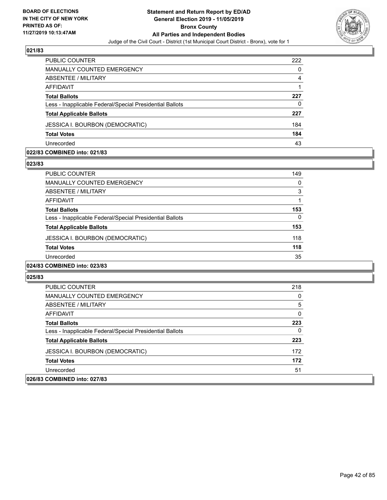

| PUBLIC COUNTER                                           | 222 |
|----------------------------------------------------------|-----|
| <b>MANUALLY COUNTED EMERGENCY</b>                        | 0   |
| ABSENTEE / MILITARY                                      | 4   |
| AFFIDAVIT                                                |     |
| <b>Total Ballots</b>                                     | 227 |
| Less - Inapplicable Federal/Special Presidential Ballots | 0   |
| <b>Total Applicable Ballots</b>                          | 227 |
| <b>JESSICA I. BOURBON (DEMOCRATIC)</b>                   | 184 |
| <b>Total Votes</b>                                       | 184 |
| Unrecorded                                               | 43  |

#### **022/83 COMBINED into: 021/83**

#### **023/83**

| <b>PUBLIC COUNTER</b>                                    | 149 |
|----------------------------------------------------------|-----|
| <b>MANUALLY COUNTED EMERGENCY</b>                        | 0   |
| ABSENTEE / MILITARY                                      | 3   |
| AFFIDAVIT                                                | 1   |
| <b>Total Ballots</b>                                     | 153 |
| Less - Inapplicable Federal/Special Presidential Ballots | 0   |
| <b>Total Applicable Ballots</b>                          | 153 |
| JESSICA I. BOURBON (DEMOCRATIC)                          | 118 |
| <b>Total Votes</b>                                       | 118 |
| Unrecorded                                               | 35  |
| 024/83 COMBINED into: 023/83                             |     |

| <b>PUBLIC COUNTER</b>                                    | 218          |
|----------------------------------------------------------|--------------|
| <b>MANUALLY COUNTED EMERGENCY</b>                        | $\Omega$     |
| ABSENTEE / MILITARY                                      | 5            |
| AFFIDAVIT                                                | $\mathbf{0}$ |
| <b>Total Ballots</b>                                     | 223          |
| Less - Inapplicable Federal/Special Presidential Ballots | $\Omega$     |
| <b>Total Applicable Ballots</b>                          | 223          |
| <b>JESSICA I. BOURBON (DEMOCRATIC)</b>                   | 172          |
| <b>Total Votes</b>                                       | 172          |
| Unrecorded                                               | 51           |
| 026/83 COMBINED into: 027/83                             |              |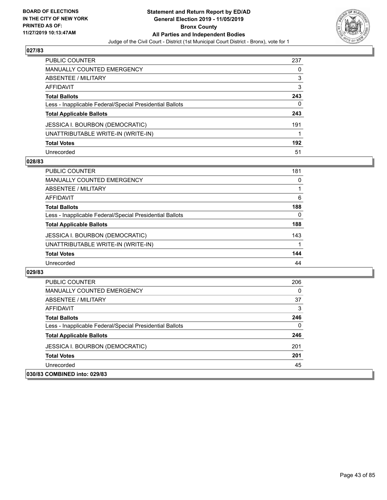

| PUBLIC COUNTER                                           | 237 |
|----------------------------------------------------------|-----|
| <b>MANUALLY COUNTED EMERGENCY</b>                        | 0   |
| <b>ABSENTEE / MILITARY</b>                               | 3   |
| AFFIDAVIT                                                | 3   |
| <b>Total Ballots</b>                                     | 243 |
| Less - Inapplicable Federal/Special Presidential Ballots | 0   |
| <b>Total Applicable Ballots</b>                          | 243 |
| JESSICA I. BOURBON (DEMOCRATIC)                          | 191 |
| UNATTRIBUTABLE WRITE-IN (WRITE-IN)                       |     |
| <b>Total Votes</b>                                       | 192 |
| Unrecorded                                               | 51  |

#### **028/83**

| <b>PUBLIC COUNTER</b>                                    | 181      |
|----------------------------------------------------------|----------|
| <b>MANUALLY COUNTED EMERGENCY</b>                        | $\Omega$ |
| ABSENTEE / MILITARY                                      |          |
| AFFIDAVIT                                                | 6        |
| <b>Total Ballots</b>                                     | 188      |
| Less - Inapplicable Federal/Special Presidential Ballots | 0        |
| <b>Total Applicable Ballots</b>                          | 188      |
| <b>JESSICA I. BOURBON (DEMOCRATIC)</b>                   | 143      |
| UNATTRIBUTABLE WRITE-IN (WRITE-IN)                       |          |
| <b>Total Votes</b>                                       | 144      |
| Unrecorded                                               | 44       |

| <b>PUBLIC COUNTER</b>                                    | 206 |
|----------------------------------------------------------|-----|
| <b>MANUALLY COUNTED EMERGENCY</b>                        | 0   |
| ABSENTEE / MILITARY                                      | 37  |
| AFFIDAVIT                                                | 3   |
| <b>Total Ballots</b>                                     | 246 |
| Less - Inapplicable Federal/Special Presidential Ballots | 0   |
| <b>Total Applicable Ballots</b>                          | 246 |
| <b>JESSICA I. BOURBON (DEMOCRATIC)</b>                   | 201 |
| <b>Total Votes</b>                                       | 201 |
| Unrecorded                                               | 45  |
| 030/83 COMBINED into: 029/83                             |     |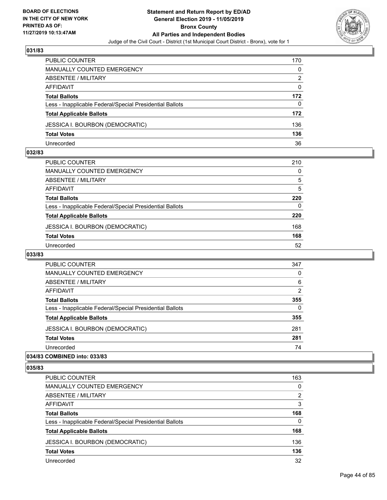

| PUBLIC COUNTER                                           | 170 |
|----------------------------------------------------------|-----|
| MANUALLY COUNTED EMERGENCY                               | 0   |
| <b>ABSENTEE / MILITARY</b>                               | 2   |
| AFFIDAVIT                                                | 0   |
| <b>Total Ballots</b>                                     | 172 |
| Less - Inapplicable Federal/Special Presidential Ballots | 0   |
| <b>Total Applicable Ballots</b>                          | 172 |
| <b>JESSICA I. BOURBON (DEMOCRATIC)</b>                   | 136 |
| <b>Total Votes</b>                                       | 136 |
| Unrecorded                                               | 36  |

#### **032/83**

| <b>PUBLIC COUNTER</b>                                    | 210 |
|----------------------------------------------------------|-----|
| MANUALLY COUNTED EMERGENCY                               | 0   |
| <b>ABSENTEE / MILITARY</b>                               | 5   |
| AFFIDAVIT                                                | 5   |
| <b>Total Ballots</b>                                     | 220 |
| Less - Inapplicable Federal/Special Presidential Ballots | 0   |
| <b>Total Applicable Ballots</b>                          | 220 |
| <b>JESSICA I. BOURBON (DEMOCRATIC)</b>                   | 168 |
| <b>Total Votes</b>                                       | 168 |
| Unrecorded                                               | 52  |
|                                                          |     |

# **033/83**

| <b>PUBLIC COUNTER</b>                                    | 347      |
|----------------------------------------------------------|----------|
| <b>MANUALLY COUNTED EMERGENCY</b>                        | $\Omega$ |
| ABSENTEE / MILITARY                                      | 6        |
| <b>AFFIDAVIT</b>                                         | 2        |
| <b>Total Ballots</b>                                     | 355      |
| Less - Inapplicable Federal/Special Presidential Ballots | $\Omega$ |
| <b>Total Applicable Ballots</b>                          | 355      |
| <b>JESSICA I. BOURBON (DEMOCRATIC)</b>                   | 281      |
| <b>Total Votes</b>                                       | 281      |
| Unrecorded                                               | 74       |
|                                                          |          |

# **034/83 COMBINED into: 033/83**

| PUBLIC COUNTER                                           | 163      |
|----------------------------------------------------------|----------|
| <b>MANUALLY COUNTED EMERGENCY</b>                        | $\Omega$ |
| ABSENTEE / MILITARY                                      | 2        |
| AFFIDAVIT                                                | 3        |
| <b>Total Ballots</b>                                     | 168      |
| Less - Inapplicable Federal/Special Presidential Ballots | $\Omega$ |
| <b>Total Applicable Ballots</b>                          | 168      |
| <b>JESSICA I. BOURBON (DEMOCRATIC)</b>                   | 136      |
| <b>Total Votes</b>                                       | 136      |
| Unrecorded                                               | 32       |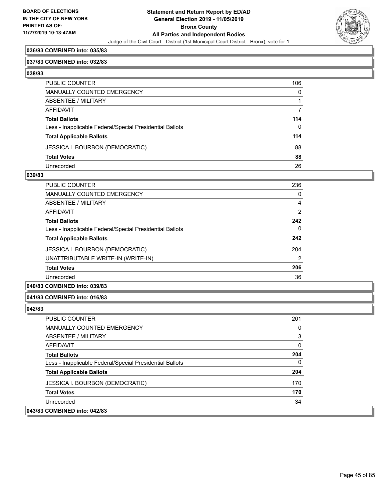

### **036/83 COMBINED into: 035/83**

#### **037/83 COMBINED into: 032/83**

**038/83** 

| PUBLIC COUNTER                                           | 106          |
|----------------------------------------------------------|--------------|
| MANUALLY COUNTED EMERGENCY                               | $\mathbf 0$  |
| ABSENTEE / MILITARY                                      |              |
| AFFIDAVIT                                                | 7            |
| <b>Total Ballots</b>                                     | 114          |
| Less - Inapplicable Federal/Special Presidential Ballots | $\mathbf{0}$ |
| <b>Total Applicable Ballots</b>                          | 114          |
| JESSICA I. BOURBON (DEMOCRATIC)                          | 88           |
| <b>Total Votes</b>                                       | 88           |
| Unrecorded                                               | 26           |

#### **039/83**

| <b>PUBLIC COUNTER</b>                                    | 236      |
|----------------------------------------------------------|----------|
| <b>MANUALLY COUNTED EMERGENCY</b>                        | 0        |
| ABSENTEE / MILITARY                                      | 4        |
| AFFIDAVIT                                                | 2        |
| <b>Total Ballots</b>                                     | 242      |
| Less - Inapplicable Federal/Special Presidential Ballots | $\Omega$ |
| <b>Total Applicable Ballots</b>                          | 242      |
| <b>JESSICA I. BOURBON (DEMOCRATIC)</b>                   | 204      |
| UNATTRIBUTABLE WRITE-IN (WRITE-IN)                       | 2        |
| <b>Total Votes</b>                                       | 206      |
| Unrecorded                                               | 36       |
|                                                          |          |

# **040/83 COMBINED into: 039/83**

#### **041/83 COMBINED into: 016/83**

| <b>PUBLIC COUNTER</b>                                    | 201      |
|----------------------------------------------------------|----------|
| <b>MANUALLY COUNTED EMERGENCY</b>                        | 0        |
| ABSENTEE / MILITARY                                      | 3        |
| AFFIDAVIT                                                | $\Omega$ |
| <b>Total Ballots</b>                                     | 204      |
| Less - Inapplicable Federal/Special Presidential Ballots | 0        |
| <b>Total Applicable Ballots</b>                          | 204      |
| JESSICA I. BOURBON (DEMOCRATIC)                          | 170      |
| <b>Total Votes</b>                                       | 170      |
| Unrecorded                                               | 34       |
| 043/83 COMBINED into: 042/83                             |          |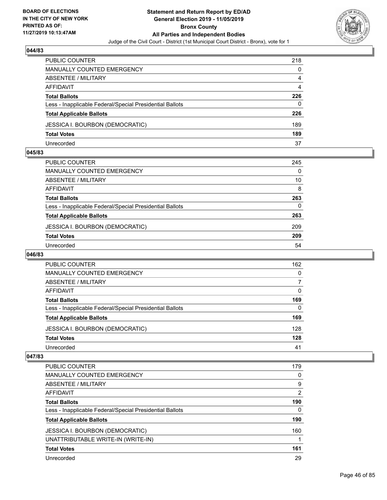

| <b>PUBLIC COUNTER</b>                                    | 218 |
|----------------------------------------------------------|-----|
| <b>MANUALLY COUNTED EMERGENCY</b>                        | 0   |
| ABSENTEE / MILITARY                                      | 4   |
| AFFIDAVIT                                                | 4   |
| <b>Total Ballots</b>                                     | 226 |
| Less - Inapplicable Federal/Special Presidential Ballots | 0   |
| <b>Total Applicable Ballots</b>                          | 226 |
| <b>JESSICA I. BOURBON (DEMOCRATIC)</b>                   | 189 |
| <b>Total Votes</b>                                       | 189 |
| Unrecorded                                               | 37  |

#### **045/83**

| PUBLIC COUNTER                                           | 245 |
|----------------------------------------------------------|-----|
| <b>MANUALLY COUNTED EMERGENCY</b>                        | 0   |
| ABSENTEE / MILITARY                                      | 10  |
| AFFIDAVIT                                                | 8   |
| <b>Total Ballots</b>                                     | 263 |
| Less - Inapplicable Federal/Special Presidential Ballots | 0   |
| <b>Total Applicable Ballots</b>                          | 263 |
| <b>JESSICA I. BOURBON (DEMOCRATIC)</b>                   | 209 |
| <b>Total Votes</b>                                       | 209 |
| Unrecorded                                               | 54  |
|                                                          |     |

### **046/83**

| <b>PUBLIC COUNTER</b>                                    | 162      |
|----------------------------------------------------------|----------|
| MANUALLY COUNTED EMERGENCY                               | 0        |
| ABSENTEE / MILITARY                                      |          |
| AFFIDAVIT                                                | $\Omega$ |
| <b>Total Ballots</b>                                     | 169      |
| Less - Inapplicable Federal/Special Presidential Ballots | 0        |
| <b>Total Applicable Ballots</b>                          | 169      |
| <b>JESSICA I. BOURBON (DEMOCRATIC)</b>                   | 128      |
| <b>Total Votes</b>                                       | 128      |
| Unrecorded                                               | 41       |

| PUBLIC COUNTER                                           | 179 |
|----------------------------------------------------------|-----|
| <b>MANUALLY COUNTED EMERGENCY</b>                        | 0   |
| ABSENTEE / MILITARY                                      | 9   |
| AFFIDAVIT                                                | 2   |
| <b>Total Ballots</b>                                     | 190 |
| Less - Inapplicable Federal/Special Presidential Ballots | 0   |
| <b>Total Applicable Ballots</b>                          | 190 |
| <b>JESSICA I. BOURBON (DEMOCRATIC)</b>                   | 160 |
| UNATTRIBUTABLE WRITE-IN (WRITE-IN)                       |     |
| <b>Total Votes</b>                                       | 161 |
| Unrecorded                                               | 29  |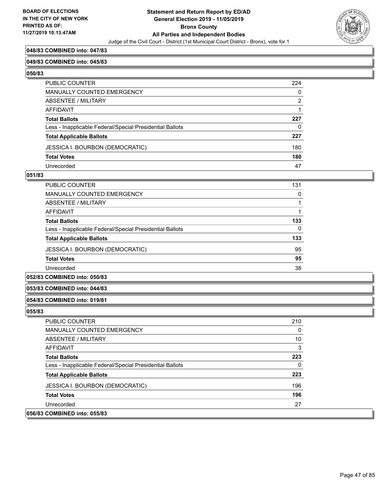

#### **048/83 COMBINED into: 047/83**

#### **049/83 COMBINED into: 045/83**

**050/83** 

| PUBLIC COUNTER                                           | 224            |
|----------------------------------------------------------|----------------|
| MANUALLY COUNTED EMERGENCY                               | $\mathbf 0$    |
| ABSENTEE / MILITARY                                      | $\overline{2}$ |
| AFFIDAVIT                                                |                |
| <b>Total Ballots</b>                                     | 227            |
| Less - Inapplicable Federal/Special Presidential Ballots | $\Omega$       |
| <b>Total Applicable Ballots</b>                          | 227            |
| JESSICA I. BOURBON (DEMOCRATIC)                          | 180            |
| <b>Total Votes</b>                                       | 180            |
| Unrecorded                                               | 47             |

#### **051/83**

| <b>PUBLIC COUNTER</b>                                    | 131 |
|----------------------------------------------------------|-----|
| MANUALLY COUNTED EMERGENCY                               | 0   |
| ABSENTEE / MILITARY                                      |     |
| AFFIDAVIT                                                |     |
| <b>Total Ballots</b>                                     | 133 |
| Less - Inapplicable Federal/Special Presidential Ballots | 0   |
| <b>Total Applicable Ballots</b>                          | 133 |
| <b>JESSICA I. BOURBON (DEMOCRATIC)</b>                   | 95  |
| <b>Total Votes</b>                                       | 95  |
| Unrecorded                                               | 38  |

# **052/83 COMBINED into: 050/83**

#### **053/83 COMBINED into: 044/83**

#### **054/83 COMBINED into: 019/81**

| <b>PUBLIC COUNTER</b>                                    | 210 |
|----------------------------------------------------------|-----|
| <b>MANUALLY COUNTED EMERGENCY</b>                        | 0   |
| ABSENTEE / MILITARY                                      | 10  |
| AFFIDAVIT                                                | 3   |
| <b>Total Ballots</b>                                     | 223 |
| Less - Inapplicable Federal/Special Presidential Ballots | 0   |
| <b>Total Applicable Ballots</b>                          | 223 |
| JESSICA I. BOURBON (DEMOCRATIC)                          | 196 |
| <b>Total Votes</b>                                       | 196 |
| Unrecorded                                               | 27  |
| 056/83 COMBINED into: 055/83                             |     |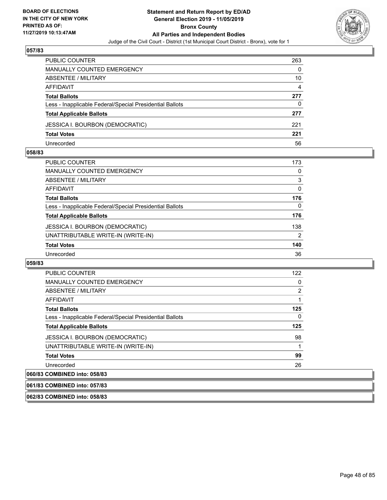

| PUBLIC COUNTER                                           | 263 |
|----------------------------------------------------------|-----|
| <b>MANUALLY COUNTED EMERGENCY</b>                        | 0   |
| ABSENTEE / MILITARY                                      | 10  |
| AFFIDAVIT                                                | 4   |
| <b>Total Ballots</b>                                     | 277 |
| Less - Inapplicable Federal/Special Presidential Ballots | 0   |
| <b>Total Applicable Ballots</b>                          | 277 |
| <b>JESSICA I. BOURBON (DEMOCRATIC)</b>                   | 221 |
| <b>Total Votes</b>                                       | 221 |
| Unrecorded                                               | 56  |

#### **058/83**

| <b>PUBLIC COUNTER</b>                                    | 173            |
|----------------------------------------------------------|----------------|
| <b>MANUALLY COUNTED EMERGENCY</b>                        | 0              |
| ABSENTEE / MILITARY                                      | 3              |
| AFFIDAVIT                                                | $\Omega$       |
| <b>Total Ballots</b>                                     | 176            |
| Less - Inapplicable Federal/Special Presidential Ballots | $\Omega$       |
| <b>Total Applicable Ballots</b>                          | 176            |
| <b>JESSICA I. BOURBON (DEMOCRATIC)</b>                   | 138            |
| UNATTRIBUTABLE WRITE-IN (WRITE-IN)                       | $\overline{2}$ |
| <b>Total Votes</b>                                       | 140            |
| Unrecorded                                               | 36             |
|                                                          |                |

#### **059/83**

| <b>PUBLIC COUNTER</b>                                    | 122 |
|----------------------------------------------------------|-----|
| <b>MANUALLY COUNTED EMERGENCY</b>                        | 0   |
| ABSENTEE / MILITARY                                      | 2   |
| AFFIDAVIT                                                |     |
| <b>Total Ballots</b>                                     | 125 |
| Less - Inapplicable Federal/Special Presidential Ballots | 0   |
| <b>Total Applicable Ballots</b>                          | 125 |
| <b>JESSICA I. BOURBON (DEMOCRATIC)</b>                   | 98  |
| UNATTRIBUTABLE WRITE-IN (WRITE-IN)                       |     |
| <b>Total Votes</b>                                       | 99  |
| Unrecorded                                               | 26  |
| 060/83 COMBINED into: 058/83                             |     |
|                                                          |     |

# **061/83 COMBINED into: 057/83**

**062/83 COMBINED into: 058/83**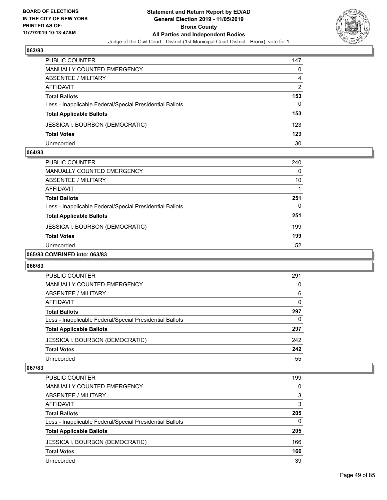

| PUBLIC COUNTER                                           | 147 |
|----------------------------------------------------------|-----|
| MANUALLY COUNTED EMERGENCY                               | 0   |
| ABSENTEE / MILITARY                                      | 4   |
| AFFIDAVIT                                                | 2   |
| <b>Total Ballots</b>                                     | 153 |
| Less - Inapplicable Federal/Special Presidential Ballots | 0   |
| <b>Total Applicable Ballots</b>                          | 153 |
| <b>JESSICA I. BOURBON (DEMOCRATIC)</b>                   | 123 |
| <b>Total Votes</b>                                       | 123 |
| Unrecorded                                               | 30  |

#### **064/83**

| <b>PUBLIC COUNTER</b>                                    | 240 |
|----------------------------------------------------------|-----|
| <b>MANUALLY COUNTED EMERGENCY</b>                        | 0   |
| ABSENTEE / MILITARY                                      | 10  |
| AFFIDAVIT                                                |     |
| <b>Total Ballots</b>                                     | 251 |
| Less - Inapplicable Federal/Special Presidential Ballots | 0   |
| <b>Total Applicable Ballots</b>                          | 251 |
| <b>JESSICA I. BOURBON (DEMOCRATIC)</b>                   | 199 |
| <b>Total Votes</b>                                       | 199 |
| Unrecorded                                               | 52  |
|                                                          |     |

# **065/83 COMBINED into: 063/83**

#### **066/83**

| <b>PUBLIC COUNTER</b>                                    | 291      |
|----------------------------------------------------------|----------|
| MANUALLY COUNTED EMERGENCY                               | 0        |
| ABSENTEE / MILITARY                                      | 6        |
| AFFIDAVIT                                                | $\Omega$ |
| <b>Total Ballots</b>                                     | 297      |
| Less - Inapplicable Federal/Special Presidential Ballots | 0        |
| <b>Total Applicable Ballots</b>                          | 297      |
| <b>JESSICA I. BOURBON (DEMOCRATIC)</b>                   | 242      |
| <b>Total Votes</b>                                       | 242      |
| Unrecorded                                               | 55       |

| PUBLIC COUNTER                                           | 199      |
|----------------------------------------------------------|----------|
| <b>MANUALLY COUNTED EMERGENCY</b>                        | 0        |
| ABSENTEE / MILITARY                                      | 3        |
| AFFIDAVIT                                                | 3        |
| <b>Total Ballots</b>                                     | 205      |
| Less - Inapplicable Federal/Special Presidential Ballots | $\Omega$ |
| <b>Total Applicable Ballots</b>                          | 205      |
| <b>JESSICA I. BOURBON (DEMOCRATIC)</b>                   | 166      |
| <b>Total Votes</b>                                       | 166      |
| Unrecorded                                               | 39       |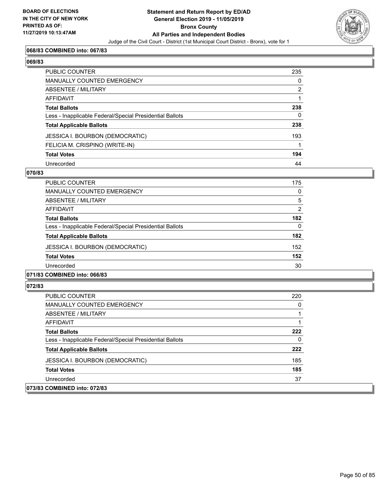

# **068/83 COMBINED into: 067/83**

#### **069/83**

| PUBLIC COUNTER                                           | 235          |
|----------------------------------------------------------|--------------|
| MANUALLY COUNTED EMERGENCY                               | $\mathbf{0}$ |
| ABSENTEE / MILITARY                                      | 2            |
| <b>AFFIDAVIT</b>                                         |              |
| <b>Total Ballots</b>                                     | 238          |
| Less - Inapplicable Federal/Special Presidential Ballots | $\Omega$     |
| <b>Total Applicable Ballots</b>                          | 238          |
| JESSICA I. BOURBON (DEMOCRATIC)                          | 193          |
| FELICIA M. CRISPINO (WRITE-IN)                           |              |
| <b>Total Votes</b>                                       | 194          |
| Unrecorded                                               | 44           |

#### **070/83**

| <b>PUBLIC COUNTER</b>                                    | 175            |
|----------------------------------------------------------|----------------|
| <b>MANUALLY COUNTED EMERGENCY</b>                        | 0              |
| ABSENTEE / MILITARY                                      | 5              |
| AFFIDAVIT                                                | $\overline{2}$ |
| <b>Total Ballots</b>                                     | 182            |
| Less - Inapplicable Federal/Special Presidential Ballots | 0              |
| <b>Total Applicable Ballots</b>                          | 182            |
| <b>JESSICA I. BOURBON (DEMOCRATIC)</b>                   | 152            |
| <b>Total Votes</b>                                       | 152            |
| Unrecorded                                               | 30             |
|                                                          |                |

# **071/83 COMBINED into: 066/83**

| PUBLIC COUNTER                                           | 220 |
|----------------------------------------------------------|-----|
| MANUALLY COUNTED EMERGENCY                               | 0   |
| ABSENTEE / MILITARY                                      |     |
| AFFIDAVIT                                                |     |
| <b>Total Ballots</b>                                     | 222 |
| Less - Inapplicable Federal/Special Presidential Ballots | 0   |
| <b>Total Applicable Ballots</b>                          | 222 |
| <b>JESSICA I. BOURBON (DEMOCRATIC)</b>                   | 185 |
| <b>Total Votes</b>                                       | 185 |
| Unrecorded                                               | 37  |
| 073/83 COMBINED into: 072/83                             |     |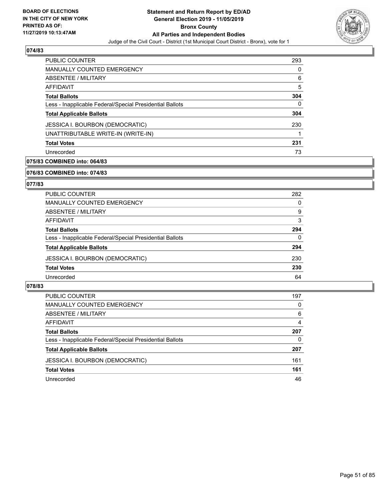

| <b>PUBLIC COUNTER</b>                                    | 293 |
|----------------------------------------------------------|-----|
| <b>MANUALLY COUNTED EMERGENCY</b>                        | O   |
| ABSENTEE / MILITARY                                      | 6   |
| AFFIDAVIT                                                | 5   |
| <b>Total Ballots</b>                                     | 304 |
| Less - Inapplicable Federal/Special Presidential Ballots | 0   |
| <b>Total Applicable Ballots</b>                          | 304 |
| <b>JESSICA I. BOURBON (DEMOCRATIC)</b>                   | 230 |
| UNATTRIBUTABLE WRITE-IN (WRITE-IN)                       |     |
| <b>Total Votes</b>                                       | 231 |
| Unrecorded                                               | 73  |

# **075/83 COMBINED into: 064/83**

#### **076/83 COMBINED into: 074/83**

# **077/83**

| PUBLIC COUNTER                                           | 282 |
|----------------------------------------------------------|-----|
| MANUALLY COUNTED EMERGENCY                               | 0   |
| ABSENTEE / MILITARY                                      | 9   |
| AFFIDAVIT                                                | 3   |
| <b>Total Ballots</b>                                     | 294 |
| Less - Inapplicable Federal/Special Presidential Ballots | 0   |
| <b>Total Applicable Ballots</b>                          | 294 |
| <b>JESSICA I. BOURBON (DEMOCRATIC)</b>                   | 230 |
| <b>Total Votes</b>                                       | 230 |
| Unrecorded                                               | 64  |

| PUBLIC COUNTER                                           | 197 |
|----------------------------------------------------------|-----|
| <b>MANUALLY COUNTED EMERGENCY</b>                        | 0   |
| ABSENTEE / MILITARY                                      | 6   |
| AFFIDAVIT                                                | 4   |
| <b>Total Ballots</b>                                     | 207 |
| Less - Inapplicable Federal/Special Presidential Ballots | 0   |
| <b>Total Applicable Ballots</b>                          | 207 |
| <b>JESSICA I. BOURBON (DEMOCRATIC)</b>                   | 161 |
| <b>Total Votes</b>                                       | 161 |
| Unrecorded                                               | 46  |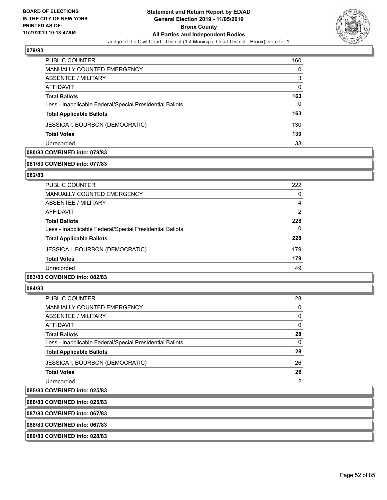

| <b>PUBLIC COUNTER</b>                                    | 160      |
|----------------------------------------------------------|----------|
| <b>MANUALLY COUNTED EMERGENCY</b>                        | 0        |
| ABSENTEE / MILITARY                                      | 3        |
| AFFIDAVIT                                                | $\Omega$ |
| <b>Total Ballots</b>                                     | 163      |
| Less - Inapplicable Federal/Special Presidential Ballots | 0        |
| <b>Total Applicable Ballots</b>                          | 163      |
| <b>JESSICA I. BOURBON (DEMOCRATIC)</b>                   | 130      |
| <b>Total Votes</b>                                       | 130      |
| Unrecorded                                               | 33       |

# **080/83 COMBINED into: 078/83**

#### **081/83 COMBINED into: 077/83**

#### **082/83**

| PUBLIC COUNTER                                           | 222            |
|----------------------------------------------------------|----------------|
| <b>MANUALLY COUNTED EMERGENCY</b>                        | 0              |
| ABSENTEE / MILITARY                                      | 4              |
| AFFIDAVIT                                                | $\overline{2}$ |
| <b>Total Ballots</b>                                     | 228            |
| Less - Inapplicable Federal/Special Presidential Ballots | 0              |
| <b>Total Applicable Ballots</b>                          | 228            |
| <b>JESSICA I. BOURBON (DEMOCRATIC)</b>                   | 179            |
| <b>Total Votes</b>                                       | 179            |
| Unrecorded                                               | 49             |
|                                                          |                |

# **083/83 COMBINED into: 082/83**

#### **084/83**

 $|085/83$ 

| <b>PUBLIC COUNTER</b>                                    | 28 |
|----------------------------------------------------------|----|
| <b>MANUALLY COUNTED EMERGENCY</b>                        | 0  |
| <b>ABSENTEE / MILITARY</b>                               | 0  |
| AFFIDAVIT                                                | 0  |
| <b>Total Ballots</b>                                     | 28 |
| Less - Inapplicable Federal/Special Presidential Ballots | 0  |
| <b>Total Applicable Ballots</b>                          | 28 |
| JESSICA I. BOURBON (DEMOCRATIC)                          | 26 |
| <b>Total Votes</b>                                       | 26 |
| Unrecorded                                               | 2  |
| COMBINED into: 025/83                                    |    |

# **086/83 COMBINED into: 025/83**

**087/83 COMBINED into: 067/83**

# **088/83 COMBINED into: 067/83**

**089/83 COMBINED into: 028/83**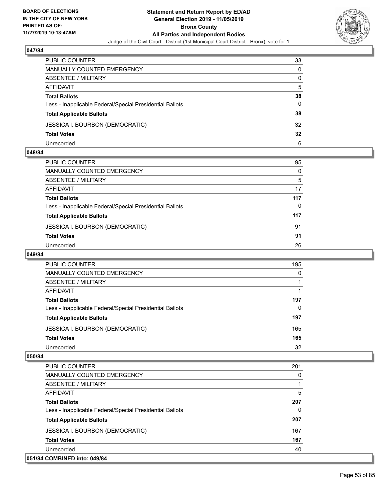

| PUBLIC COUNTER                                           | 33       |
|----------------------------------------------------------|----------|
| MANUALLY COUNTED EMERGENCY                               | 0        |
| <b>ABSENTEE / MILITARY</b>                               | 0        |
| AFFIDAVIT                                                | 5        |
| <b>Total Ballots</b>                                     | 38       |
| Less - Inapplicable Federal/Special Presidential Ballots | $\Omega$ |
| <b>Total Applicable Ballots</b>                          | 38       |
| <b>JESSICA I. BOURBON (DEMOCRATIC)</b>                   | 32       |
| <b>Total Votes</b>                                       | 32       |
| Unrecorded                                               | 6        |

#### **048/84**

| PUBLIC COUNTER                                           | 95  |
|----------------------------------------------------------|-----|
| <b>MANUALLY COUNTED EMERGENCY</b>                        | 0   |
| ABSENTEE / MILITARY                                      | 5   |
| <b>AFFIDAVIT</b>                                         | 17  |
| <b>Total Ballots</b>                                     | 117 |
| Less - Inapplicable Federal/Special Presidential Ballots | 0   |
| <b>Total Applicable Ballots</b>                          | 117 |
| <b>JESSICA I. BOURBON (DEMOCRATIC)</b>                   | 91  |
| <b>Total Votes</b>                                       | 91  |
| Unrecorded                                               | 26  |

### **049/84**

| <b>PUBLIC COUNTER</b>                                    | 195 |
|----------------------------------------------------------|-----|
| <b>MANUALLY COUNTED EMERGENCY</b>                        | 0   |
| ABSENTEE / MILITARY                                      |     |
| AFFIDAVIT                                                |     |
| <b>Total Ballots</b>                                     | 197 |
| Less - Inapplicable Federal/Special Presidential Ballots | 0   |
| <b>Total Applicable Ballots</b>                          | 197 |
| <b>JESSICA I. BOURBON (DEMOCRATIC)</b>                   | 165 |
| <b>Total Votes</b>                                       | 165 |
| Unrecorded                                               | 32  |

| <b>PUBLIC COUNTER</b>                                    | 201      |
|----------------------------------------------------------|----------|
| <b>MANUALLY COUNTED EMERGENCY</b>                        | 0        |
| ABSENTEE / MILITARY                                      |          |
| <b>AFFIDAVIT</b>                                         | 5        |
| <b>Total Ballots</b>                                     | 207      |
| Less - Inapplicable Federal/Special Presidential Ballots | $\Omega$ |
| <b>Total Applicable Ballots</b>                          | 207      |
| <b>JESSICA I. BOURBON (DEMOCRATIC)</b>                   | 167      |
| <b>Total Votes</b>                                       | 167      |
| Unrecorded                                               | 40       |
| 051/84 COMBINED into: 049/84                             |          |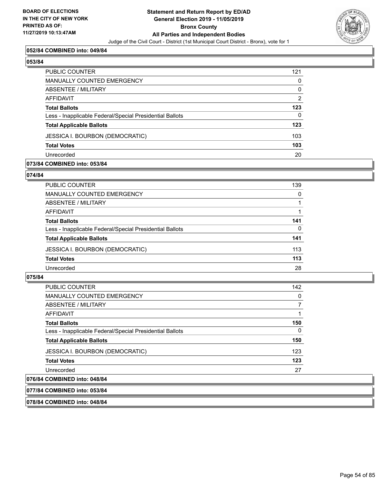

#### **052/84 COMBINED into: 049/84**

# **053/84**

| PUBLIC COUNTER                                           | 121      |
|----------------------------------------------------------|----------|
| <b>MANUALLY COUNTED EMERGENCY</b>                        | 0        |
| ABSENTEE / MILITARY                                      | $\Omega$ |
| AFFIDAVIT                                                | 2        |
| <b>Total Ballots</b>                                     | 123      |
| Less - Inapplicable Federal/Special Presidential Ballots | 0        |
| <b>Total Applicable Ballots</b>                          | 123      |
| <b>JESSICA I. BOURBON (DEMOCRATIC)</b>                   | 103      |
| <b>Total Votes</b>                                       | 103      |
| Unrecorded                                               | 20       |

#### **073/84 COMBINED into: 053/84**

#### **074/84**

| PUBLIC COUNTER                                           | 139 |
|----------------------------------------------------------|-----|
| <b>MANUALLY COUNTED EMERGENCY</b>                        | 0   |
| <b>ABSENTEE / MILITARY</b>                               |     |
| AFFIDAVIT                                                |     |
| <b>Total Ballots</b>                                     | 141 |
| Less - Inapplicable Federal/Special Presidential Ballots | 0   |
| <b>Total Applicable Ballots</b>                          | 141 |
| JESSICA I. BOURBON (DEMOCRATIC)                          | 113 |
| <b>Total Votes</b>                                       | 113 |
| Unrecorded                                               | 28  |
|                                                          |     |

### **075/84**

| PUBLIC COUNTER                                           | 142 |
|----------------------------------------------------------|-----|
| <b>MANUALLY COUNTED EMERGENCY</b>                        | 0   |
| ABSENTEE / MILITARY                                      |     |
| <b>AFFIDAVIT</b>                                         |     |
| <b>Total Ballots</b>                                     | 150 |
| Less - Inapplicable Federal/Special Presidential Ballots | 0   |
| <b>Total Applicable Ballots</b>                          | 150 |
| <b>JESSICA I. BOURBON (DEMOCRATIC)</b>                   | 123 |
| <b>Total Votes</b>                                       | 123 |
| Unrecorded                                               | 27  |
| 076/84 COMBINED into: 048/84                             |     |

### **077/84 COMBINED into: 053/84**

#### **078/84 COMBINED into: 048/84**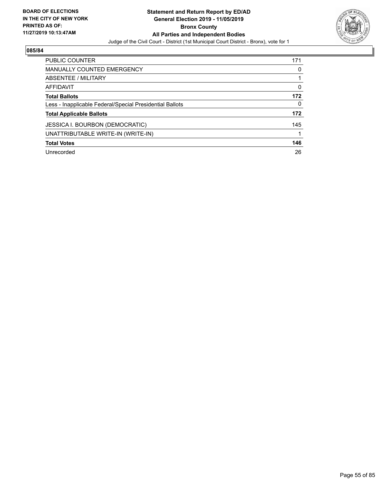

| <b>PUBLIC COUNTER</b>                                    | 171 |
|----------------------------------------------------------|-----|
| MANUALLY COUNTED EMERGENCY                               | 0   |
| ABSENTEE / MILITARY                                      |     |
| AFFIDAVIT                                                | 0   |
| <b>Total Ballots</b>                                     | 172 |
| Less - Inapplicable Federal/Special Presidential Ballots | 0   |
| <b>Total Applicable Ballots</b>                          | 172 |
| <b>JESSICA I. BOURBON (DEMOCRATIC)</b>                   | 145 |
| UNATTRIBUTABLE WRITE-IN (WRITE-IN)                       |     |
| <b>Total Votes</b>                                       | 146 |
| Unrecorded                                               | 26  |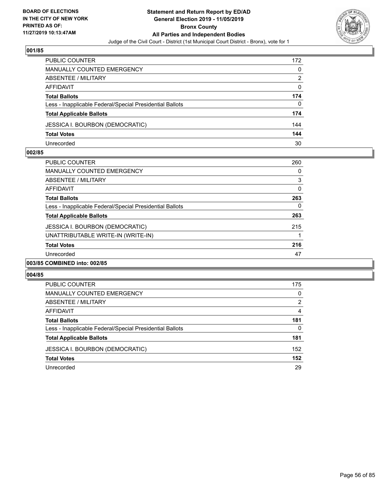

| PUBLIC COUNTER                                           | 172 |
|----------------------------------------------------------|-----|
| <b>MANUALLY COUNTED EMERGENCY</b>                        | 0   |
| ABSENTEE / MILITARY                                      | 2   |
| AFFIDAVIT                                                | 0   |
| <b>Total Ballots</b>                                     | 174 |
| Less - Inapplicable Federal/Special Presidential Ballots | 0   |
| <b>Total Applicable Ballots</b>                          | 174 |
| <b>JESSICA I. BOURBON (DEMOCRATIC)</b>                   | 144 |
| <b>Total Votes</b>                                       | 144 |
| Unrecorded                                               | 30  |

#### **002/85**

| <b>PUBLIC COUNTER</b>                                    | 260      |
|----------------------------------------------------------|----------|
| <b>MANUALLY COUNTED EMERGENCY</b>                        | 0        |
| ABSENTEE / MILITARY                                      | 3        |
| AFFIDAVIT                                                | $\Omega$ |
| <b>Total Ballots</b>                                     | 263      |
| Less - Inapplicable Federal/Special Presidential Ballots | 0        |
| <b>Total Applicable Ballots</b>                          | 263      |
| <b>JESSICA I. BOURBON (DEMOCRATIC)</b>                   | 215      |
| UNATTRIBUTABLE WRITE-IN (WRITE-IN)                       |          |
| <b>Total Votes</b>                                       | 216      |
| Unrecorded                                               | 47       |
| 003/85 COMBINED into: 002/85                             |          |

| PUBLIC COUNTER                                           | 175 |
|----------------------------------------------------------|-----|
| MANUALLY COUNTED EMERGENCY                               | 0   |
| ABSENTEE / MILITARY                                      | 2   |
| AFFIDAVIT                                                | 4   |
| <b>Total Ballots</b>                                     | 181 |
| Less - Inapplicable Federal/Special Presidential Ballots | 0   |
| <b>Total Applicable Ballots</b>                          | 181 |
| <b>JESSICA I. BOURBON (DEMOCRATIC)</b>                   | 152 |
| <b>Total Votes</b>                                       | 152 |
| Unrecorded                                               | 29  |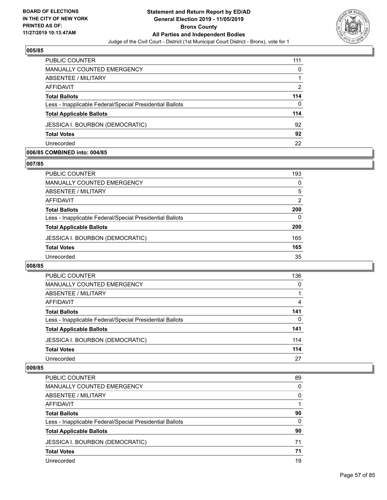

| PUBLIC COUNTER                                           | 111      |
|----------------------------------------------------------|----------|
| MANUALLY COUNTED EMERGENCY                               | $\Omega$ |
| ABSENTEE / MILITARY                                      |          |
| AFFIDAVIT                                                | 2        |
| <b>Total Ballots</b>                                     | 114      |
| Less - Inapplicable Federal/Special Presidential Ballots | $\Omega$ |
| <b>Total Applicable Ballots</b>                          | 114      |
| <b>JESSICA I. BOURBON (DEMOCRATIC)</b>                   | 92       |
| <b>Total Votes</b>                                       | 92       |
| Unrecorded                                               | 22       |

#### **006/85 COMBINED into: 004/85**

# **007/85**

| <b>PUBLIC COUNTER</b>                                    | 193            |
|----------------------------------------------------------|----------------|
| <b>MANUALLY COUNTED EMERGENCY</b>                        | 0              |
| ABSENTEE / MILITARY                                      | 5              |
| AFFIDAVIT                                                | $\overline{2}$ |
| <b>Total Ballots</b>                                     | 200            |
| Less - Inapplicable Federal/Special Presidential Ballots | 0              |
| <b>Total Applicable Ballots</b>                          | 200            |
| <b>JESSICA I. BOURBON (DEMOCRATIC)</b>                   | 165            |
| <b>Total Votes</b>                                       | 165            |
| Unrecorded                                               | 35             |
|                                                          |                |

# **008/85**

| PUBLIC COUNTER                                           | 136      |
|----------------------------------------------------------|----------|
| <b>MANUALLY COUNTED EMERGENCY</b>                        | $\Omega$ |
| ABSENTEE / MILITARY                                      |          |
| <b>AFFIDAVIT</b>                                         | 4        |
| <b>Total Ballots</b>                                     | 141      |
| Less - Inapplicable Federal/Special Presidential Ballots | 0        |
| <b>Total Applicable Ballots</b>                          | 141      |
| <b>JESSICA I. BOURBON (DEMOCRATIC)</b>                   | 114      |
| <b>Total Votes</b>                                       | 114      |
| Unrecorded                                               | 27       |

| PUBLIC COUNTER                                           | 89       |
|----------------------------------------------------------|----------|
| <b>MANUALLY COUNTED EMERGENCY</b>                        | 0        |
| ABSENTEE / MILITARY                                      | $\Omega$ |
| AFFIDAVIT                                                |          |
| <b>Total Ballots</b>                                     | 90       |
| Less - Inapplicable Federal/Special Presidential Ballots | 0        |
| <b>Total Applicable Ballots</b>                          | 90       |
| <b>JESSICA I. BOURBON (DEMOCRATIC)</b>                   | 71       |
| <b>Total Votes</b>                                       | 71       |
| Unrecorded                                               | 19       |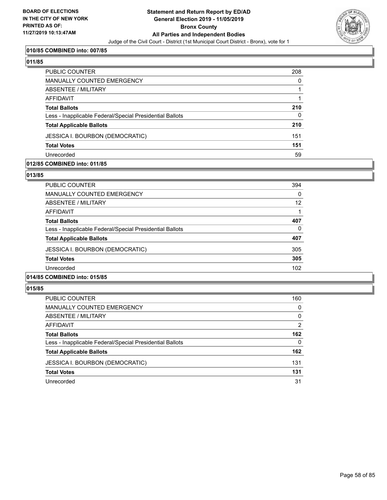

# **010/85 COMBINED into: 007/85**

#### **011/85**

| PUBLIC COUNTER                                           | 208      |
|----------------------------------------------------------|----------|
| <b>MANUALLY COUNTED EMERGENCY</b>                        | 0        |
| <b>ABSENTEE / MILITARY</b>                               |          |
| AFFIDAVIT                                                |          |
| <b>Total Ballots</b>                                     | 210      |
| Less - Inapplicable Federal/Special Presidential Ballots | $\Omega$ |
| <b>Total Applicable Ballots</b>                          | 210      |
| <b>JESSICA I. BOURBON (DEMOCRATIC)</b>                   | 151      |
| <b>Total Votes</b>                                       | 151      |
| Unrecorded                                               | 59       |

#### **012/85 COMBINED into: 011/85**

#### **013/85**

| <b>PUBLIC COUNTER</b>                                    | 394      |
|----------------------------------------------------------|----------|
| <b>MANUALLY COUNTED EMERGENCY</b>                        | $\Omega$ |
| ABSENTEE / MILITARY                                      | 12       |
| AFFIDAVIT                                                |          |
| <b>Total Ballots</b>                                     | 407      |
| Less - Inapplicable Federal/Special Presidential Ballots | 0        |
| <b>Total Applicable Ballots</b>                          | 407      |
| <b>JESSICA I. BOURBON (DEMOCRATIC)</b>                   | 305      |
| <b>Total Votes</b>                                       | 305      |
| Unrecorded                                               | 102      |
|                                                          |          |

### **014/85 COMBINED into: 015/85**

| <b>PUBLIC COUNTER</b>                                    | 160           |
|----------------------------------------------------------|---------------|
| <b>MANUALLY COUNTED EMERGENCY</b>                        | 0             |
| ABSENTEE / MILITARY                                      | 0             |
| AFFIDAVIT                                                | $\mathcal{P}$ |
| <b>Total Ballots</b>                                     | 162           |
| Less - Inapplicable Federal/Special Presidential Ballots | $\Omega$      |
| <b>Total Applicable Ballots</b>                          | 162           |
| JESSICA I. BOURBON (DEMOCRATIC)                          | 131           |
| <b>Total Votes</b>                                       | 131           |
| Unrecorded                                               | 31            |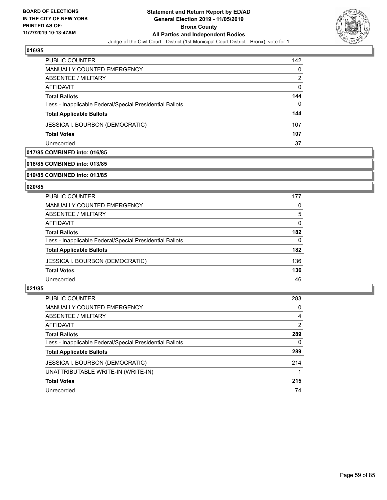

| PUBLIC COUNTER                                           | 142 |
|----------------------------------------------------------|-----|
| <b>MANUALLY COUNTED EMERGENCY</b>                        | 0   |
| ABSENTEE / MILITARY                                      | 2   |
| AFFIDAVIT                                                | 0   |
| <b>Total Ballots</b>                                     | 144 |
| Less - Inapplicable Federal/Special Presidential Ballots | 0   |
| <b>Total Applicable Ballots</b>                          | 144 |
| JESSICA I. BOURBON (DEMOCRATIC)                          | 107 |
| <b>Total Votes</b>                                       | 107 |
| Unrecorded                                               | 37  |

### **017/85 COMBINED into: 016/85**

# **018/85 COMBINED into: 013/85**

#### **019/85 COMBINED into: 013/85**

#### **020/85**

| <b>PUBLIC COUNTER</b>                                    | 177      |
|----------------------------------------------------------|----------|
| MANUALLY COUNTED EMERGENCY                               | 0        |
| ABSENTEE / MILITARY                                      | 5        |
| AFFIDAVIT                                                | $\Omega$ |
| <b>Total Ballots</b>                                     | 182      |
| Less - Inapplicable Federal/Special Presidential Ballots | 0        |
| <b>Total Applicable Ballots</b>                          | 182      |
| <b>JESSICA I. BOURBON (DEMOCRATIC)</b>                   | 136      |
| <b>Total Votes</b>                                       | 136      |
| Unrecorded                                               | 46       |

| <b>PUBLIC COUNTER</b>                                    | 283      |
|----------------------------------------------------------|----------|
| <b>MANUALLY COUNTED EMERGENCY</b>                        | $\Omega$ |
| ABSENTEE / MILITARY                                      | 4        |
| AFFIDAVIT                                                | 2        |
| <b>Total Ballots</b>                                     | 289      |
| Less - Inapplicable Federal/Special Presidential Ballots | 0        |
| <b>Total Applicable Ballots</b>                          | 289      |
| <b>JESSICA I. BOURBON (DEMOCRATIC)</b>                   | 214      |
| UNATTRIBUTABLE WRITE-IN (WRITE-IN)                       |          |
| <b>Total Votes</b>                                       | 215      |
| Unrecorded                                               | 74       |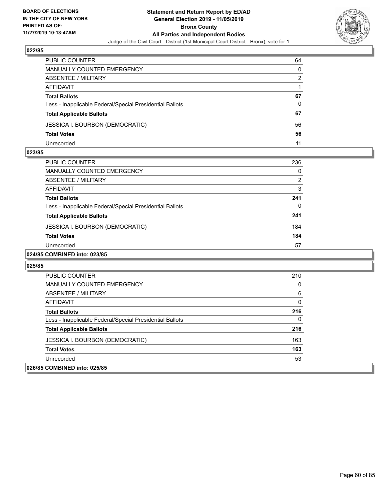

| PUBLIC COUNTER                                           | 64 |
|----------------------------------------------------------|----|
| <b>MANUALLY COUNTED EMERGENCY</b>                        | 0  |
| ABSENTEE / MILITARY                                      | 2  |
| AFFIDAVIT                                                |    |
| <b>Total Ballots</b>                                     | 67 |
| Less - Inapplicable Federal/Special Presidential Ballots | 0  |
| <b>Total Applicable Ballots</b>                          | 67 |
| <b>JESSICA I. BOURBON (DEMOCRATIC)</b>                   | 56 |
| <b>Total Votes</b>                                       | 56 |
| Unrecorded                                               | 11 |

#### **023/85**

| <b>PUBLIC COUNTER</b>                                    | 236 |
|----------------------------------------------------------|-----|
| MANUALLY COUNTED EMERGENCY                               | 0   |
| ABSENTEE / MILITARY                                      | 2   |
| AFFIDAVIT                                                | 3   |
| <b>Total Ballots</b>                                     | 241 |
| Less - Inapplicable Federal/Special Presidential Ballots | 0   |
| <b>Total Applicable Ballots</b>                          | 241 |
| <b>JESSICA I. BOURBON (DEMOCRATIC)</b>                   | 184 |
| <b>Total Votes</b>                                       | 184 |
| Unrecorded                                               | 57  |
|                                                          |     |

# **024/85 COMBINED into: 023/85**

| PUBLIC COUNTER                                           | 210 |
|----------------------------------------------------------|-----|
| <b>MANUALLY COUNTED EMERGENCY</b>                        | 0   |
| ABSENTEE / MILITARY                                      | 6   |
| AFFIDAVIT                                                | 0   |
| <b>Total Ballots</b>                                     | 216 |
| Less - Inapplicable Federal/Special Presidential Ballots | 0   |
| <b>Total Applicable Ballots</b>                          | 216 |
| <b>JESSICA I. BOURBON (DEMOCRATIC)</b>                   | 163 |
| <b>Total Votes</b>                                       | 163 |
| Unrecorded                                               | 53  |
| 026/85 COMBINED into: 025/85                             |     |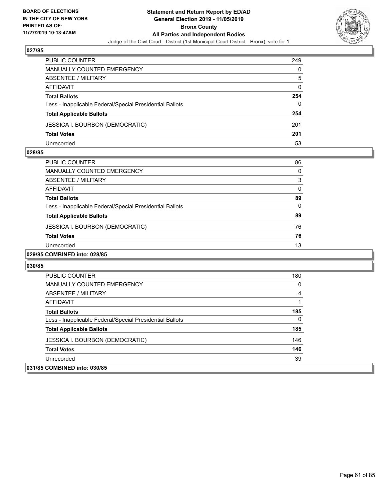

| <b>PUBLIC COUNTER</b>                                    | 249 |
|----------------------------------------------------------|-----|
| MANUALLY COUNTED EMERGENCY                               | 0   |
| ABSENTEE / MILITARY                                      | 5   |
| AFFIDAVIT                                                | 0   |
| <b>Total Ballots</b>                                     | 254 |
| Less - Inapplicable Federal/Special Presidential Ballots | 0   |
| <b>Total Applicable Ballots</b>                          | 254 |
| <b>JESSICA I. BOURBON (DEMOCRATIC)</b>                   | 201 |
| <b>Total Votes</b>                                       | 201 |
| Unrecorded                                               | 53  |

#### **028/85**

| PUBLIC COUNTER                                           | 86 |
|----------------------------------------------------------|----|
| <b>MANUALLY COUNTED EMERGENCY</b>                        | 0  |
| ABSENTEE / MILITARY                                      | 3  |
| AFFIDAVIT                                                | 0  |
| <b>Total Ballots</b>                                     | 89 |
| Less - Inapplicable Federal/Special Presidential Ballots | 0  |
| <b>Total Applicable Ballots</b>                          | 89 |
| <b>JESSICA I. BOURBON (DEMOCRATIC)</b>                   | 76 |
| <b>Total Votes</b>                                       | 76 |
| Unrecorded                                               | 13 |
|                                                          |    |

# **029/85 COMBINED into: 028/85**

| <b>PUBLIC COUNTER</b>                                    | 180 |
|----------------------------------------------------------|-----|
| MANUALLY COUNTED EMERGENCY                               | 0   |
| ABSENTEE / MILITARY                                      | 4   |
| AFFIDAVIT                                                |     |
| <b>Total Ballots</b>                                     | 185 |
| Less - Inapplicable Federal/Special Presidential Ballots | 0   |
| <b>Total Applicable Ballots</b>                          | 185 |
| <b>JESSICA I. BOURBON (DEMOCRATIC)</b>                   | 146 |
| <b>Total Votes</b>                                       | 146 |
| Unrecorded                                               | 39  |
| 031/85 COMBINED into: 030/85                             |     |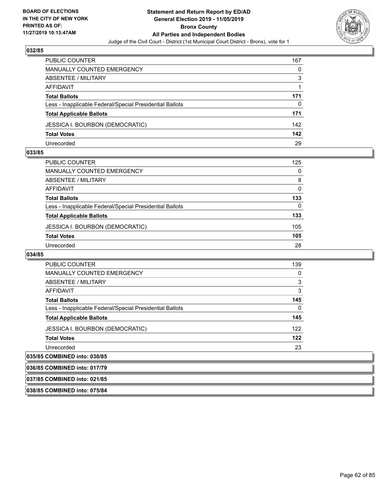

| PUBLIC COUNTER                                           | 167 |
|----------------------------------------------------------|-----|
| MANUALLY COUNTED EMERGENCY                               | 0   |
| <b>ABSENTEE / MILITARY</b>                               | 3   |
| AFFIDAVIT                                                |     |
| <b>Total Ballots</b>                                     | 171 |
| Less - Inapplicable Federal/Special Presidential Ballots | 0   |
| <b>Total Applicable Ballots</b>                          | 171 |
| <b>JESSICA I. BOURBON (DEMOCRATIC)</b>                   | 142 |
| <b>Total Votes</b>                                       | 142 |
| Unrecorded                                               | 29  |

#### **033/85**

| <b>PUBLIC COUNTER</b>                                    | 125      |
|----------------------------------------------------------|----------|
| MANUALLY COUNTED EMERGENCY                               | $\Omega$ |
| ABSENTEE / MILITARY                                      | 8        |
| AFFIDAVIT                                                | $\Omega$ |
| <b>Total Ballots</b>                                     | 133      |
| Less - Inapplicable Federal/Special Presidential Ballots | 0        |
| <b>Total Applicable Ballots</b>                          | 133      |
| <b>JESSICA I. BOURBON (DEMOCRATIC)</b>                   | 105      |
| <b>Total Votes</b>                                       | 105      |
| Unrecorded                                               | 28       |

#### **034/85**

**037/85 COMBINED into: 021/85 038/85 COMBINED into: 075/84**

| <b>PUBLIC COUNTER</b>                                    | 139      |
|----------------------------------------------------------|----------|
| <b>MANUALLY COUNTED EMERGENCY</b>                        | 0        |
| ABSENTEE / MILITARY                                      | 3        |
| AFFIDAVIT                                                | 3        |
| <b>Total Ballots</b>                                     | 145      |
| Less - Inapplicable Federal/Special Presidential Ballots | $\Omega$ |
| <b>Total Applicable Ballots</b>                          | 145      |
| JESSICA I. BOURBON (DEMOCRATIC)                          | 122      |
| <b>Total Votes</b>                                       | 122      |
| Unrecorded                                               | 23       |
| 035/85 COMBINED into: 030/85                             |          |
| 036/85 COMBINED into: 017/79                             |          |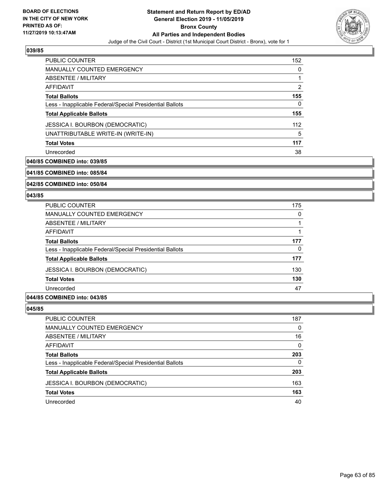

| <b>PUBLIC COUNTER</b>                                    | 152 |
|----------------------------------------------------------|-----|
| <b>MANUALLY COUNTED EMERGENCY</b>                        | 0   |
| ABSENTEE / MILITARY                                      |     |
| AFFIDAVIT                                                | 2   |
| <b>Total Ballots</b>                                     | 155 |
| Less - Inapplicable Federal/Special Presidential Ballots | 0   |
| <b>Total Applicable Ballots</b>                          | 155 |
| <b>JESSICA I. BOURBON (DEMOCRATIC)</b>                   | 112 |
| UNATTRIBUTABLE WRITE-IN (WRITE-IN)                       | 5   |
| <b>Total Votes</b>                                       | 117 |
| Unrecorded                                               | 38  |

# **040/85 COMBINED into: 039/85**

**041/85 COMBINED into: 085/84**

#### **042/85 COMBINED into: 050/84**

#### **043/85**

| <b>PUBLIC COUNTER</b>                                    | 175      |
|----------------------------------------------------------|----------|
| <b>MANUALLY COUNTED EMERGENCY</b>                        | $\Omega$ |
| ABSENTEE / MILITARY                                      |          |
| <b>AFFIDAVIT</b>                                         |          |
| <b>Total Ballots</b>                                     | 177      |
| Less - Inapplicable Federal/Special Presidential Ballots | 0        |
| <b>Total Applicable Ballots</b>                          | 177      |
| <b>JESSICA I. BOURBON (DEMOCRATIC)</b>                   | 130      |
| <b>Total Votes</b>                                       | 130      |
| Unrecorded                                               | 47       |
|                                                          |          |

#### **044/85 COMBINED into: 043/85**

| PUBLIC COUNTER                                           | 187 |
|----------------------------------------------------------|-----|
| <b>MANUALLY COUNTED EMERGENCY</b>                        | 0   |
| ABSENTEE / MILITARY                                      | 16  |
| AFFIDAVIT                                                | 0   |
| <b>Total Ballots</b>                                     | 203 |
| Less - Inapplicable Federal/Special Presidential Ballots | 0   |
| <b>Total Applicable Ballots</b>                          | 203 |
| JESSICA I. BOURBON (DEMOCRATIC)                          | 163 |
| <b>Total Votes</b>                                       | 163 |
| Unrecorded                                               | 40  |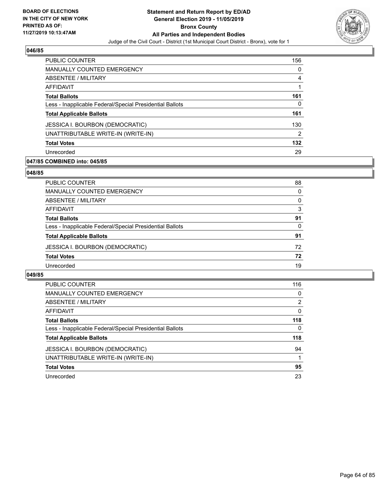

| <b>PUBLIC COUNTER</b>                                    | 156 |
|----------------------------------------------------------|-----|
| <b>MANUALLY COUNTED EMERGENCY</b>                        | 0   |
| ABSENTEE / MILITARY                                      | 4   |
| AFFIDAVIT                                                |     |
| <b>Total Ballots</b>                                     | 161 |
| Less - Inapplicable Federal/Special Presidential Ballots | 0   |
| <b>Total Applicable Ballots</b>                          | 161 |
| <b>JESSICA I. BOURBON (DEMOCRATIC)</b>                   | 130 |
| UNATTRIBUTABLE WRITE-IN (WRITE-IN)                       | 2   |
| <b>Total Votes</b>                                       | 132 |
| Unrecorded                                               | 29  |

### **047/85 COMBINED into: 045/85**

#### **048/85**

| PUBLIC COUNTER                                           | 88       |
|----------------------------------------------------------|----------|
| MANUALLY COUNTED EMERGENCY                               | 0        |
| <b>ABSENTEE / MILITARY</b>                               | $\Omega$ |
| AFFIDAVIT                                                | 3        |
| <b>Total Ballots</b>                                     | 91       |
| Less - Inapplicable Federal/Special Presidential Ballots | $\Omega$ |
| <b>Total Applicable Ballots</b>                          | 91       |
| <b>JESSICA I. BOURBON (DEMOCRATIC)</b>                   | 72       |
| <b>Total Votes</b>                                       | 72       |
| Unrecorded                                               | 19       |
|                                                          |          |

| <b>PUBLIC COUNTER</b>                                    | 116      |
|----------------------------------------------------------|----------|
| <b>MANUALLY COUNTED EMERGENCY</b>                        | $\Omega$ |
| ABSENTEE / MILITARY                                      | 2        |
| AFFIDAVIT                                                | $\Omega$ |
| <b>Total Ballots</b>                                     | 118      |
| Less - Inapplicable Federal/Special Presidential Ballots | 0        |
| <b>Total Applicable Ballots</b>                          | 118      |
| <b>JESSICA I. BOURBON (DEMOCRATIC)</b>                   | 94       |
| UNATTRIBUTABLE WRITE-IN (WRITE-IN)                       |          |
| <b>Total Votes</b>                                       | 95       |
| Unrecorded                                               | 23       |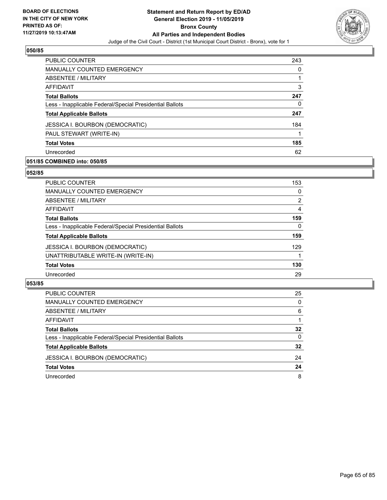

| <b>PUBLIC COUNTER</b>                                    | 243 |
|----------------------------------------------------------|-----|
| MANUALLY COUNTED EMERGENCY                               | 0   |
| ABSENTEE / MILITARY                                      |     |
| AFFIDAVIT                                                | 3   |
| <b>Total Ballots</b>                                     | 247 |
| Less - Inapplicable Federal/Special Presidential Ballots | 0   |
| <b>Total Applicable Ballots</b>                          | 247 |
| <b>JESSICA I. BOURBON (DEMOCRATIC)</b>                   | 184 |
| PAUL STEWART (WRITE-IN)                                  |     |
| <b>Total Votes</b>                                       | 185 |
| Unrecorded                                               | 62  |

# **051/85 COMBINED into: 050/85**

#### **052/85**

| PUBLIC COUNTER                                           | 153            |
|----------------------------------------------------------|----------------|
| <b>MANUALLY COUNTED EMERGENCY</b>                        | 0              |
| ABSENTEE / MILITARY                                      | $\overline{2}$ |
| <b>AFFIDAVIT</b>                                         | 4              |
| <b>Total Ballots</b>                                     | 159            |
| Less - Inapplicable Federal/Special Presidential Ballots | 0              |
| <b>Total Applicable Ballots</b>                          | 159            |
| <b>JESSICA I. BOURBON (DEMOCRATIC)</b>                   | 129            |
| UNATTRIBUTABLE WRITE-IN (WRITE-IN)                       |                |
| <b>Total Votes</b>                                       | 130            |
| Unrecorded                                               | 29             |
|                                                          |                |

| <b>PUBLIC COUNTER</b>                                    | 25       |
|----------------------------------------------------------|----------|
| <b>MANUALLY COUNTED EMERGENCY</b>                        | $\Omega$ |
| ABSENTEE / MILITARY                                      | 6        |
| AFFIDAVIT                                                |          |
| <b>Total Ballots</b>                                     | 32       |
| Less - Inapplicable Federal/Special Presidential Ballots | 0        |
| <b>Total Applicable Ballots</b>                          | 32       |
| <b>JESSICA I. BOURBON (DEMOCRATIC)</b>                   | 24       |
| <b>Total Votes</b>                                       | 24       |
| Unrecorded                                               | 8        |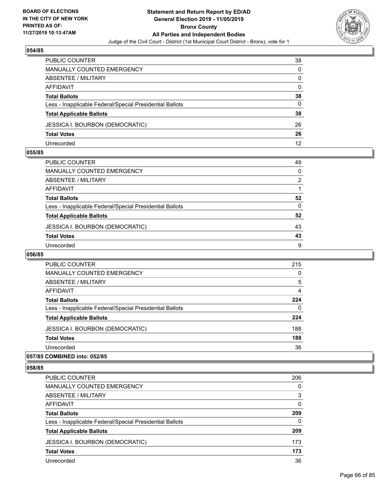

| PUBLIC COUNTER                                           | 38       |
|----------------------------------------------------------|----------|
| MANUALLY COUNTED EMERGENCY                               | $\Omega$ |
| <b>ABSENTEE / MILITARY</b>                               | 0        |
| AFFIDAVIT                                                | $\Omega$ |
| <b>Total Ballots</b>                                     | 38       |
| Less - Inapplicable Federal/Special Presidential Ballots | 0        |
| <b>Total Applicable Ballots</b>                          | 38       |
| <b>JESSICA I. BOURBON (DEMOCRATIC)</b>                   | 26       |
| <b>Total Votes</b>                                       | 26       |
| Unrecorded                                               | 12       |

#### **055/85**

| PUBLIC COUNTER                                           | 49            |
|----------------------------------------------------------|---------------|
| <b>MANUALLY COUNTED EMERGENCY</b>                        | 0             |
| <b>ABSENTEE / MILITARY</b>                               | $\mathcal{P}$ |
| <b>AFFIDAVIT</b>                                         |               |
| <b>Total Ballots</b>                                     | 52            |
| Less - Inapplicable Federal/Special Presidential Ballots | $\Omega$      |
| <b>Total Applicable Ballots</b>                          | 52            |
| <b>JESSICA I. BOURBON (DEMOCRATIC)</b>                   | 43            |
| <b>Total Votes</b>                                       | 43            |
| Unrecorded                                               | 9             |

# **056/85**

| <b>PUBLIC COUNTER</b>                                    | 215      |
|----------------------------------------------------------|----------|
| <b>MANUALLY COUNTED EMERGENCY</b>                        | $\Omega$ |
| ABSENTEE / MILITARY                                      | 5        |
| AFFIDAVIT                                                | 4        |
| <b>Total Ballots</b>                                     | 224      |
| Less - Inapplicable Federal/Special Presidential Ballots | $\Omega$ |
| <b>Total Applicable Ballots</b>                          | 224      |
| <b>JESSICA I. BOURBON (DEMOCRATIC)</b>                   | 188      |
| <b>Total Votes</b>                                       | 188      |
| Unrecorded                                               | 36       |
|                                                          |          |

#### **057/85 COMBINED into: 052/85**

| <b>PUBLIC COUNTER</b>                                    | 206      |
|----------------------------------------------------------|----------|
| <b>MANUALLY COUNTED EMERGENCY</b>                        | $\Omega$ |
| ABSENTEE / MILITARY                                      | 3        |
| AFFIDAVIT                                                | $\Omega$ |
| <b>Total Ballots</b>                                     | 209      |
| Less - Inapplicable Federal/Special Presidential Ballots | $\Omega$ |
| <b>Total Applicable Ballots</b>                          | 209      |
| <b>JESSICA I. BOURBON (DEMOCRATIC)</b>                   | 173      |
| <b>Total Votes</b>                                       | 173      |
| Unrecorded                                               | 36       |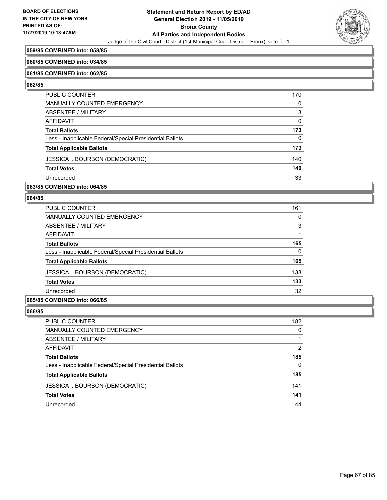

### **059/85 COMBINED into: 058/85**

#### **060/85 COMBINED into: 034/85**

#### **061/85 COMBINED into: 062/85**

#### **062/85**

| PUBLIC COUNTER                                           | 170      |
|----------------------------------------------------------|----------|
| <b>MANUALLY COUNTED EMERGENCY</b>                        | O        |
| ABSENTEE / MILITARY                                      | 3        |
| AFFIDAVIT                                                | $\Omega$ |
| <b>Total Ballots</b>                                     | 173      |
| Less - Inapplicable Federal/Special Presidential Ballots | 0        |
| <b>Total Applicable Ballots</b>                          | 173      |
| <b>JESSICA I. BOURBON (DEMOCRATIC)</b>                   | 140      |
| <b>Total Votes</b>                                       | 140      |
| Unrecorded                                               | 33       |

**063/85 COMBINED into: 064/85**

#### **064/85**

| <b>PUBLIC COUNTER</b>                                    | 161 |
|----------------------------------------------------------|-----|
| MANUALLY COUNTED EMERGENCY                               | 0   |
| ABSENTEE / MILITARY                                      | 3   |
| AFFIDAVIT                                                |     |
| <b>Total Ballots</b>                                     | 165 |
| Less - Inapplicable Federal/Special Presidential Ballots | 0   |
| <b>Total Applicable Ballots</b>                          | 165 |
| JESSICA I. BOURBON (DEMOCRATIC)                          | 133 |
| <b>Total Votes</b>                                       | 133 |
| Unrecorded                                               | 32  |
|                                                          |     |

# **065/85 COMBINED into: 066/85**

| PUBLIC COUNTER                                           | 182      |
|----------------------------------------------------------|----------|
| <b>MANUALLY COUNTED EMERGENCY</b>                        | 0        |
| ABSENTEE / MILITARY                                      |          |
| <b>AFFIDAVIT</b>                                         | 2        |
| <b>Total Ballots</b>                                     | 185      |
| Less - Inapplicable Federal/Special Presidential Ballots | $\Omega$ |
| <b>Total Applicable Ballots</b>                          | 185      |
| JESSICA I. BOURBON (DEMOCRATIC)                          | 141      |
| <b>Total Votes</b>                                       | 141      |
| Unrecorded                                               | 44       |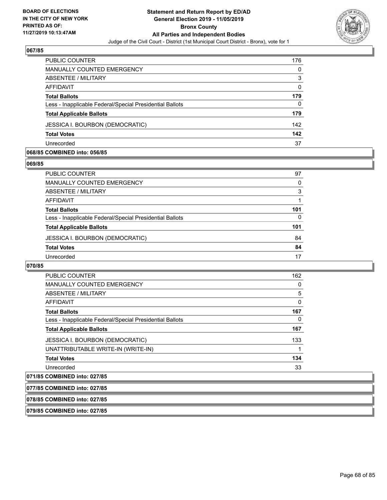

| <b>PUBLIC COUNTER</b>                                    | 176 |
|----------------------------------------------------------|-----|
| MANUALLY COUNTED EMERGENCY                               | 0   |
| ABSENTEE / MILITARY                                      | 3   |
| AFFIDAVIT                                                | 0   |
| <b>Total Ballots</b>                                     | 179 |
| Less - Inapplicable Federal/Special Presidential Ballots | 0   |
| <b>Total Applicable Ballots</b>                          | 179 |
| <b>JESSICA I. BOURBON (DEMOCRATIC)</b>                   | 142 |
| <b>Total Votes</b>                                       | 142 |
| Unrecorded                                               | 37  |

#### **068/85 COMBINED into: 056/85**

#### **069/85**

| PUBLIC COUNTER                                           | 97  |
|----------------------------------------------------------|-----|
| <b>MANUALLY COUNTED EMERGENCY</b>                        | 0   |
| ABSENTEE / MILITARY                                      | 3   |
| AFFIDAVIT                                                |     |
| <b>Total Ballots</b>                                     | 101 |
| Less - Inapplicable Federal/Special Presidential Ballots | 0   |
| <b>Total Applicable Ballots</b>                          | 101 |
| <b>JESSICA I. BOURBON (DEMOCRATIC)</b>                   | 84  |
| <b>Total Votes</b>                                       | 84  |
| Unrecorded                                               | 17  |
|                                                          |     |

# **070/85**

| PUBLIC COUNTER                                           | 162 |
|----------------------------------------------------------|-----|
| <b>MANUALLY COUNTED EMERGENCY</b>                        | 0   |
| ABSENTEE / MILITARY                                      | 5   |
| AFFIDAVIT                                                | 0   |
| <b>Total Ballots</b>                                     | 167 |
| Less - Inapplicable Federal/Special Presidential Ballots | 0   |
| <b>Total Applicable Ballots</b>                          | 167 |
| <b>JESSICA I. BOURBON (DEMOCRATIC)</b>                   | 133 |
| UNATTRIBUTABLE WRITE-IN (WRITE-IN)                       |     |
| <b>Total Votes</b>                                       | 134 |
| Unrecorded                                               | 33  |

# **071/85 COMBINED into: 027/85**

| 077/85 COMBINED into: 027/85 |  |
|------------------------------|--|
|------------------------------|--|

**078/85 COMBINED into: 027/85**

**079/85 COMBINED into: 027/85**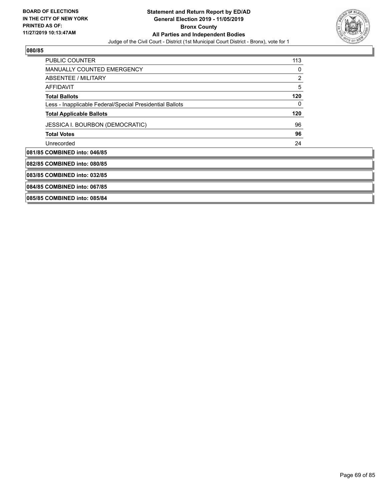

| <b>PUBLIC COUNTER</b>                                    | 113 |
|----------------------------------------------------------|-----|
| <b>MANUALLY COUNTED EMERGENCY</b>                        | 0   |
| ABSENTEE / MILITARY                                      | 2   |
| <b>AFFIDAVIT</b>                                         | 5   |
| <b>Total Ballots</b>                                     | 120 |
| Less - Inapplicable Federal/Special Presidential Ballots | 0   |
| <b>Total Applicable Ballots</b>                          | 120 |
| JESSICA I. BOURBON (DEMOCRATIC)                          | 96  |
| <b>Total Votes</b>                                       | 96  |
| Unrecorded                                               | 24  |
| 081/85 COMBINED into: 046/85                             |     |
| 082/85 COMBINED into: 080/85                             |     |
| 083/85 COMBINED into: 032/85                             |     |
| 084/85 COMBINED into: 067/85                             |     |
|                                                          |     |

**085/85 COMBINED into: 085/84**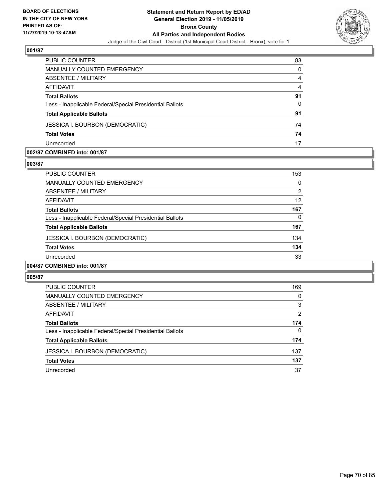

| PUBLIC COUNTER                                           | 83       |
|----------------------------------------------------------|----------|
| <b>MANUALLY COUNTED EMERGENCY</b>                        | $\Omega$ |
| ABSENTEE / MILITARY                                      | 4        |
| AFFIDAVIT                                                | 4        |
| <b>Total Ballots</b>                                     | 91       |
| Less - Inapplicable Federal/Special Presidential Ballots | 0        |
| <b>Total Applicable Ballots</b>                          | 91       |
| <b>JESSICA I. BOURBON (DEMOCRATIC)</b>                   | 74       |
| <b>Total Votes</b>                                       | 74       |
| Unrecorded                                               | 17       |

#### **002/87 COMBINED into: 001/87**

#### **003/87**

| <b>PUBLIC COUNTER</b>                                    | 153 |
|----------------------------------------------------------|-----|
| <b>MANUALLY COUNTED EMERGENCY</b>                        | 0   |
| ABSENTEE / MILITARY                                      | 2   |
| AFFIDAVIT                                                | 12  |
| <b>Total Ballots</b>                                     | 167 |
| Less - Inapplicable Federal/Special Presidential Ballots | 0   |
| <b>Total Applicable Ballots</b>                          | 167 |
| JESSICA I. BOURBON (DEMOCRATIC)                          | 134 |
| <b>Total Votes</b>                                       | 134 |
| Unrecorded                                               | 33  |
| 004/87 COMBINED into: 001/87                             |     |

| PUBLIC COUNTER                                           | 169 |
|----------------------------------------------------------|-----|
| MANUALLY COUNTED EMERGENCY                               | 0   |
| ABSENTEE / MILITARY                                      | 3   |
| AFFIDAVIT                                                | 2   |
| <b>Total Ballots</b>                                     | 174 |
| Less - Inapplicable Federal/Special Presidential Ballots | 0   |
| <b>Total Applicable Ballots</b>                          | 174 |
| <b>JESSICA I. BOURBON (DEMOCRATIC)</b>                   | 137 |
| <b>Total Votes</b>                                       | 137 |
| Unrecorded                                               | 37  |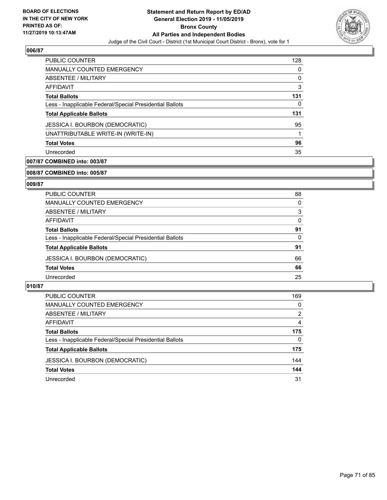

| PUBLIC COUNTER                                           | 128 |
|----------------------------------------------------------|-----|
| <b>MANUALLY COUNTED EMERGENCY</b>                        | 0   |
| ABSENTEE / MILITARY                                      | 0   |
| AFFIDAVIT                                                | 3   |
| <b>Total Ballots</b>                                     | 131 |
| Less - Inapplicable Federal/Special Presidential Ballots | 0   |
| <b>Total Applicable Ballots</b>                          | 131 |
| <b>JESSICA I. BOURBON (DEMOCRATIC)</b>                   | 95  |
| UNATTRIBUTABLE WRITE-IN (WRITE-IN)                       |     |
| <b>Total Votes</b>                                       | 96  |
| Unrecorded                                               | 35  |

# **007/87 COMBINED into: 003/87**

#### **008/87 COMBINED into: 005/87**

# **009/87**

| <b>PUBLIC COUNTER</b>                                    | 88       |
|----------------------------------------------------------|----------|
| MANUALLY COUNTED EMERGENCY                               | 0        |
| ABSENTEE / MILITARY                                      | 3        |
| AFFIDAVIT                                                | 0        |
| <b>Total Ballots</b>                                     | 91       |
| Less - Inapplicable Federal/Special Presidential Ballots | $\Omega$ |
| <b>Total Applicable Ballots</b>                          | 91       |
| <b>JESSICA I. BOURBON (DEMOCRATIC)</b>                   | 66       |
| <b>Total Votes</b>                                       | 66       |
| Unrecorded                                               | 25       |

| <b>PUBLIC COUNTER</b>                                    | 169      |
|----------------------------------------------------------|----------|
| MANUALLY COUNTED EMERGENCY                               | $\Omega$ |
| ABSENTEE / MILITARY                                      | 2        |
| AFFIDAVIT                                                | 4        |
| <b>Total Ballots</b>                                     | 175      |
| Less - Inapplicable Federal/Special Presidential Ballots | 0        |
| <b>Total Applicable Ballots</b>                          | 175      |
| <b>JESSICA I. BOURBON (DEMOCRATIC)</b>                   | 144      |
| <b>Total Votes</b>                                       | 144      |
| Unrecorded                                               | 31       |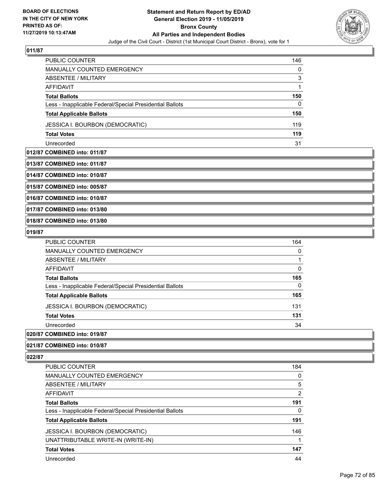

| PUBLIC COUNTER                                           | 146      |
|----------------------------------------------------------|----------|
| <b>MANUALLY COUNTED EMERGENCY</b>                        | $\Omega$ |
| ABSENTEE / MILITARY                                      | 3        |
| AFFIDAVIT                                                |          |
| <b>Total Ballots</b>                                     | 150      |
| Less - Inapplicable Federal/Special Presidential Ballots | 0        |
| <b>Total Applicable Ballots</b>                          | 150      |
| <b>JESSICA I. BOURBON (DEMOCRATIC)</b>                   | 119      |
| <b>Total Votes</b>                                       | 119      |
| Unrecorded                                               | 31       |

### **012/87 COMBINED into: 011/87**

**013/87 COMBINED into: 011/87**

**014/87 COMBINED into: 010/87**

**015/87 COMBINED into: 005/87**

**016/87 COMBINED into: 010/87**

**017/87 COMBINED into: 013/80**

**018/87 COMBINED into: 013/80**

#### **019/87**

| PUBLIC COUNTER                                           | 164 |
|----------------------------------------------------------|-----|
| MANUALLY COUNTED EMERGENCY                               | 0   |
| ABSENTEE / MILITARY                                      |     |
| AFFIDAVIT                                                | 0   |
| <b>Total Ballots</b>                                     | 165 |
| Less - Inapplicable Federal/Special Presidential Ballots | 0   |
| <b>Total Applicable Ballots</b>                          | 165 |
| <b>JESSICA I. BOURBON (DEMOCRATIC)</b>                   | 131 |
| <b>Total Votes</b>                                       | 131 |
| Unrecorded                                               | 34  |

**020/87 COMBINED into: 019/87**

### **021/87 COMBINED into: 010/87**

| <b>PUBLIC COUNTER</b>                                    | 184 |
|----------------------------------------------------------|-----|
| <b>MANUALLY COUNTED EMERGENCY</b>                        | 0   |
| ABSENTEE / MILITARY                                      | 5   |
| AFFIDAVIT                                                | 2   |
| <b>Total Ballots</b>                                     | 191 |
| Less - Inapplicable Federal/Special Presidential Ballots | 0   |
| <b>Total Applicable Ballots</b>                          | 191 |
| <b>JESSICA I. BOURBON (DEMOCRATIC)</b>                   | 146 |
| UNATTRIBUTABLE WRITE-IN (WRITE-IN)                       |     |
| <b>Total Votes</b>                                       | 147 |
| Unrecorded                                               | 44  |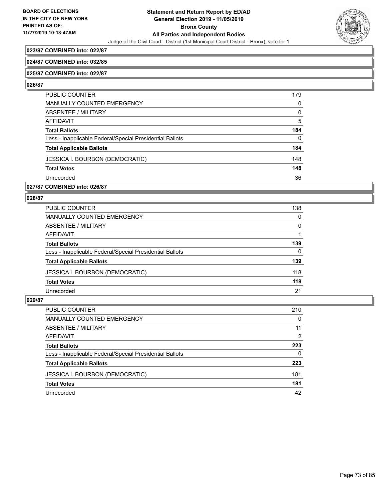

## **023/87 COMBINED into: 022/87**

#### **024/87 COMBINED into: 032/85**

#### **025/87 COMBINED into: 022/87**

#### **026/87**

| PUBLIC COUNTER                                           | 179      |
|----------------------------------------------------------|----------|
| <b>MANUALLY COUNTED EMERGENCY</b>                        | 0        |
| ABSENTEE / MILITARY                                      | $\Omega$ |
| AFFIDAVIT                                                | 5        |
| <b>Total Ballots</b>                                     | 184      |
| Less - Inapplicable Federal/Special Presidential Ballots | $\Omega$ |
| <b>Total Applicable Ballots</b>                          | 184      |
| <b>JESSICA I. BOURBON (DEMOCRATIC)</b>                   | 148      |
| <b>Total Votes</b>                                       | 148      |
| Unrecorded                                               | 36       |

**027/87 COMBINED into: 026/87**

## **028/87**

| PUBLIC COUNTER                                           | 138 |
|----------------------------------------------------------|-----|
| MANUALLY COUNTED EMERGENCY                               | 0   |
| <b>ABSENTEE / MILITARY</b>                               | 0   |
| <b>AFFIDAVIT</b>                                         |     |
| <b>Total Ballots</b>                                     | 139 |
| Less - Inapplicable Federal/Special Presidential Ballots | 0   |
| <b>Total Applicable Ballots</b>                          | 139 |
| <b>JESSICA I. BOURBON (DEMOCRATIC)</b>                   | 118 |
| <b>Total Votes</b>                                       | 118 |
| Unrecorded                                               | 21  |

| PUBLIC COUNTER                                           | 210 |
|----------------------------------------------------------|-----|
| MANUALLY COUNTED EMERGENCY                               | 0   |
| ABSENTEE / MILITARY                                      | 11  |
| AFFIDAVIT                                                | 2   |
| <b>Total Ballots</b>                                     | 223 |
| Less - Inapplicable Federal/Special Presidential Ballots | 0   |
| <b>Total Applicable Ballots</b>                          | 223 |
| <b>JESSICA I. BOURBON (DEMOCRATIC)</b>                   | 181 |
| <b>Total Votes</b>                                       | 181 |
| Unrecorded                                               | 42  |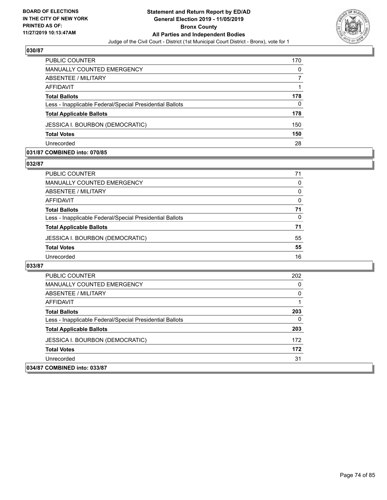

| <b>PUBLIC COUNTER</b>                                    | 170 |
|----------------------------------------------------------|-----|
| MANUALLY COUNTED EMERGENCY                               | 0   |
| ABSENTEE / MILITARY                                      |     |
| AFFIDAVIT                                                |     |
| <b>Total Ballots</b>                                     | 178 |
| Less - Inapplicable Federal/Special Presidential Ballots | 0   |
| <b>Total Applicable Ballots</b>                          | 178 |
| <b>JESSICA I. BOURBON (DEMOCRATIC)</b>                   | 150 |
| <b>Total Votes</b>                                       | 150 |
| Unrecorded                                               | 28  |

#### **031/87 COMBINED into: 070/85**

#### **032/87**

| PUBLIC COUNTER                                           | 71 |
|----------------------------------------------------------|----|
| <b>MANUALLY COUNTED EMERGENCY</b>                        | 0  |
| ABSENTEE / MILITARY                                      | 0  |
| AFFIDAVIT                                                | 0  |
| <b>Total Ballots</b>                                     | 71 |
| Less - Inapplicable Federal/Special Presidential Ballots | 0  |
| <b>Total Applicable Ballots</b>                          | 71 |
| <b>JESSICA I. BOURBON (DEMOCRATIC)</b>                   | 55 |
| <b>Total Votes</b>                                       | 55 |
| Unrecorded                                               | 16 |
|                                                          |    |

| <b>PUBLIC COUNTER</b>                                    | 202 |
|----------------------------------------------------------|-----|
| <b>MANUALLY COUNTED EMERGENCY</b>                        | 0   |
| ABSENTEE / MILITARY                                      | 0   |
| AFFIDAVIT                                                |     |
| <b>Total Ballots</b>                                     | 203 |
| Less - Inapplicable Federal/Special Presidential Ballots | 0   |
| <b>Total Applicable Ballots</b>                          | 203 |
| <b>JESSICA I. BOURBON (DEMOCRATIC)</b>                   | 172 |
| <b>Total Votes</b>                                       | 172 |
| Unrecorded                                               | 31  |
| 034/87 COMBINED into: 033/87                             |     |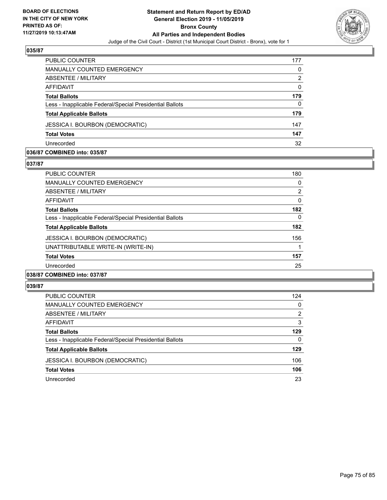

| PUBLIC COUNTER                                           | 177 |
|----------------------------------------------------------|-----|
| <b>MANUALLY COUNTED EMERGENCY</b>                        | 0   |
| <b>ABSENTEE / MILITARY</b>                               | 2   |
| AFFIDAVIT                                                | 0   |
| <b>Total Ballots</b>                                     | 179 |
| Less - Inapplicable Federal/Special Presidential Ballots | 0   |
| <b>Total Applicable Ballots</b>                          | 179 |
| <b>JESSICA I. BOURBON (DEMOCRATIC)</b>                   | 147 |
| <b>Total Votes</b>                                       | 147 |
| Unrecorded                                               | 32  |

#### **036/87 COMBINED into: 035/87**

#### **037/87**

| <b>PUBLIC COUNTER</b>                                    | 180 |
|----------------------------------------------------------|-----|
| <b>MANUALLY COUNTED EMERGENCY</b>                        | 0   |
| ABSENTEE / MILITARY                                      | 2   |
| AFFIDAVIT                                                | 0   |
| <b>Total Ballots</b>                                     | 182 |
| Less - Inapplicable Federal/Special Presidential Ballots | 0   |
| <b>Total Applicable Ballots</b>                          | 182 |
| JESSICA I. BOURBON (DEMOCRATIC)                          | 156 |
| UNATTRIBUTABLE WRITE-IN (WRITE-IN)                       |     |
| <b>Total Votes</b>                                       | 157 |
| Unrecorded                                               | 25  |
| 038/87 COMBINED into: 037/87                             |     |

| <b>PUBLIC COUNTER</b>                                    | 124 |
|----------------------------------------------------------|-----|
| MANUALLY COUNTED EMERGENCY                               | 0   |
| ABSENTEE / MILITARY                                      | 2   |
| AFFIDAVIT                                                | 3   |
| <b>Total Ballots</b>                                     | 129 |
| Less - Inapplicable Federal/Special Presidential Ballots | 0   |
| <b>Total Applicable Ballots</b>                          | 129 |
| JESSICA I. BOURBON (DEMOCRATIC)                          | 106 |
| <b>Total Votes</b>                                       | 106 |
| Unrecorded                                               | 23  |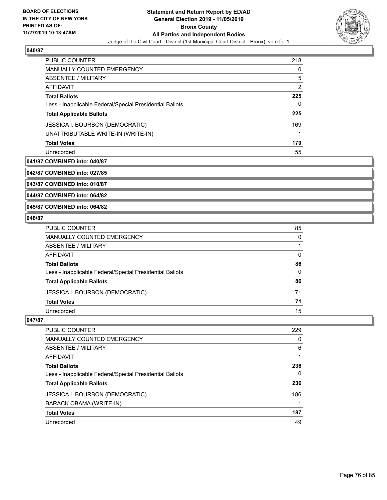

| <b>PUBLIC COUNTER</b>                                    | 218 |
|----------------------------------------------------------|-----|
| <b>MANUALLY COUNTED EMERGENCY</b>                        | 0   |
| ABSENTEE / MILITARY                                      | 5   |
| AFFIDAVIT                                                | 2   |
| <b>Total Ballots</b>                                     | 225 |
| Less - Inapplicable Federal/Special Presidential Ballots | 0   |
| <b>Total Applicable Ballots</b>                          | 225 |
| <b>JESSICA I. BOURBON (DEMOCRATIC)</b>                   | 169 |
| UNATTRIBUTABLE WRITE-IN (WRITE-IN)                       |     |
| <b>Total Votes</b>                                       | 170 |
| Unrecorded                                               | 55  |

## **041/87 COMBINED into: 040/87**

**042/87 COMBINED into: 027/85**

**043/87 COMBINED into: 010/87**

**044/87 COMBINED into: 064/82**

## **045/87 COMBINED into: 064/82**

## **046/87**

| PUBLIC COUNTER                                           | 85       |
|----------------------------------------------------------|----------|
| MANUALLY COUNTED EMERGENCY                               | $\Omega$ |
| ABSENTEE / MILITARY                                      |          |
| AFFIDAVIT                                                | 0        |
| <b>Total Ballots</b>                                     | 86       |
| Less - Inapplicable Federal/Special Presidential Ballots | $\Omega$ |
| <b>Total Applicable Ballots</b>                          | 86       |
| JESSICA I. BOURBON (DEMOCRATIC)                          | 71       |
| <b>Total Votes</b>                                       | 71       |
| Unrecorded                                               | 15       |
|                                                          |          |

| PUBLIC COUNTER                                           | 229 |
|----------------------------------------------------------|-----|
| <b>MANUALLY COUNTED EMERGENCY</b>                        | 0   |
| ABSENTEE / MILITARY                                      | 6   |
| AFFIDAVIT                                                |     |
| <b>Total Ballots</b>                                     | 236 |
| Less - Inapplicable Federal/Special Presidential Ballots | 0   |
| <b>Total Applicable Ballots</b>                          | 236 |
| <b>JESSICA I. BOURBON (DEMOCRATIC)</b>                   | 186 |
| BARACK OBAMA (WRITE-IN)                                  |     |
| <b>Total Votes</b>                                       | 187 |
| Unrecorded                                               | 49  |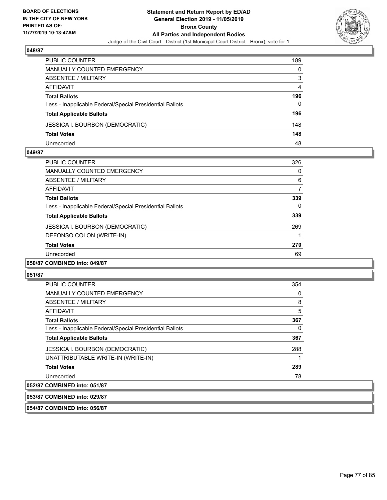

| PUBLIC COUNTER                                           | 189 |
|----------------------------------------------------------|-----|
| <b>MANUALLY COUNTED EMERGENCY</b>                        | 0   |
| ABSENTEE / MILITARY                                      | 3   |
| AFFIDAVIT                                                | 4   |
| <b>Total Ballots</b>                                     | 196 |
| Less - Inapplicable Federal/Special Presidential Ballots | 0   |
| <b>Total Applicable Ballots</b>                          | 196 |
| <b>JESSICA I. BOURBON (DEMOCRATIC)</b>                   | 148 |
| <b>Total Votes</b>                                       | 148 |
| Unrecorded                                               | 48  |

#### **049/87**

| <b>PUBLIC COUNTER</b>                                    | 326 |
|----------------------------------------------------------|-----|
| <b>MANUALLY COUNTED EMERGENCY</b>                        | 0   |
| ABSENTEE / MILITARY                                      | 6   |
| AFFIDAVIT                                                | 7   |
| <b>Total Ballots</b>                                     | 339 |
| Less - Inapplicable Federal/Special Presidential Ballots | 0   |
| <b>Total Applicable Ballots</b>                          | 339 |
| JESSICA I. BOURBON (DEMOCRATIC)                          | 269 |
| DEFONSO COLON (WRITE-IN)                                 |     |
| <b>Total Votes</b>                                       | 270 |
| Unrecorded                                               | 69  |
| 050/87 COMBINED into: 049/87                             |     |

## **051/87**

|                                                          | 354 |
|----------------------------------------------------------|-----|
| PUBLIC COUNTER                                           |     |
| <b>MANUALLY COUNTED EMERGENCY</b>                        | 0   |
| ABSENTEE / MILITARY                                      | 8   |
| AFFIDAVIT                                                | 5   |
| <b>Total Ballots</b>                                     | 367 |
| Less - Inapplicable Federal/Special Presidential Ballots | 0   |
| <b>Total Applicable Ballots</b>                          | 367 |
| <b>JESSICA I. BOURBON (DEMOCRATIC)</b>                   | 288 |
| UNATTRIBUTABLE WRITE-IN (WRITE-IN)                       |     |
| <b>Total Votes</b>                                       | 289 |
| Unrecorded                                               | 78  |
| 052/87 COMBINED into: 051/87                             |     |

# **053/87 COMBINED into: 029/87**

**054/87 COMBINED into: 056/87**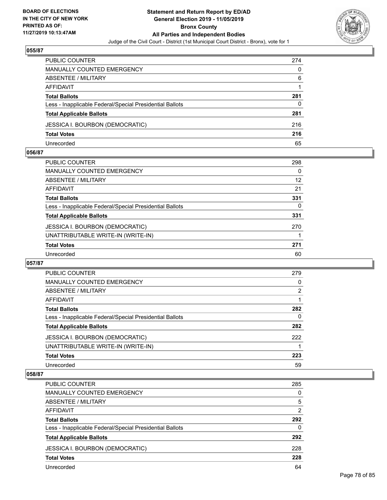

| PUBLIC COUNTER                                           | 274 |
|----------------------------------------------------------|-----|
| MANUALLY COUNTED EMERGENCY                               | 0   |
| ABSENTEE / MILITARY                                      | 6   |
| AFFIDAVIT                                                |     |
| <b>Total Ballots</b>                                     | 281 |
| Less - Inapplicable Federal/Special Presidential Ballots | 0   |
| <b>Total Applicable Ballots</b>                          | 281 |
| JESSICA I. BOURBON (DEMOCRATIC)                          | 216 |
| <b>Total Votes</b>                                       | 216 |
| Unrecorded                                               | 65  |

#### **056/87**

| <b>PUBLIC COUNTER</b>                                    | 298      |
|----------------------------------------------------------|----------|
| MANUALLY COUNTED EMERGENCY                               | 0        |
| ABSENTEE / MILITARY                                      | 12       |
| AFFIDAVIT                                                | 21       |
| <b>Total Ballots</b>                                     | 331      |
| Less - Inapplicable Federal/Special Presidential Ballots | $\Omega$ |
| <b>Total Applicable Ballots</b>                          | 331      |
| <b>JESSICA I. BOURBON (DEMOCRATIC)</b>                   | 270      |
| UNATTRIBUTABLE WRITE-IN (WRITE-IN)                       |          |
| <b>Total Votes</b>                                       | 271      |
| Unrecorded                                               | 60       |
|                                                          |          |

#### **057/87**

| PUBLIC COUNTER                                           | 279 |
|----------------------------------------------------------|-----|
| <b>MANUALLY COUNTED EMERGENCY</b>                        | 0   |
| ABSENTEE / MILITARY                                      | 2   |
| AFFIDAVIT                                                |     |
| <b>Total Ballots</b>                                     | 282 |
| Less - Inapplicable Federal/Special Presidential Ballots | 0   |
| <b>Total Applicable Ballots</b>                          | 282 |
| <b>JESSICA I. BOURBON (DEMOCRATIC)</b>                   | 222 |
| UNATTRIBUTABLE WRITE-IN (WRITE-IN)                       |     |
| <b>Total Votes</b>                                       | 223 |
| Unrecorded                                               | 59  |

| PUBLIC COUNTER                                           | 285      |
|----------------------------------------------------------|----------|
| <b>MANUALLY COUNTED EMERGENCY</b>                        | $\Omega$ |
| ABSENTEE / MILITARY                                      | 5        |
| AFFIDAVIT                                                | 2        |
| <b>Total Ballots</b>                                     | 292      |
| Less - Inapplicable Federal/Special Presidential Ballots | $\Omega$ |
| <b>Total Applicable Ballots</b>                          | 292      |
| <b>JESSICA I. BOURBON (DEMOCRATIC)</b>                   | 228      |
| <b>Total Votes</b>                                       | 228      |
| Unrecorded                                               | 64       |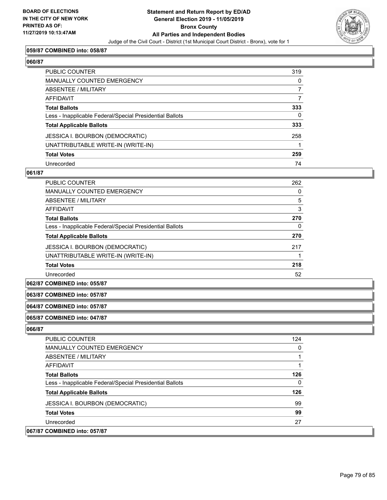

#### **059/87 COMBINED into: 058/87**

## **060/87**

| PUBLIC COUNTER                                           | 319            |
|----------------------------------------------------------|----------------|
| MANUALLY COUNTED EMERGENCY                               | 0              |
| <b>ABSENTEE / MILITARY</b>                               | $\overline{7}$ |
| <b>AFFIDAVIT</b>                                         | 7              |
| <b>Total Ballots</b>                                     | 333            |
| Less - Inapplicable Federal/Special Presidential Ballots | 0              |
| <b>Total Applicable Ballots</b>                          | 333            |
| <b>JESSICA I. BOURBON (DEMOCRATIC)</b>                   | 258            |
| UNATTRIBUTABLE WRITE-IN (WRITE-IN)                       |                |
| <b>Total Votes</b>                                       | 259            |
| Unrecorded                                               | 74             |

#### **061/87**

| PUBLIC COUNTER                                           | 262 |
|----------------------------------------------------------|-----|
| <b>MANUALLY COUNTED EMERGENCY</b>                        | 0   |
| ABSENTEE / MILITARY                                      | 5   |
| <b>AFFIDAVIT</b>                                         | 3   |
| <b>Total Ballots</b>                                     | 270 |
| Less - Inapplicable Federal/Special Presidential Ballots | 0   |
| <b>Total Applicable Ballots</b>                          | 270 |
| <b>JESSICA I. BOURBON (DEMOCRATIC)</b>                   | 217 |
| UNATTRIBUTABLE WRITE-IN (WRITE-IN)                       |     |
| <b>Total Votes</b>                                       | 218 |
| Unrecorded                                               | 52  |

## **062/87 COMBINED into: 055/87**

#### **063/87 COMBINED into: 057/87**

#### **064/87 COMBINED into: 057/87**

#### **065/87 COMBINED into: 047/87**

| <b>PUBLIC COUNTER</b>                                    | 124 |
|----------------------------------------------------------|-----|
| <b>MANUALLY COUNTED EMERGENCY</b>                        | 0   |
| ABSENTEE / MILITARY                                      |     |
| AFFIDAVIT                                                |     |
| <b>Total Ballots</b>                                     | 126 |
| Less - Inapplicable Federal/Special Presidential Ballots | 0   |
| <b>Total Applicable Ballots</b>                          | 126 |
| <b>JESSICA I. BOURBON (DEMOCRATIC)</b>                   | 99  |
| <b>Total Votes</b>                                       | 99  |
| Unrecorded                                               | 27  |
| 067/87 COMBINED into: 057/87                             |     |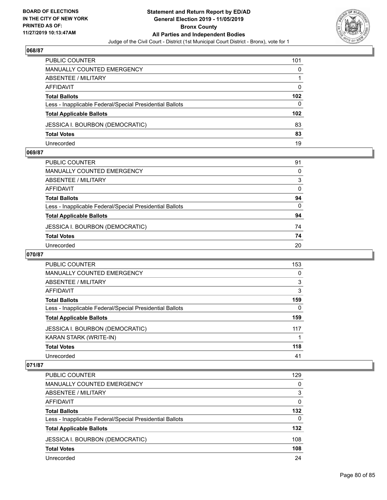

| PUBLIC COUNTER                                           | 101 |
|----------------------------------------------------------|-----|
| MANUALLY COUNTED EMERGENCY                               | 0   |
| ABSENTEE / MILITARY                                      |     |
| AFFIDAVIT                                                | 0   |
| <b>Total Ballots</b>                                     | 102 |
| Less - Inapplicable Federal/Special Presidential Ballots | 0   |
| <b>Total Applicable Ballots</b>                          | 102 |
| <b>JESSICA I. BOURBON (DEMOCRATIC)</b>                   | 83  |
| <b>Total Votes</b>                                       | 83  |
| Unrecorded                                               | 19  |

#### **069/87**

| PUBLIC COUNTER                                           | 91       |
|----------------------------------------------------------|----------|
| <b>MANUALLY COUNTED EMERGENCY</b>                        | 0        |
| ABSENTEE / MILITARY                                      | 3        |
| AFFIDAVIT                                                | 0        |
| <b>Total Ballots</b>                                     | 94       |
| Less - Inapplicable Federal/Special Presidential Ballots | $\Omega$ |
| <b>Total Applicable Ballots</b>                          | 94       |
| JESSICA I. BOURBON (DEMOCRATIC)                          | 74       |
| <b>Total Votes</b>                                       | 74       |
| Unrecorded                                               | 20       |

# **070/87**

| <b>PUBLIC COUNTER</b>                                    | 153      |
|----------------------------------------------------------|----------|
| <b>MANUALLY COUNTED EMERGENCY</b>                        | 0        |
| ABSENTEE / MILITARY                                      | 3        |
| AFFIDAVIT                                                | 3        |
| <b>Total Ballots</b>                                     | 159      |
| Less - Inapplicable Federal/Special Presidential Ballots | $\Omega$ |
| <b>Total Applicable Ballots</b>                          | 159      |
| <b>JESSICA I. BOURBON (DEMOCRATIC)</b>                   | 117      |
| KARAN STARK (WRITE-IN)                                   |          |
| <b>Total Votes</b>                                       | 118      |
| Unrecorded                                               | 41       |

| PUBLIC COUNTER                                           | 129      |
|----------------------------------------------------------|----------|
| <b>MANUALLY COUNTED EMERGENCY</b>                        | $\Omega$ |
| ABSENTEE / MILITARY                                      | 3        |
| AFFIDAVIT                                                | $\Omega$ |
| <b>Total Ballots</b>                                     | 132      |
| Less - Inapplicable Federal/Special Presidential Ballots | $\Omega$ |
| <b>Total Applicable Ballots</b>                          | 132      |
| <b>JESSICA I. BOURBON (DEMOCRATIC)</b>                   | 108      |
| <b>Total Votes</b>                                       | 108      |
| Unrecorded                                               | 24       |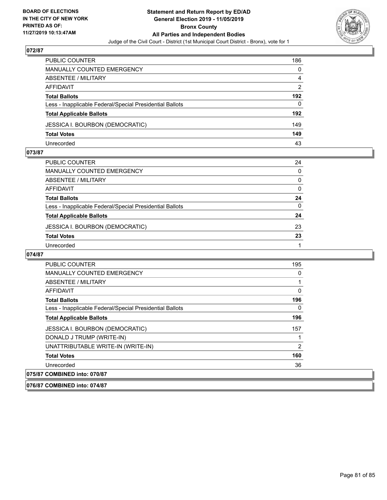

| PUBLIC COUNTER                                           | 186           |
|----------------------------------------------------------|---------------|
| <b>MANUALLY COUNTED EMERGENCY</b>                        | 0             |
| ABSENTEE / MILITARY                                      | 4             |
| AFFIDAVIT                                                | $\mathcal{P}$ |
| <b>Total Ballots</b>                                     | 192           |
| Less - Inapplicable Federal/Special Presidential Ballots | 0             |
| <b>Total Applicable Ballots</b>                          | 192           |
| <b>JESSICA I. BOURBON (DEMOCRATIC)</b>                   | 149           |
| <b>Total Votes</b>                                       | 149           |
| Unrecorded                                               | 43            |

#### **073/87**

| PUBLIC COUNTER                                           | 24           |
|----------------------------------------------------------|--------------|
| <b>MANUALLY COUNTED EMERGENCY</b>                        | 0            |
| <b>ABSENTEE / MILITARY</b>                               | 0            |
| <b>AFFIDAVIT</b>                                         | 0            |
| <b>Total Ballots</b>                                     | 24           |
| Less - Inapplicable Federal/Special Presidential Ballots | $\mathbf{0}$ |
| <b>Total Applicable Ballots</b>                          | 24           |
| <b>JESSICA I. BOURBON (DEMOCRATIC)</b>                   | 23           |
| <b>Total Votes</b>                                       | 23           |
| Unrecorded                                               |              |

| PUBLIC COUNTER                                           | 195 |
|----------------------------------------------------------|-----|
| MANUALLY COUNTED EMERGENCY                               | 0   |
| ABSENTEE / MILITARY                                      | 1   |
| AFFIDAVIT                                                | 0   |
| <b>Total Ballots</b>                                     | 196 |
| Less - Inapplicable Federal/Special Presidential Ballots | 0   |
| <b>Total Applicable Ballots</b>                          | 196 |
| JESSICA I. BOURBON (DEMOCRATIC)                          | 157 |
| DONALD J TRUMP (WRITE-IN)                                | 1   |
| UNATTRIBUTABLE WRITE-IN (WRITE-IN)                       | 2   |
| <b>Total Votes</b>                                       | 160 |
| Unrecorded                                               | 36  |
| 075/87 COMBINED into: 070/87                             |     |
| 076/87 COMBINED into: 074/87                             |     |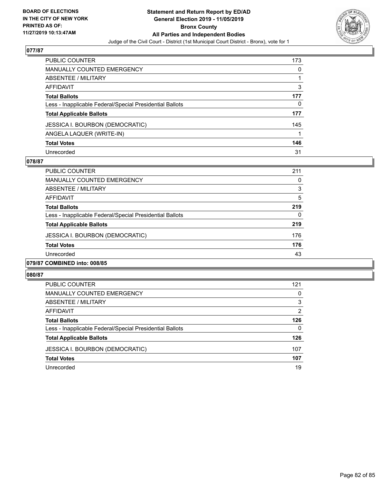

| PUBLIC COUNTER                                           | 173 |
|----------------------------------------------------------|-----|
| <b>MANUALLY COUNTED EMERGENCY</b>                        | 0   |
| <b>ABSENTEE / MILITARY</b>                               |     |
| AFFIDAVIT                                                | 3   |
| <b>Total Ballots</b>                                     | 177 |
| Less - Inapplicable Federal/Special Presidential Ballots | 0   |
| <b>Total Applicable Ballots</b>                          | 177 |
| JESSICA I. BOURBON (DEMOCRATIC)                          | 145 |
| ANGELA LAQUER (WRITE-IN)                                 |     |
| <b>Total Votes</b>                                       | 146 |
| Unrecorded                                               | 31  |

## **078/87**

| <b>PUBLIC COUNTER</b>                                    | 211      |
|----------------------------------------------------------|----------|
| <b>MANUALLY COUNTED EMERGENCY</b>                        | $\Omega$ |
| ABSENTEE / MILITARY                                      | 3        |
| AFFIDAVIT                                                | 5        |
| <b>Total Ballots</b>                                     | 219      |
| Less - Inapplicable Federal/Special Presidential Ballots | $\Omega$ |
| <b>Total Applicable Ballots</b>                          | 219      |
| <b>JESSICA I. BOURBON (DEMOCRATIC)</b>                   | 176      |
| <b>Total Votes</b>                                       | 176      |
| Unrecorded                                               | 43       |
| <br>$- - - - -$                                          |          |

# **079/87 COMBINED into: 008/85**

| PUBLIC COUNTER                                           | 121           |
|----------------------------------------------------------|---------------|
| MANUALLY COUNTED EMERGENCY                               | 0             |
| ABSENTEE / MILITARY                                      | 3             |
| AFFIDAVIT                                                | $\mathcal{P}$ |
| <b>Total Ballots</b>                                     | 126           |
| Less - Inapplicable Federal/Special Presidential Ballots | 0             |
| <b>Total Applicable Ballots</b>                          | 126           |
| <b>JESSICA I. BOURBON (DEMOCRATIC)</b>                   | 107           |
| <b>Total Votes</b>                                       | 107           |
| Unrecorded                                               | 19            |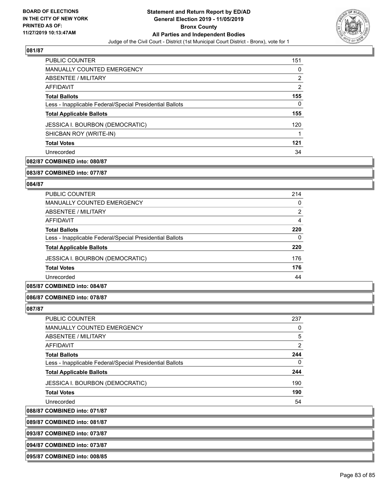

| <b>PUBLIC COUNTER</b>                                    | 151 |
|----------------------------------------------------------|-----|
| MANUALLY COUNTED EMERGENCY                               | 0   |
| ABSENTEE / MILITARY                                      | 2   |
| AFFIDAVIT                                                | 2   |
| <b>Total Ballots</b>                                     | 155 |
| Less - Inapplicable Federal/Special Presidential Ballots | 0   |
| <b>Total Applicable Ballots</b>                          | 155 |
| <b>JESSICA I. BOURBON (DEMOCRATIC)</b>                   | 120 |
| SHICBAN ROY (WRITE-IN)                                   |     |
| <b>Total Votes</b>                                       | 121 |
| Unrecorded                                               | 34  |

# **082/87 COMBINED into: 080/87**

**083/87 COMBINED into: 077/87**

#### **084/87**

| <b>PUBLIC COUNTER</b>                                    | 214            |
|----------------------------------------------------------|----------------|
| <b>MANUALLY COUNTED EMERGENCY</b>                        | $\Omega$       |
| ABSENTEE / MILITARY                                      | $\overline{2}$ |
| AFFIDAVIT                                                | 4              |
| <b>Total Ballots</b>                                     | 220            |
| Less - Inapplicable Federal/Special Presidential Ballots | $\Omega$       |
| <b>Total Applicable Ballots</b>                          | 220            |
| <b>JESSICA I. BOURBON (DEMOCRATIC)</b>                   | 176            |
| <b>Total Votes</b>                                       | 176            |
| Unrecorded                                               | 44             |
|                                                          |                |

# **085/87 COMBINED into: 084/87**

#### **086/87 COMBINED into: 078/87**

#### **087/87**

| <b>PUBLIC COUNTER</b>                                    | 237 |
|----------------------------------------------------------|-----|
| <b>MANUALLY COUNTED EMERGENCY</b>                        | 0   |
| <b>ABSENTEE / MILITARY</b>                               | 5   |
| AFFIDAVIT                                                | 2   |
| <b>Total Ballots</b>                                     | 244 |
| Less - Inapplicable Federal/Special Presidential Ballots | 0   |
| <b>Total Applicable Ballots</b>                          | 244 |
| <b>JESSICA I. BOURBON (DEMOCRATIC)</b>                   | 190 |
| <b>Total Votes</b>                                       | 190 |
| Unrecorded                                               | 54  |
|                                                          |     |

**088/87 COMBINED into: 071/87**

**089/87 COMBINED into: 081/87**

**093/87 COMBINED into: 073/87**

**094/87 COMBINED into: 073/87**

**095/87 COMBINED into: 008/85**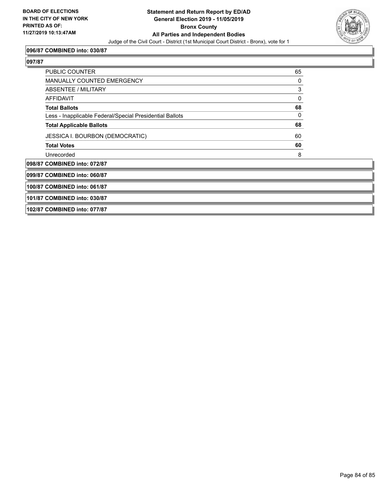

#### **096/87 COMBINED into: 030/87**

## **097/87**

| <b>PUBLIC COUNTER</b>                                    | 65 |
|----------------------------------------------------------|----|
| <b>MANUALLY COUNTED EMERGENCY</b>                        | 0  |
| ABSENTEE / MILITARY                                      | 3  |
| AFFIDAVIT                                                | 0  |
| <b>Total Ballots</b>                                     | 68 |
| Less - Inapplicable Federal/Special Presidential Ballots | 0  |
| <b>Total Applicable Ballots</b>                          | 68 |
| JESSICA I. BOURBON (DEMOCRATIC)                          | 60 |
| <b>Total Votes</b>                                       | 60 |
| Unrecorded                                               | 8  |
| 098/87 COMBINED into: 072/87                             |    |
| 099/87 COMBINED into: 060/87                             |    |
|                                                          |    |

**100/87 COMBINED into: 061/87**

**101/87 COMBINED into: 030/87**

**102/87 COMBINED into: 077/87**